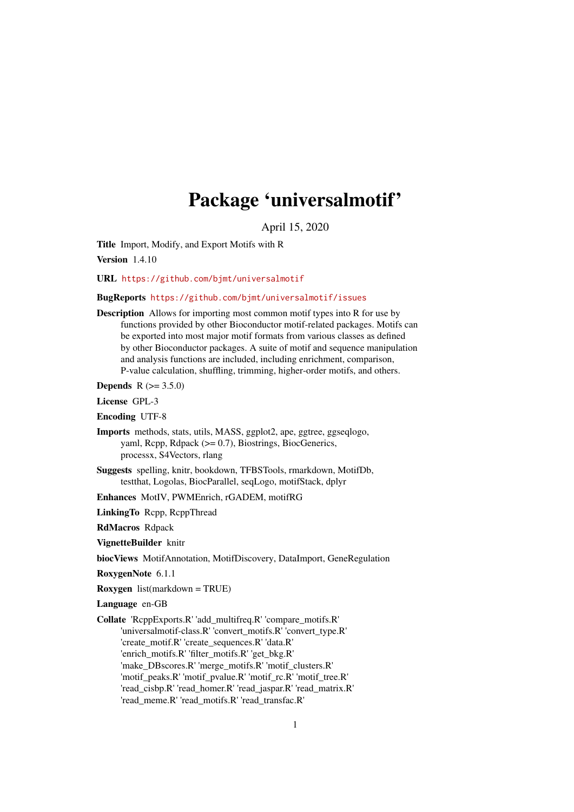# Package 'universalmotif'

April 15, 2020

<span id="page-0-0"></span>Title Import, Modify, and Export Motifs with R

Version 1.4.10

URL <https://github.com/bjmt/universalmotif>

#### BugReports <https://github.com/bjmt/universalmotif/issues>

Description Allows for importing most common motif types into R for use by functions provided by other Bioconductor motif-related packages. Motifs can be exported into most major motif formats from various classes as defined by other Bioconductor packages. A suite of motif and sequence manipulation and analysis functions are included, including enrichment, comparison, P-value calculation, shuffling, trimming, higher-order motifs, and others.

**Depends**  $R (= 3.5.0)$ 

License GPL-3

Encoding UTF-8

- Imports methods, stats, utils, MASS, ggplot2, ape, ggtree, ggseqlogo, yaml, Rcpp, Rdpack (>= 0.7), Biostrings, BiocGenerics, processx, S4Vectors, rlang
- Suggests spelling, knitr, bookdown, TFBSTools, rmarkdown, MotifDb, testthat, Logolas, BiocParallel, seqLogo, motifStack, dplyr
- Enhances MotIV, PWMEnrich, rGADEM, motifRG
- LinkingTo Rcpp, RcppThread

RdMacros Rdpack

VignetteBuilder knitr

biocViews MotifAnnotation, MotifDiscovery, DataImport, GeneRegulation

- RoxygenNote 6.1.1
- Roxygen list(markdown = TRUE)

Language en-GB

Collate 'RcppExports.R' 'add\_multifreq.R' 'compare\_motifs.R' 'universalmotif-class.R' 'convert\_motifs.R' 'convert\_type.R' 'create\_motif.R' 'create\_sequences.R' 'data.R' 'enrich\_motifs.R' 'filter\_motifs.R' 'get\_bkg.R' 'make\_DBscores.R' 'merge\_motifs.R' 'motif\_clusters.R' 'motif\_peaks.R' 'motif\_pvalue.R' 'motif\_rc.R' 'motif\_tree.R' 'read\_cisbp.R' 'read\_homer.R' 'read\_jaspar.R' 'read\_matrix.R' 'read\_meme.R' 'read\_motifs.R' 'read\_transfac.R'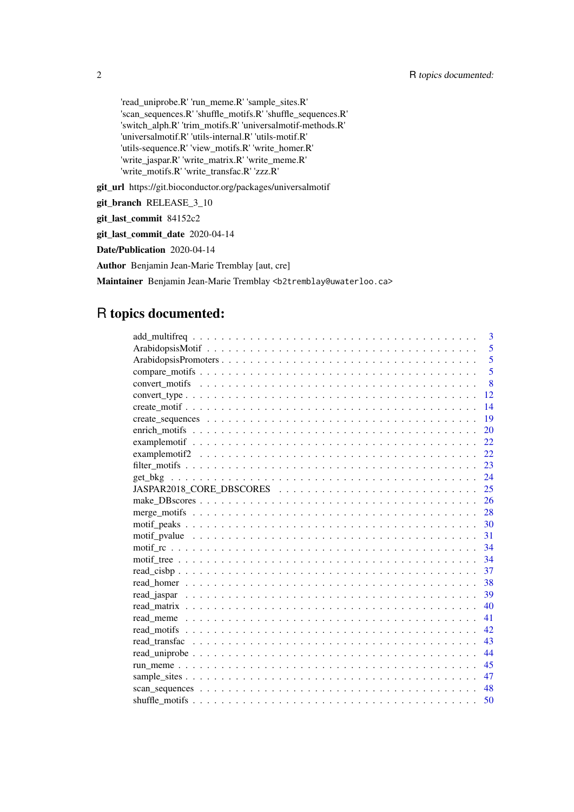'read\_uniprobe.R' 'run\_meme.R' 'sample\_sites.R' 'scan\_sequences.R' 'shuffle\_motifs.R' 'shuffle\_sequences.R' 'switch\_alph.R' 'trim\_motifs.R' 'universalmotif-methods.R' 'universalmotif.R' 'utils-internal.R' 'utils-motif.R' 'utils-sequence.R' 'view\_motifs.R' 'write\_homer.R' 'write\_jaspar.R' 'write\_matrix.R' 'write\_meme.R' 'write\_motifs.R' 'write\_transfac.R' 'zzz.R'

git\_url https://git.bioconductor.org/packages/universalmotif

git\_branch RELEASE\_3\_10

git\_last\_commit 84152c2

git\_last\_commit\_date 2020-04-14

Date/Publication 2020-04-14

Author Benjamin Jean-Marie Tremblay [aut, cre]

Maintainer Benjamin Jean-Marie Tremblay <b2tremblay@uwaterloo.ca>

# R topics documented:

|                                                                                                                       | 3    |
|-----------------------------------------------------------------------------------------------------------------------|------|
|                                                                                                                       | 5    |
|                                                                                                                       | 5    |
|                                                                                                                       | 5    |
|                                                                                                                       | 8    |
| $convert\_type \dots \dots \dots \dots \dots \dots \dots \dots \dots \dots \dots \dots \dots \dots \dots \dots \dots$ | 12   |
|                                                                                                                       | 14   |
|                                                                                                                       | 19   |
|                                                                                                                       | 20   |
|                                                                                                                       | 22   |
|                                                                                                                       | 22   |
|                                                                                                                       | 23   |
|                                                                                                                       | 24   |
|                                                                                                                       | 25   |
|                                                                                                                       | 26   |
|                                                                                                                       | - 28 |
|                                                                                                                       | -30  |
|                                                                                                                       | 31   |
|                                                                                                                       | 34   |
|                                                                                                                       | 34   |
|                                                                                                                       | 37   |
|                                                                                                                       | 38   |
|                                                                                                                       | 39   |
|                                                                                                                       | 40   |
|                                                                                                                       | 41   |
|                                                                                                                       | 42   |
|                                                                                                                       | 43   |
|                                                                                                                       | 44   |
|                                                                                                                       | 45   |
|                                                                                                                       | 47   |
|                                                                                                                       | 48   |
|                                                                                                                       | 50   |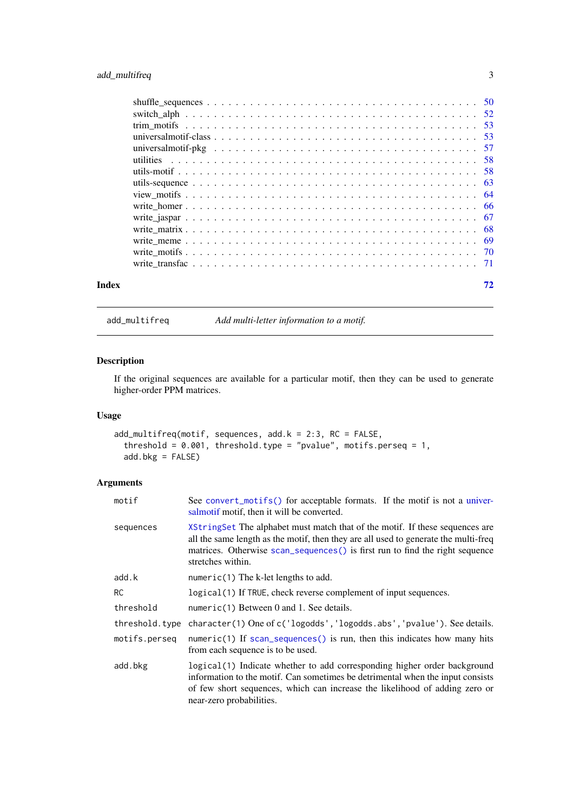<span id="page-2-0"></span>

| Index | 72 |
|-------|----|
|       |    |
|       |    |
|       |    |
|       |    |
|       |    |
|       |    |
|       |    |
|       |    |
|       |    |
|       |    |
|       |    |
|       |    |
|       |    |
|       |    |
|       |    |

<span id="page-2-1"></span>add\_multifreq *Add multi-letter information to a motif.*

# Description

If the original sequences are available for a particular motif, then they can be used to generate higher-order PPM matrices.

# Usage

```
add_multifreq(motif, sequences, add.k = 2:3, RC = FALSE,
  threshold = 0.001, threshold.type = "pvalue", motifs.perseq = 1,
  add.bkg = FALSE)
```

| motif          | See convert_motifs() for acceptable formats. If the motif is not a univer-<br>salmotif motif, then it will be converted.                                                                                                                                                  |
|----------------|---------------------------------------------------------------------------------------------------------------------------------------------------------------------------------------------------------------------------------------------------------------------------|
| sequences      | XStringSet The alphabet must match that of the motif. If these sequences are<br>all the same length as the motif, then they are all used to generate the multi-freq<br>matrices. Otherwise scan_sequences () is first run to find the right sequence<br>stretches within. |
| add.k          | $numeric(1)$ The k-let lengths to add.                                                                                                                                                                                                                                    |
| <b>RC</b>      | logical (1) If TRUE, check reverse complement of input sequences.                                                                                                                                                                                                         |
| threshold      | numeric(1) Between $0$ and $1$ . See details.                                                                                                                                                                                                                             |
| threshold.type | character(1) One of c('logodds', 'logodds.abs', 'pvalue'). See details.                                                                                                                                                                                                   |
| motifs.perseq  | numeric(1) If $scan\_sequences()$ is run, then this indicates how many hits<br>from each sequence is to be used.                                                                                                                                                          |
| add.bkg        | logical (1) Indicate whether to add corresponding higher order background<br>information to the motif. Can sometimes be detrimental when the input consists<br>of few short sequences, which can increase the likelihood of adding zero or<br>near-zero probabilities.    |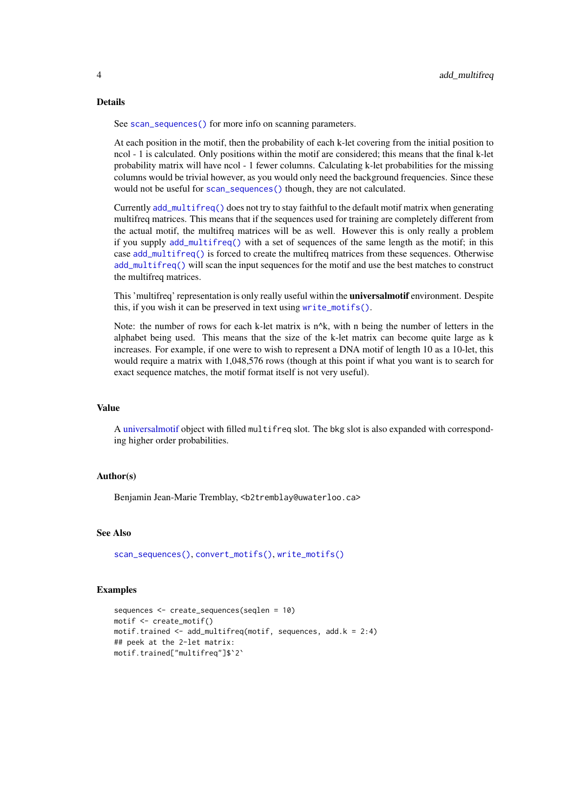#### Details

See [scan\\_sequences\(\)](#page-47-1) for more info on scanning parameters.

At each position in the motif, then the probability of each k-let covering from the initial position to ncol - 1 is calculated. Only positions within the motif are considered; this means that the final k-let probability matrix will have ncol - 1 fewer columns. Calculating k-let probabilities for the missing columns would be trivial however, as you would only need the background frequencies. Since these would not be useful for [scan\\_sequences\(\)](#page-47-1) though, they are not calculated.

Currently [add\\_multifreq\(\)](#page-2-1) does not try to stay faithful to the default motif matrix when generating multifreq matrices. This means that if the sequences used for training are completely different from the actual motif, the multifreq matrices will be as well. However this is only really a problem if you supply [add\\_multifreq\(\)](#page-2-1) with a set of sequences of the same length as the motif; in this case [add\\_multifreq\(\)](#page-2-1) is forced to create the multifreq matrices from these sequences. Otherwise add multifreq() will scan the input sequences for the motif and use the best matches to construct the multifreq matrices.

This 'multifreq' representation is only really useful within the universalmotif environment. Despite this, if you wish it can be preserved in text using [write\\_motifs\(\)](#page-69-1).

Note: the number of rows for each k-let matrix is  $n^k$ , with n being the number of letters in the alphabet being used. This means that the size of the k-let matrix can become quite large as k increases. For example, if one were to wish to represent a DNA motif of length 10 as a 10-let, this would require a matrix with 1,048,576 rows (though at this point if what you want is to search for exact sequence matches, the motif format itself is not very useful).

# Value

A [universalmotif](#page-52-1) object with filled multifreq slot. The bkg slot is also expanded with corresponding higher order probabilities.

#### Author(s)

Benjamin Jean-Marie Tremblay, <b2tremblay@uwaterloo.ca>

#### See Also

[scan\\_sequences\(\)](#page-47-1), [convert\\_motifs\(\)](#page-7-1), [write\\_motifs\(\)](#page-69-1)

#### Examples

```
sequences <- create_sequences(seqlen = 10)
motif <- create_motif()
motif.trained \leq add_multifreq(motif, sequences, add.k = 2:4)
## peek at the 2-let matrix:
motif.trained["multifreq"]$`2`
```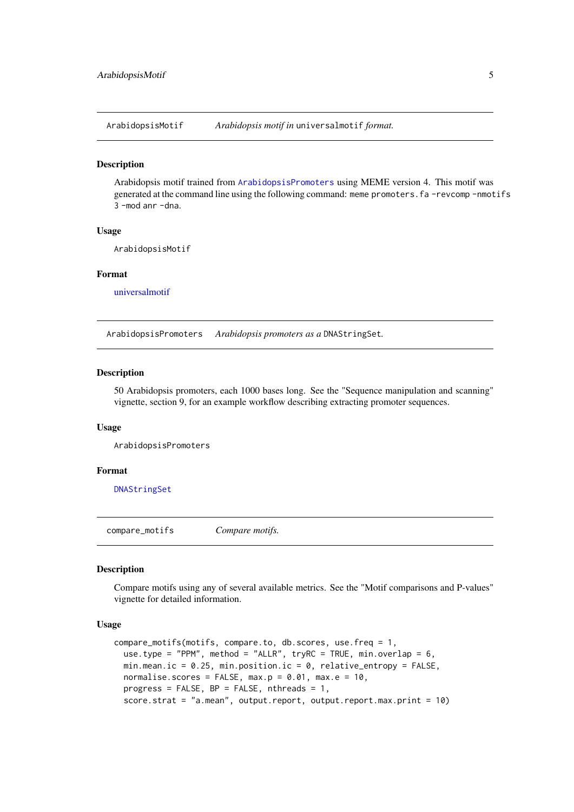<span id="page-4-0"></span>ArabidopsisMotif *Arabidopsis motif in* universalmotif *format.*

#### Description

Arabidopsis motif trained from [ArabidopsisPromoters](#page-4-1) using MEME version 4. This motif was generated at the command line using the following command: meme promoters.fa -revcomp -nmotifs 3 -mod anr -dna.

# Usage

ArabidopsisMotif

#### Format

[universalmotif](#page-52-1)

<span id="page-4-1"></span>ArabidopsisPromoters *Arabidopsis promoters as a* DNAStringSet*.*

#### Description

50 Arabidopsis promoters, each 1000 bases long. See the "Sequence manipulation and scanning" vignette, section 9, for an example workflow describing extracting promoter sequences.

# Usage

ArabidopsisPromoters

# Format

[DNAStringSet](#page-0-0)

<span id="page-4-2"></span>compare\_motifs *Compare motifs.*

# Description

Compare motifs using any of several available metrics. See the "Motif comparisons and P-values" vignette for detailed information.

#### Usage

```
compare_motifs(motifs, compare.to, db.scores, use.freq = 1,
 use.type = "PPM", method = "ALLR", tryRC = TRUE, min.overlap = 6,
 min.mean.ic = 0.25, min.position.ic = 0, relative_entropy = FALSE,
 normalise.scores = FALSE, max.p = 0.01, max.e = 10,
 progress = FALSE, BP = FALSE, nthreads = 1,
 score.strat = "a.mean", output.report, output.report.max.print = 10)
```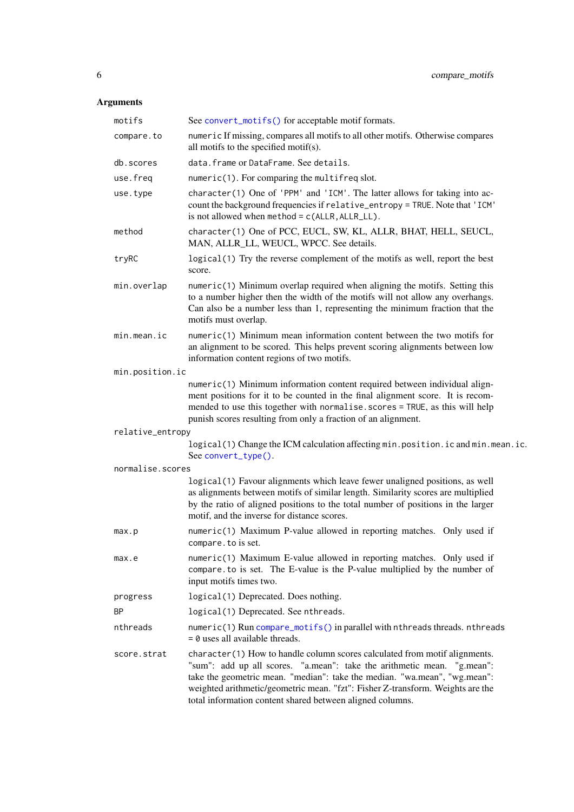| motifs           | See convert_motifs() for acceptable motif formats.                                                                                                                                                                                                                                                                                                                                |
|------------------|-----------------------------------------------------------------------------------------------------------------------------------------------------------------------------------------------------------------------------------------------------------------------------------------------------------------------------------------------------------------------------------|
| compare.to       | numeric If missing, compares all motifs to all other motifs. Otherwise compares<br>all motifs to the specified motif(s).                                                                                                                                                                                                                                                          |
| db.scores        | data. frame or DataFrame. See details.                                                                                                                                                                                                                                                                                                                                            |
| use.freq         | numeric(1). For comparing the multifreq slot.                                                                                                                                                                                                                                                                                                                                     |
| use.type         | character(1) One of 'PPM' and 'ICM'. The latter allows for taking into ac-<br>count the background frequencies if relative_entropy = TRUE. Note that 'ICM'<br>is not allowed when $method = c(ALLR, ALLR_LLL)$ .                                                                                                                                                                  |
| method           | character(1) One of PCC, EUCL, SW, KL, ALLR, BHAT, HELL, SEUCL,<br>MAN, ALLR_LL, WEUCL, WPCC. See details.                                                                                                                                                                                                                                                                        |
| tryRC            | logical (1) Try the reverse complement of the motifs as well, report the best<br>score.                                                                                                                                                                                                                                                                                           |
| min.overlap      | numeric(1) Minimum overlap required when aligning the motifs. Setting this<br>to a number higher then the width of the motifs will not allow any overhangs.<br>Can also be a number less than 1, representing the minimum fraction that the<br>motifs must overlap.                                                                                                               |
| min.mean.ic      | numeric(1) Minimum mean information content between the two motifs for<br>an alignment to be scored. This helps prevent scoring alignments between low<br>information content regions of two motifs.                                                                                                                                                                              |
| min.position.ic  |                                                                                                                                                                                                                                                                                                                                                                                   |
|                  | numeric(1) Minimum information content required between individual align-<br>ment positions for it to be counted in the final alignment score. It is recom-<br>mended to use this together with normalise. scores = TRUE, as this will help<br>punish scores resulting from only a fraction of an alignment.                                                                      |
| relative_entropy |                                                                                                                                                                                                                                                                                                                                                                                   |
|                  | logical(1) Change the ICM calculation affecting min.position.ic and min.mean.ic.<br>See convert_type().                                                                                                                                                                                                                                                                           |
| normalise.scores |                                                                                                                                                                                                                                                                                                                                                                                   |
|                  | logical(1) Favour alignments which leave fewer unaligned positions, as well<br>as alignments between motifs of similar length. Similarity scores are multiplied<br>by the ratio of aligned positions to the total number of positions in the larger<br>motif, and the inverse for distance scores.                                                                                |
| max.p            | numeric(1) Maximum P-value allowed in reporting matches. Only used if<br>compare. to is set.                                                                                                                                                                                                                                                                                      |
| max.e            | numeric(1) Maximum E-value allowed in reporting matches. Only used if<br>compare to is set. The E-value is the P-value multiplied by the number of<br>input motifs times two.                                                                                                                                                                                                     |
| progress         | logical(1) Deprecated. Does nothing.                                                                                                                                                                                                                                                                                                                                              |
| BP               | logical(1) Deprecated. See nthreads.                                                                                                                                                                                                                                                                                                                                              |
| nthreads         | numeric(1) Run compare_motifs() in parallel with nthreads threads. nthreads<br>$= 0$ uses all available threads.                                                                                                                                                                                                                                                                  |
| score.strat      | character(1) How to handle column scores calculated from motif alignments.<br>"sum": add up all scores. "a.mean": take the arithmetic mean. "g.mean":<br>take the geometric mean. "median": take the median. "wa.mean", "wg.mean":<br>weighted arithmetic/geometric mean. "fzt": Fisher Z-transform. Weights are the<br>total information content shared between aligned columns. |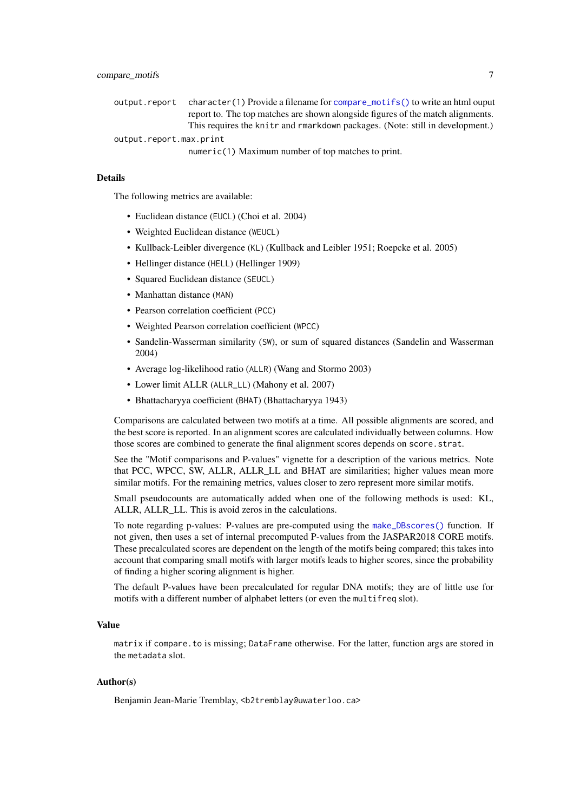output.report character(1) Provide a filename for [compare\\_motifs\(\)](#page-4-2) to write an html ouput report to. The top matches are shown alongside figures of the match alignments. This requires the knitr and rmarkdown packages. (Note: still in development.) output.report.max.print

numeric(1) Maximum number of top matches to print.

#### **Details**

The following metrics are available:

- Euclidean distance (EUCL) (Choi et al. 2004)
- Weighted Euclidean distance (WEUCL)
- Kullback-Leibler divergence (KL) (Kullback and Leibler 1951; Roepcke et al. 2005)
- Hellinger distance (HELL) (Hellinger 1909)
- Squared Euclidean distance (SEUCL)
- Manhattan distance (MAN)
- Pearson correlation coefficient (PCC)
- Weighted Pearson correlation coefficient (WPCC)
- Sandelin-Wasserman similarity (SW), or sum of squared distances (Sandelin and Wasserman 2004)
- Average log-likelihood ratio (ALLR) (Wang and Stormo 2003)
- Lower limit ALLR (ALLR\_LL) (Mahony et al. 2007)
- Bhattacharyya coefficient (BHAT) (Bhattacharyya 1943)

Comparisons are calculated between two motifs at a time. All possible alignments are scored, and the best score is reported. In an alignment scores are calculated individually between columns. How those scores are combined to generate the final alignment scores depends on score.strat.

See the "Motif comparisons and P-values" vignette for a description of the various metrics. Note that PCC, WPCC, SW, ALLR, ALLR\_LL and BHAT are similarities; higher values mean more similar motifs. For the remaining metrics, values closer to zero represent more similar motifs.

Small pseudocounts are automatically added when one of the following methods is used: KL, ALLR, ALLR<sub>LL</sub>. This is avoid zeros in the calculations.

To note regarding p-values: P-values are pre-computed using the [make\\_DBscores\(\)](#page-25-1) function. If not given, then uses a set of internal precomputed P-values from the JASPAR2018 CORE motifs. These precalculated scores are dependent on the length of the motifs being compared; this takes into account that comparing small motifs with larger motifs leads to higher scores, since the probability of finding a higher scoring alignment is higher.

The default P-values have been precalculated for regular DNA motifs; they are of little use for motifs with a different number of alphabet letters (or even the multifreq slot).

#### Value

matrix if compare. to is missing; DataFrame otherwise. For the latter, function args are stored in the metadata slot.

# Author(s)

Benjamin Jean-Marie Tremblay, <b2tremblay@uwaterloo.ca>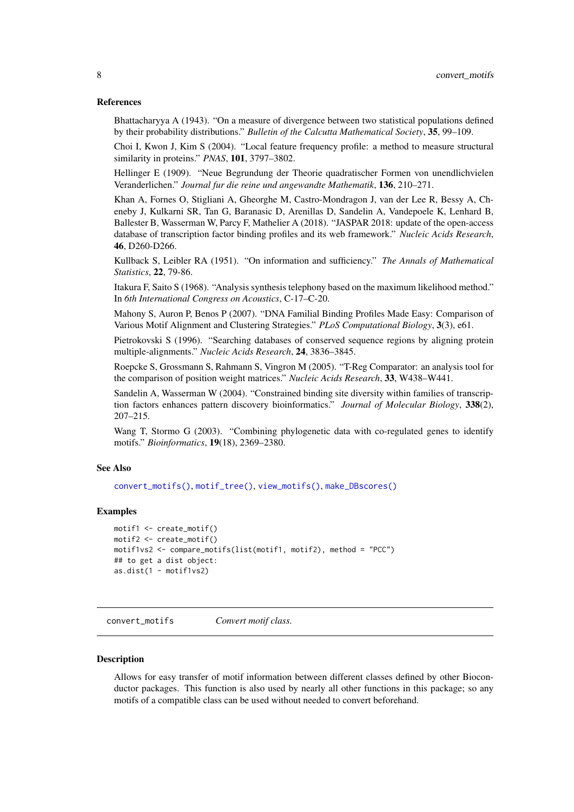#### <span id="page-7-0"></span>References

Bhattacharyya A (1943). "On a measure of divergence between two statistical populations defined by their probability distributions." *Bulletin of the Calcutta Mathematical Society*, 35, 99–109.

Choi I, Kwon J, Kim S (2004). "Local feature frequency profile: a method to measure structural similarity in proteins." *PNAS*, 101, 3797–3802.

Hellinger E (1909). "Neue Begrundung der Theorie quadratischer Formen von unendlichvielen Veranderlichen." *Journal fur die reine und angewandte Mathematik*, 136, 210–271.

Khan A, Fornes O, Stigliani A, Gheorghe M, Castro-Mondragon J, van der Lee R, Bessy A, Cheneby J, Kulkarni SR, Tan G, Baranasic D, Arenillas D, Sandelin A, Vandepoele K, Lenhard B, Ballester B, Wasserman W, Parcy F, Mathelier A (2018). "JASPAR 2018: update of the open-access database of transcription factor binding profiles and its web framework." *Nucleic Acids Research*, 46, D260-D266.

Kullback S, Leibler RA (1951). "On information and sufficiency." *The Annals of Mathematical Statistics*, 22, 79-86.

Itakura F, Saito S (1968). "Analysis synthesis telephony based on the maximum likelihood method." In *6th International Congress on Acoustics*, C-17–C-20.

Mahony S, Auron P, Benos P (2007). "DNA Familial Binding Profiles Made Easy: Comparison of Various Motif Alignment and Clustering Strategies." *PLoS Computational Biology*, 3(3), e61.

Pietrokovski S (1996). "Searching databases of conserved sequence regions by aligning protein multiple-alignments." *Nucleic Acids Research*, 24, 3836–3845.

Roepcke S, Grossmann S, Rahmann S, Vingron M (2005). "T-Reg Comparator: an analysis tool for the comparison of position weight matrices." *Nucleic Acids Research*, 33, W438–W441.

Sandelin A, Wasserman W (2004). "Constrained binding site diversity within families of transcription factors enhances pattern discovery bioinformatics." *Journal of Molecular Biology*, 338(2), 207–215.

Wang T, Stormo G (2003). "Combining phylogenetic data with co-regulated genes to identify motifs." *Bioinformatics*, 19(18), 2369–2380.

#### See Also

[convert\\_motifs\(\)](#page-7-1), [motif\\_tree\(\)](#page-33-1), [view\\_motifs\(\)](#page-63-1), [make\\_DBscores\(\)](#page-25-1)

#### Examples

```
motif1 <- create_motif()
motif2 <- create_motif()
motif1vs2 <- compare_motifs(list(motif1, motif2), method = "PCC")
## to get a dist object:
as.dist(1 - motif1vs2)
```
<span id="page-7-1"></span>convert\_motifs *Convert motif class.*

#### Description

Allows for easy transfer of motif information between different classes defined by other Bioconductor packages. This function is also used by nearly all other functions in this package; so any motifs of a compatible class can be used without needed to convert beforehand.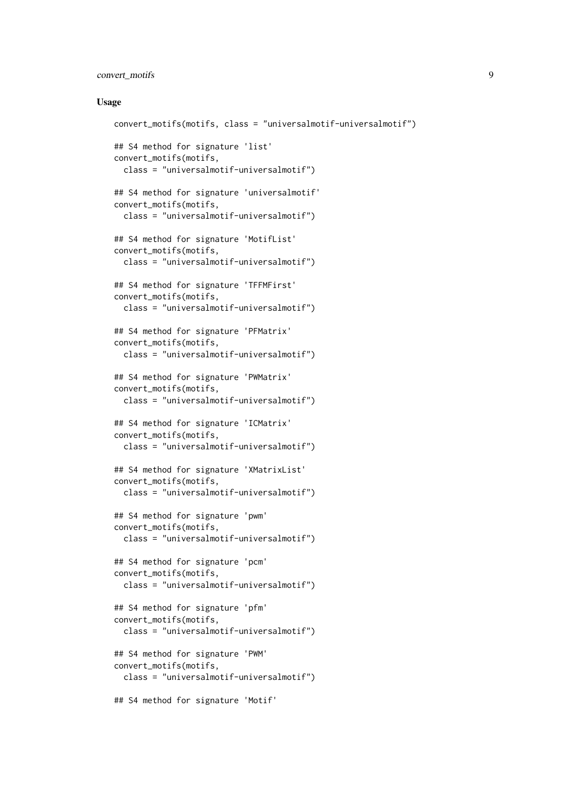# convert\_motifs 9

#### Usage

```
convert_motifs(motifs, class = "universalmotif-universalmotif")
## S4 method for signature 'list'
convert_motifs(motifs,
  class = "universalmotif-universalmotif")
## S4 method for signature 'universalmotif'
convert_motifs(motifs,
 class = "universalmotif-universalmotif")
## S4 method for signature 'MotifList'
convert_motifs(motifs,
 class = "universalmotif-universalmotif")
## S4 method for signature 'TFFMFirst'
convert_motifs(motifs,
 class = "universalmotif-universalmotif")
## S4 method for signature 'PFMatrix'
convert_motifs(motifs,
  class = "universalmotif-universalmotif")
## S4 method for signature 'PWMatrix'
convert_motifs(motifs,
 class = "universalmotif-universalmotif")
## S4 method for signature 'ICMatrix'
convert_motifs(motifs,
 class = "universalmotif-universalmotif")
## S4 method for signature 'XMatrixList'
convert_motifs(motifs,
  class = "universalmotif-universalmotif")
## S4 method for signature 'pwm'
convert_motifs(motifs,
  class = "universalmotif-universalmotif")
## S4 method for signature 'pcm'
convert_motifs(motifs,
  class = "universalmotif-universalmotif")
## S4 method for signature 'pfm'
convert_motifs(motifs,
 class = "universalmotif-universalmotif")
## S4 method for signature 'PWM'
convert_motifs(motifs,
  class = "universalmotif-universalmotif")
## S4 method for signature 'Motif'
```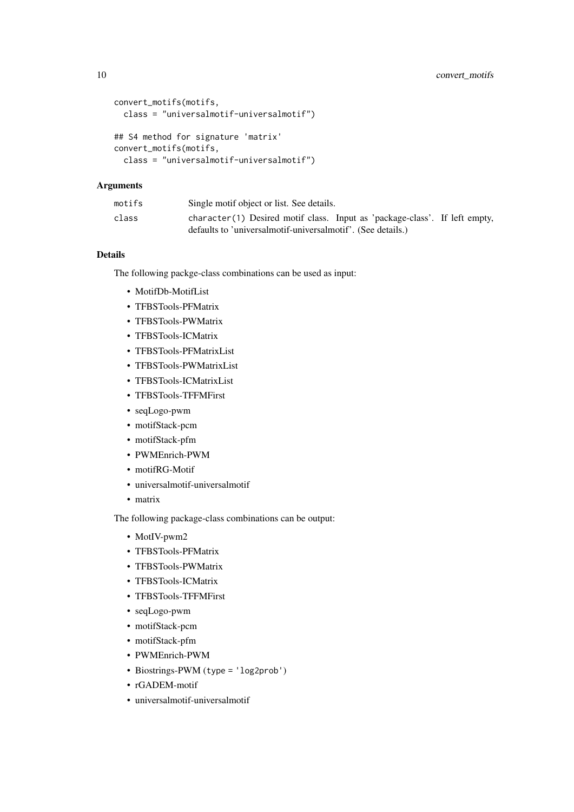```
convert_motifs(motifs,
 class = "universalmotif-universalmotif")
## S4 method for signature 'matrix'
convert_motifs(motifs,
 class = "universalmotif-universalmotif")
```
# Arguments

| motifs | Single motif object or list. See details.                                                                                                 |
|--------|-------------------------------------------------------------------------------------------------------------------------------------------|
| class  | character(1) Desired motif class. Input as 'package-class'. If left empty,<br>defaults to 'universalmotif-universalmotif'. (See details.) |

# Details

The following packge-class combinations can be used as input:

- MotifDb-MotifList
- TFBSTools-PFMatrix
- TFBSTools-PWMatrix
- TFBSTools-ICMatrix
- TFBSTools-PFMatrixList
- TFBSTools-PWMatrixList
- TFBSTools-ICMatrixList
- TFBSTools-TFFMFirst
- seqLogo-pwm
- motifStack-pcm
- motifStack-pfm
- PWMEnrich-PWM
- motifRG-Motif
- universalmotif-universalmotif
- matrix

The following package-class combinations can be output:

- MotIV-pwm2
- TFBSTools-PFMatrix
- TFBSTools-PWMatrix
- TFBSTools-ICMatrix
- TFBSTools-TFFMFirst
- seqLogo-pwm
- motifStack-pcm
- motifStack-pfm
- PWMEnrich-PWM
- Biostrings-PWM (type = 'log2prob')
- rGADEM-motif
- universalmotif-universalmotif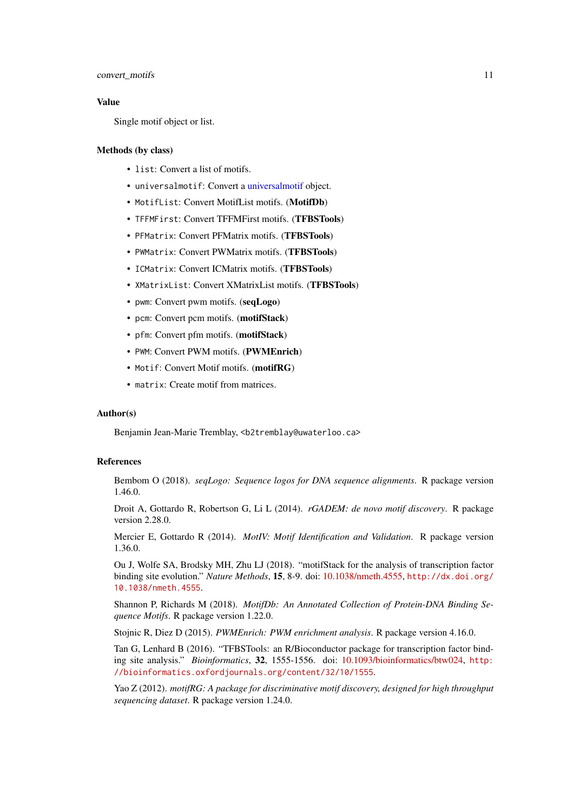#### convert\_motifs 11

#### Value

Single motif object or list.

#### Methods (by class)

- list: Convert a list of motifs.
- universalmotif: Convert a [universalmotif](#page-52-1) object.
- MotifList: Convert MotifList motifs. (MotifDb)
- TFFMFirst: Convert TFFMFirst motifs. (TFBSTools)
- PFMatrix: Convert PFMatrix motifs. (TFBSTools)
- PWMatrix: Convert PWMatrix motifs. (TFBSTools)
- ICMatrix: Convert ICMatrix motifs. (TFBSTools)
- XMatrixList: Convert XMatrixList motifs. (TFBSTools)
- pwm: Convert pwm motifs. (seqLogo)
- pcm: Convert pcm motifs. (motifStack)
- pfm: Convert pfm motifs. (motifStack)
- PWM: Convert PWM motifs. (PWMEnrich)
- Motif: Convert Motif motifs. (motifRG)
- matrix: Create motif from matrices.

#### Author(s)

Benjamin Jean-Marie Tremblay, <b2tremblay@uwaterloo.ca>

# References

Bembom O (2018). *seqLogo: Sequence logos for DNA sequence alignments*. R package version 1.46.0.

Droit A, Gottardo R, Robertson G, Li L (2014). *rGADEM: de novo motif discovery*. R package version 2.28.0.

Mercier E, Gottardo R (2014). *MotIV: Motif Identification and Validation*. R package version 1.36.0.

Ou J, Wolfe SA, Brodsky MH, Zhu LJ (2018). "motifStack for the analysis of transcription factor binding site evolution." *Nature Methods*, 15, 8-9. doi: [10.1038/nmeth.4555,](https://doi.org/10.1038/nmeth.4555) [http://dx.doi.org/](http://dx.doi.org/10.1038/nmeth.4555) [10.1038/nmeth.4555](http://dx.doi.org/10.1038/nmeth.4555).

Shannon P, Richards M (2018). *MotifDb: An Annotated Collection of Protein-DNA Binding Sequence Motifs*. R package version 1.22.0.

Stojnic R, Diez D (2015). *PWMEnrich: PWM enrichment analysis*. R package version 4.16.0.

Tan G, Lenhard B (2016). "TFBSTools: an R/Bioconductor package for transcription factor binding site analysis." *Bioinformatics*, 32, 1555-1556. doi: [10.1093/bioinformatics/btw024,](https://doi.org/10.1093/bioinformatics/btw024) [http:](http://bioinformatics.oxfordjournals.org/content/32/10/1555) [//bioinformatics.oxfordjournals.org/content/32/10/1555](http://bioinformatics.oxfordjournals.org/content/32/10/1555).

Yao Z (2012). *motifRG: A package for discriminative motif discovery, designed for high throughput sequencing dataset*. R package version 1.24.0.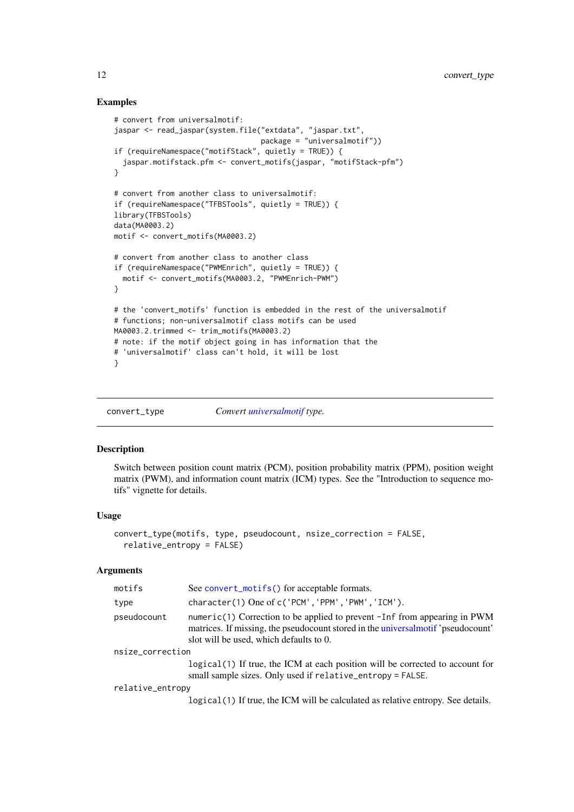#### Examples

```
# convert from universalmotif:
jaspar <- read_jaspar(system.file("extdata", "jaspar.txt",
                                 package = "universalmotif"))
if (requireNamespace("motifStack", quietly = TRUE)) {
  jaspar.motifstack.pfm <- convert_motifs(jaspar, "motifStack-pfm")
}
# convert from another class to universalmotif:
if (requireNamespace("TFBSTools", quietly = TRUE)) {
library(TFBSTools)
data(MA0003.2)
motif <- convert_motifs(MA0003.2)
# convert from another class to another class
if (requireNamespace("PWMEnrich", quietly = TRUE)) {
  motif <- convert_motifs(MA0003.2, "PWMEnrich-PWM")
}
# the 'convert_motifs' function is embedded in the rest of the universalmotif
# functions; non-universalmotif class motifs can be used
MA0003.2.trimmed <- trim_motifs(MA0003.2)
# note: if the motif object going in has information that the
# 'universalmotif' class can't hold, it will be lost
}
```
<span id="page-11-1"></span>convert\_type *Convert [universalmotif](#page-52-1) type.*

# Description

Switch between position count matrix (PCM), position probability matrix (PPM), position weight matrix (PWM), and information count matrix (ICM) types. See the "Introduction to sequence motifs" vignette for details.

#### Usage

```
convert_type(motifs, type, pseudocount, nsize_correction = FALSE,
  relative_entropy = FALSE)
```
#### Arguments

| motifs           | See convert_motifs() for acceptable formats.                                                                                                                                                              |
|------------------|-----------------------------------------------------------------------------------------------------------------------------------------------------------------------------------------------------------|
| type             | character(1) One of c('PCM', 'PPM', 'PWM', 'ICM').                                                                                                                                                        |
| pseudocount      | numeric(1) Correction to be applied to prevent -Inf from appearing in PWM<br>matrices. If missing, the pseudocount stored in the universal motif 'pseudocount'<br>slot will be used, which defaults to 0. |
| nsize_correction |                                                                                                                                                                                                           |

logical(1) If true, the ICM at each position will be corrected to account for small sample sizes. Only used if relative\_entropy = FALSE.

#### relative\_entropy

logical(1) If true, the ICM will be calculated as relative entropy. See details.

<span id="page-11-0"></span>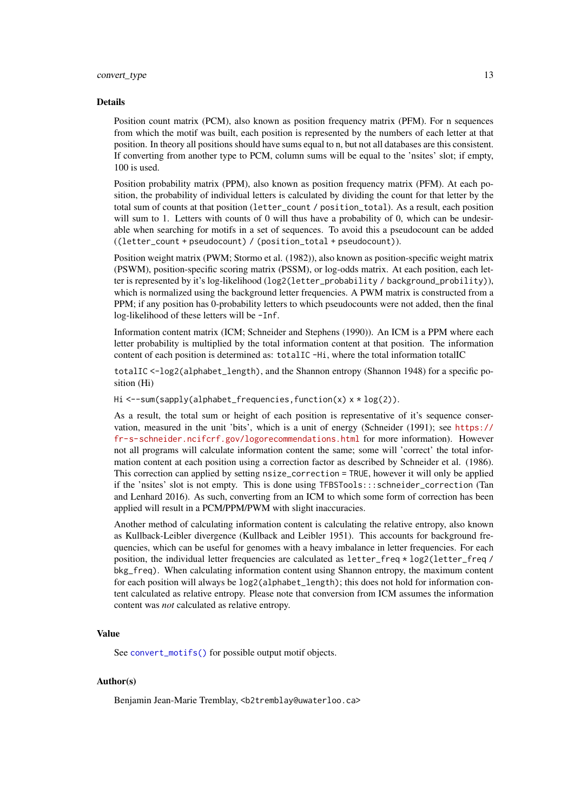#### convert\_type 13

#### Details

Position count matrix (PCM), also known as position frequency matrix (PFM). For n sequences from which the motif was built, each position is represented by the numbers of each letter at that position. In theory all positions should have sums equal to n, but not all databases are this consistent. If converting from another type to PCM, column sums will be equal to the 'nsites' slot; if empty, 100 is used.

Position probability matrix (PPM), also known as position frequency matrix (PFM). At each position, the probability of individual letters is calculated by dividing the count for that letter by the total sum of counts at that position (letter\_count / position\_total). As a result, each position will sum to 1. Letters with counts of 0 will thus have a probability of 0, which can be undesirable when searching for motifs in a set of sequences. To avoid this a pseudocount can be added  $((letter count + pseudocount) / (position total + pseudocount)).$ 

Position weight matrix (PWM; Stormo et al. (1982)), also known as position-specific weight matrix (PSWM), position-specific scoring matrix (PSSM), or log-odds matrix. At each position, each letter is represented by it's log-likelihood (log2(letter\_probability / background\_probility)), which is normalized using the background letter frequencies. A PWM matrix is constructed from a PPM; if any position has 0-probability letters to which pseudocounts were not added, then the final log-likelihood of these letters will be -Inf.

Information content matrix (ICM; Schneider and Stephens (1990)). An ICM is a PPM where each letter probability is multiplied by the total information content at that position. The information content of each position is determined as: totalIC -Hi, where the total information totalIC

totalIC <-log2(alphabet\_length), and the Shannon entropy (Shannon 1948) for a specific position (Hi)

Hi <--sum(sapply(alphabet\_frequencies,function(x) x \* log(2)).

As a result, the total sum or height of each position is representative of it's sequence conservation, measured in the unit 'bits', which is a unit of energy (Schneider (1991); see [https://](https://fr-s-schneider.ncifcrf.gov/logorecommendations.html) [fr-s-schneider.ncifcrf.gov/logorecommendations.html](https://fr-s-schneider.ncifcrf.gov/logorecommendations.html) for more information). However not all programs will calculate information content the same; some will 'correct' the total information content at each position using a correction factor as described by Schneider et al. (1986). This correction can applied by setting nsize\_correction = TRUE, however it will only be applied if the 'nsites' slot is not empty. This is done using TFBSTools:::schneider\_correction (Tan and Lenhard 2016). As such, converting from an ICM to which some form of correction has been applied will result in a PCM/PPM/PWM with slight inaccuracies.

Another method of calculating information content is calculating the relative entropy, also known as Kullback-Leibler divergence (Kullback and Leibler 1951). This accounts for background frequencies, which can be useful for genomes with a heavy imbalance in letter frequencies. For each position, the individual letter frequencies are calculated as letter\_freq \* log2(letter\_freq / bkg\_freq). When calculating information content using Shannon entropy, the maximum content for each position will always be log2(alphabet\_length); this does not hold for information content calculated as relative entropy. Please note that conversion from ICM assumes the information content was *not* calculated as relative entropy.

# Value

See [convert\\_motifs\(\)](#page-7-1) for possible output motif objects.

#### Author(s)

Benjamin Jean-Marie Tremblay, <b2tremblay@uwaterloo.ca>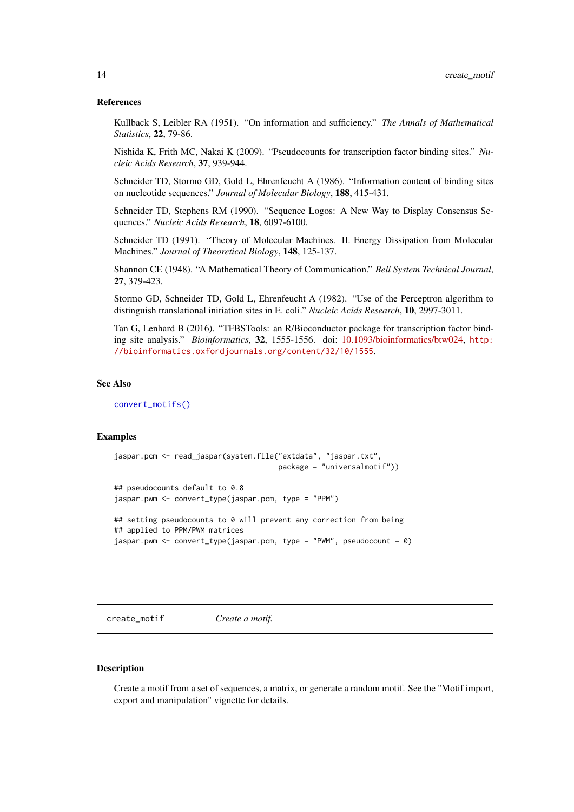#### <span id="page-13-0"></span>References

Kullback S, Leibler RA (1951). "On information and sufficiency." *The Annals of Mathematical Statistics*, 22, 79-86.

Nishida K, Frith MC, Nakai K (2009). "Pseudocounts for transcription factor binding sites." *Nucleic Acids Research*, 37, 939-944.

Schneider TD, Stormo GD, Gold L, Ehrenfeucht A (1986). "Information content of binding sites on nucleotide sequences." *Journal of Molecular Biology*, 188, 415-431.

Schneider TD, Stephens RM (1990). "Sequence Logos: A New Way to Display Consensus Sequences." *Nucleic Acids Research*, 18, 6097-6100.

Schneider TD (1991). "Theory of Molecular Machines. II. Energy Dissipation from Molecular Machines." *Journal of Theoretical Biology*, 148, 125-137.

Shannon CE (1948). "A Mathematical Theory of Communication." *Bell System Technical Journal*, 27, 379-423.

Stormo GD, Schneider TD, Gold L, Ehrenfeucht A (1982). "Use of the Perceptron algorithm to distinguish translational initiation sites in E. coli." *Nucleic Acids Research*, 10, 2997-3011.

Tan G, Lenhard B (2016). "TFBSTools: an R/Bioconductor package for transcription factor binding site analysis." *Bioinformatics*, 32, 1555-1556. doi: [10.1093/bioinformatics/btw024,](https://doi.org/10.1093/bioinformatics/btw024) [http:](http://bioinformatics.oxfordjournals.org/content/32/10/1555) [//bioinformatics.oxfordjournals.org/content/32/10/1555](http://bioinformatics.oxfordjournals.org/content/32/10/1555).

#### See Also

[convert\\_motifs\(\)](#page-7-1)

# Examples

```
jaspar.pcm <- read_jaspar(system.file("extdata", "jaspar.txt",
                                      package = "universalmotif"))
## pseudocounts default to 0.8
jaspar.pwm <- convert_type(jaspar.pcm, type = "PPM")
## setting pseudocounts to 0 will prevent any correction from being
## applied to PPM/PWM matrices
jaspar.pwm <- convert_type(jaspar.pcm, type = "PWM", pseudocount = 0)
```
<span id="page-13-1"></span>create\_motif *Create a motif.*

#### Description

Create a motif from a set of sequences, a matrix, or generate a random motif. See the "Motif import, export and manipulation" vignette for details.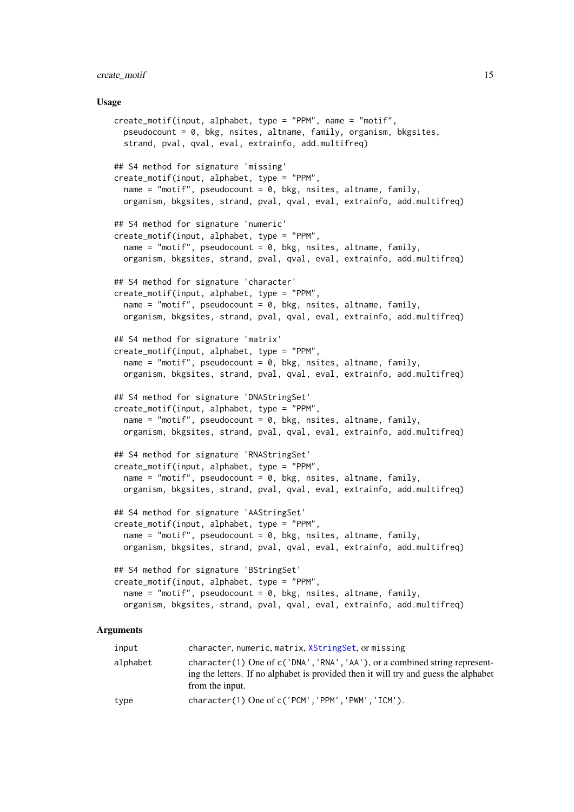#### create\_motif 15

#### Usage

```
create_motif(input, alphabet, type = "PPM", name = "motif",
     pseudocount = 0, bkg, nsites, altname, family, organism, bkgsites,
     strand, pval, qval, eval, extrainfo, add.multifreq)
   ## S4 method for signature 'missing'
   create_motif(input, alphabet, type = "PPM",
     name = "motif", pseudocount = 0, bkg, nsites, altname, family,
     organism, bkgsites, strand, pval, qval, eval, extrainfo, add.multifreq)
   ## S4 method for signature 'numeric'
   create_motif(input, alphabet, type = "PPM",
     name = "motif", pseudocount = 0, bkg, nsites, altname, family,
     organism, bkgsites, strand, pval, qval, eval, extrainfo, add.multifreq)
   ## S4 method for signature 'character'
   create_motif(input, alphabet, type = "PPM",
     name = "motif", pseudocount = 0, bkg, nsites, altname, family,
     organism, bkgsites, strand, pval, qval, eval, extrainfo, add.multifreq)
   ## S4 method for signature 'matrix'
   create_motif(input, alphabet, type = "PPM",
     name = "motif", pseudocount = 0, bkg, nsites, altname, family,
     organism, bkgsites, strand, pval, qval, eval, extrainfo, add.multifreq)
   ## S4 method for signature 'DNAStringSet'
   create_motif(input, alphabet, type = "PPM",
     name = "motif", pseudocount = 0, bkg, nsites, altname, family,
     organism, bkgsites, strand, pval, qval, eval, extrainfo, add.multifreq)
   ## S4 method for signature 'RNAStringSet'
   create_motif(input, alphabet, type = "PPM",
     name = "motif", pseudocount = 0, bkg, nsites, altname, family,
     organism, bkgsites, strand, pval, qval, eval, extrainfo, add.multifreq)
   ## S4 method for signature 'AAStringSet'
   create_motif(input, alphabet, type = "PPM",
     name = "motif", pseudocount = 0, bkg, nsites, altname, family,
     organism, bkgsites, strand, pval, qval, eval, extrainfo, add.multifreq)
   ## S4 method for signature 'BStringSet'
   create_motif(input, alphabet, type = "PPM",
     name = "motif", pseudocount = 0, bkg, nsites, altname, family,
     organism, bkgsites, strand, pval, qval, eval, extrainfo, add.multifreq)
Arguments
```

| input    | character, numeric, matrix, XStringSet, or missing                                                                                                                                   |
|----------|--------------------------------------------------------------------------------------------------------------------------------------------------------------------------------------|
| alphabet | character(1) One of c('DNA', 'RNA', 'AA'), or a combined string represent-<br>ing the letters. If no alphabet is provided then it will try and guess the alphabet<br>from the input. |
| type     | $character(1)$ One of $c('PCM', 'PPM', 'PWM', 'ICM').$                                                                                                                               |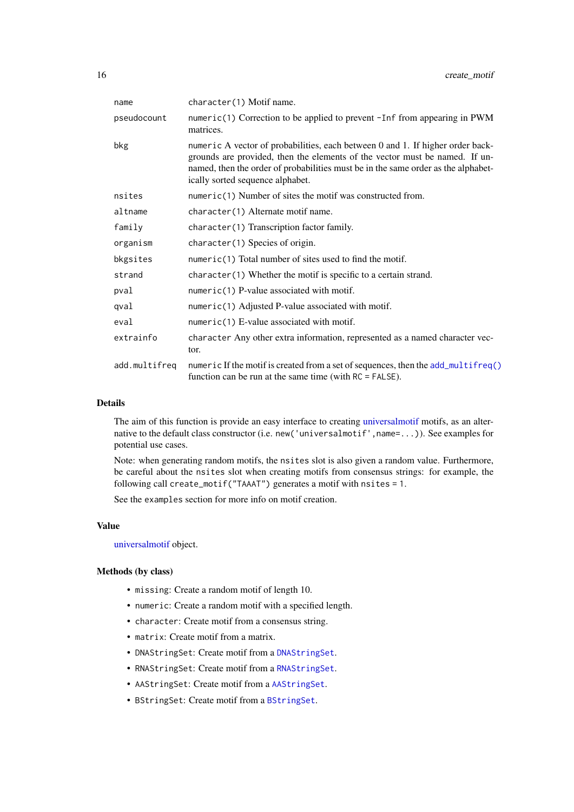| name          | character(1) Motif name.                                                                                                                                                                                                                                                               |
|---------------|----------------------------------------------------------------------------------------------------------------------------------------------------------------------------------------------------------------------------------------------------------------------------------------|
| pseudocount   | numeric(1) Correction to be applied to prevent -Inf from appearing in PWM<br>matrices.                                                                                                                                                                                                 |
| bkg           | numeric A vector of probabilities, each between 0 and 1. If higher order back-<br>grounds are provided, then the elements of the vector must be named. If un-<br>named, then the order of probabilities must be in the same order as the alphabet-<br>ically sorted sequence alphabet. |
| nsites        | numeric(1) Number of sites the motif was constructed from.                                                                                                                                                                                                                             |
| altname       | character(1) Alternate motif name.                                                                                                                                                                                                                                                     |
| family        | character(1) Transcription factor family.                                                                                                                                                                                                                                              |
| organism      | character(1) Species of origin.                                                                                                                                                                                                                                                        |
| bkgsites      | numeric(1) Total number of sites used to find the motif.                                                                                                                                                                                                                               |
| strand        | $character(1)$ Whether the motif is specific to a certain strand.                                                                                                                                                                                                                      |
| pval          | $numeric(1)$ P-value associated with motif.                                                                                                                                                                                                                                            |
| qval          | numeric(1) Adjusted P-value associated with motif.                                                                                                                                                                                                                                     |
| eval          | $numeric(1)$ E-value associated with motif.                                                                                                                                                                                                                                            |
| extrainfo     | character Any other extra information, represented as a named character vec-<br>tor.                                                                                                                                                                                                   |
| add.multifreq | numeric If the motif is created from a set of sequences, then the add_multifreq()<br>function can be run at the same time (with $RC = FALSE$ ).                                                                                                                                        |

#### Details

The aim of this function is provide an easy interface to creating [universalmotif](#page-52-1) motifs, as an alternative to the default class constructor (i.e. new('universalmotif', name=...)). See examples for potential use cases.

Note: when generating random motifs, the nsites slot is also given a random value. Furthermore, be careful about the nsites slot when creating motifs from consensus strings: for example, the following call create\_motif("TAAAT") generates a motif with nsites = 1.

See the examples section for more info on motif creation.

# Value

[universalmotif](#page-52-1) object.

#### Methods (by class)

- missing: Create a random motif of length 10.
- numeric: Create a random motif with a specified length.
- character: Create motif from a consensus string.
- matrix: Create motif from a matrix.
- DNAStringSet: Create motif from a [DNAStringSet](#page-0-0).
- RNAStringSet: Create motif from a [RNAStringSet](#page-0-0).
- AAStringSet: Create motif from a [AAStringSet](#page-0-0).
- BStringSet: Create motif from a [BStringSet](#page-0-0).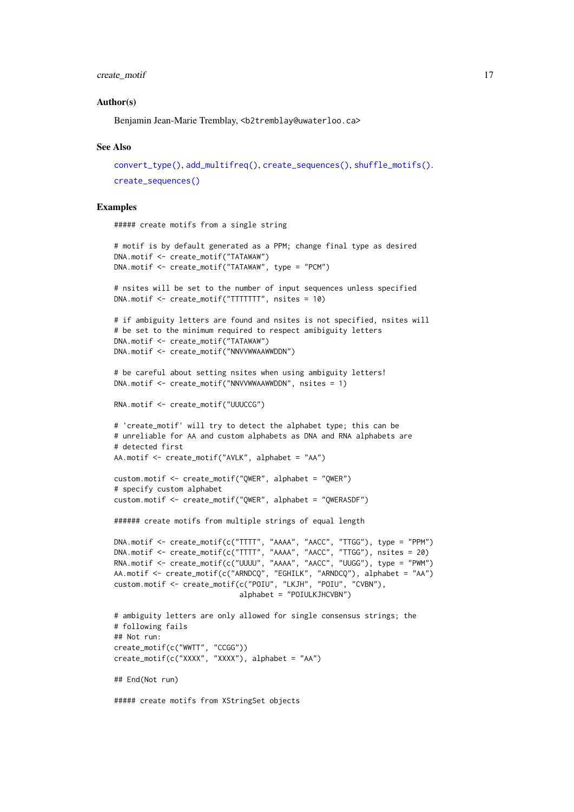#### create\_motif 17

#### Author(s)

Benjamin Jean-Marie Tremblay, <b2tremblay@uwaterloo.ca>

#### See Also

```
convert_type(), add_multifreq(), create_sequences(), shuffle_motifs().
create_sequences()
```
#### Examples

```
##### create motifs from a single string
```

```
# motif is by default generated as a PPM; change final type as desired
DNA.motif <- create_motif("TATAWAW")
DNA.motif <- create_motif("TATAWAW", type = "PCM")
# nsites will be set to the number of input sequences unless specified
DNA.motif <- create_motif("TTTTTTT", nsites = 10)
# if ambiguity letters are found and nsites is not specified, nsites will
# be set to the minimum required to respect amibiguity letters
DNA.motif <- create_motif("TATAWAW")
DNA.motif <- create_motif("NNVVWWAAWWDDN")
# be careful about setting nsites when using ambiguity letters!
DNA.motif <- create_motif("NNVVWWAAWWDDN", nsites = 1)
RNA.motif <- create_motif("UUUCCG")
# 'create_motif' will try to detect the alphabet type; this can be
# unreliable for AA and custom alphabets as DNA and RNA alphabets are
# detected first
AA.motif <- create_motif("AVLK", alphabet = "AA")
custom.motif <- create_motif("QWER", alphabet = "QWER")
# specify custom alphabet
custom.motif <- create_motif("QWER", alphabet = "QWERASDF")
###### create motifs from multiple strings of equal length
DNA.motif <- create_motif(c("TTTT", "AAAA", "AACC", "TTGG"), type = "PPM")
DNA.motif <- create_motif(c("TTTT", "AAAA", "AACC", "TTGG"), nsites = 20)
RNA.motif <- create_motif(c("UUUU", "AAAA", "AACC", "UUGG"), type = "PWM")
AA.motif <- create_motif(c("ARNDCQ", "EGHILK", "ARNDCQ"), alphabet = "AA")
custom.motif <- create_motif(c("POIU", "LKJH", "POIU", "CVBN"),
                             alphabet = "POIULKJHCVBN")
# ambiguity letters are only allowed for single consensus strings; the
# following fails
## Not run:
create_motif(c("WWTT", "CCGG"))
create_motif(c("XXXX", "XXXX"), alphabet = "AA")
## End(Not run)
```
##### create motifs from XStringSet objects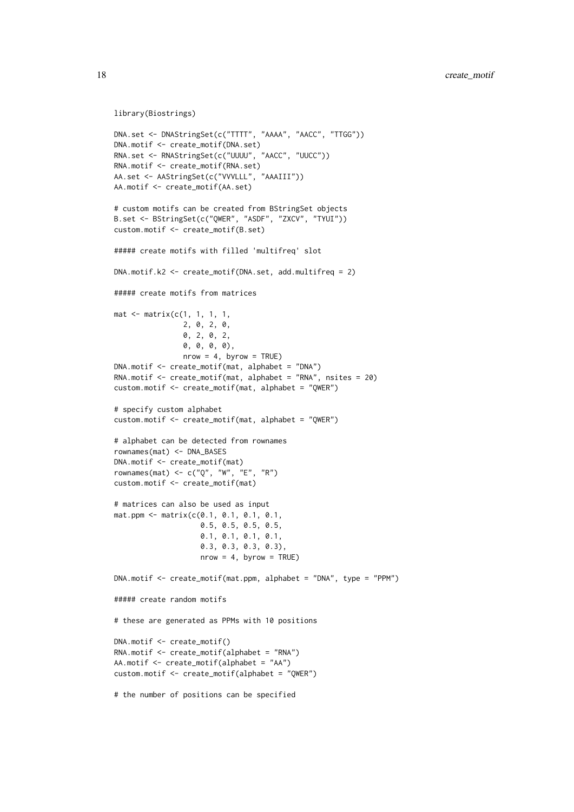```
library(Biostrings)
```

```
DNA.set <- DNAStringSet(c("TTTT", "AAAA", "AACC", "TTGG"))
DNA.motif <- create_motif(DNA.set)
RNA.set <- RNAStringSet(c("UUUU", "AACC", "UUCC"))
RNA.motif <- create_motif(RNA.set)
AA.set <- AAStringSet(c("VVVLLL", "AAAIII"))
AA.motif <- create_motif(AA.set)
# custom motifs can be created from BStringSet objects
B.set <- BStringSet(c("QWER", "ASDF", "ZXCV", "TYUI"))
custom.motif <- create_motif(B.set)
##### create motifs with filled 'multifreq' slot
DNA.motif.k2 <- create_motif(DNA.set, add.multifreq = 2)
##### create motifs from matrices
mat < -matrix(c(1, 1, 1, 1,2, 0, 2, 0,
                0, 2, 0, 2,
                0, 0, 0, 0),
                nrow = 4, byrow = TRUE)
DNA.motif <- create_motif(mat, alphabet = "DNA")
RNA.motif <- create_motif(mat, alphabet = "RNA", nsites = 20)
custom.motif <- create_motif(mat, alphabet = "QWER")
# specify custom alphabet
custom.motif <- create_motif(mat, alphabet = "QWER")
# alphabet can be detected from rownames
rownames(mat) <- DNA_BASES
DNA.motif <- create_motif(mat)
rownames(mat) <- c("Q", "W", "E", "R")
custom.motif <- create_motif(mat)
# matrices can also be used as input
mat.ppm <- matrix(c(0.1, 0.1, 0.1, 0.1,
                    0.5, 0.5, 0.5, 0.5,
                    0.1, 0.1, 0.1, 0.1,
                    0.3, 0.3, 0.3, 0.3),
                    nrow = 4, byrow = TRUE)
DNA.motif <- create_motif(mat.ppm, alphabet = "DNA", type = "PPM")
##### create random motifs
# these are generated as PPMs with 10 positions
DNA.motif \leq create motif()
RNA.motif <- create_motif(alphabet = "RNA")
AA.motif <- create_motif(alphabet = "AA")
custom.motif <- create_motif(alphabet = "QWER")
# the number of positions can be specified
```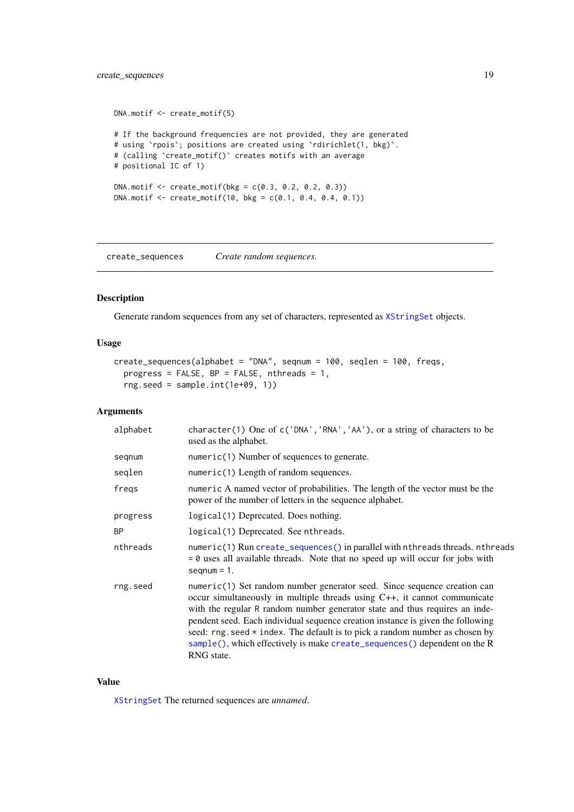# <span id="page-18-0"></span>create\_sequences 19

```
DNA.motif <- create_motif(5)
# If the background frequencies are not provided, they are generated
# using `rpois`; positions are created using `rdirichlet(1, bkg)`.
# (calling `create_motif()` creates motifs with an average
# positional IC of 1)
DNA.motif < -create_motif(bkg = c(0.3, 0.2, 0.2, 0.3))DNA.motif \leq create_motif(10, bkg = c(0.1, 0.4, 0.4, 0.1))
```
<span id="page-18-1"></span>create\_sequences *Create random sequences.*

# Description

Generate random sequences from any set of characters, represented as [XStringSet](#page-0-0) objects.

# Usage

```
create_sequences(alphabet = "DNA", seqnum = 100, seqlen = 100, freqs,
 progress = FALSE, BP = FALSE, nthreads = 1,
 rng.seed = sample.int(1e+09, 1))
```
# Arguments

| alphabet  | character(1) One of $c('DNA', 'RNA', 'AA'),$ or a string of characters to be<br>used as the alphabet.                                                                                                                                                                                                                                                                                                                                                                                                |
|-----------|------------------------------------------------------------------------------------------------------------------------------------------------------------------------------------------------------------------------------------------------------------------------------------------------------------------------------------------------------------------------------------------------------------------------------------------------------------------------------------------------------|
| segnum    | $numeric(1)$ Number of sequences to generate.                                                                                                                                                                                                                                                                                                                                                                                                                                                        |
| seqlen    | $numeric(1)$ Length of random sequences.                                                                                                                                                                                                                                                                                                                                                                                                                                                             |
| freqs     | numeric A named vector of probabilities. The length of the vector must be the<br>power of the number of letters in the sequence alphabet.                                                                                                                                                                                                                                                                                                                                                            |
| progress  | logical (1) Deprecated. Does nothing.                                                                                                                                                                                                                                                                                                                                                                                                                                                                |
| <b>BP</b> | logical(1) Deprecated. See nthreads.                                                                                                                                                                                                                                                                                                                                                                                                                                                                 |
| nthreads  | numeric(1) Run create_sequences() in parallel with nthreads threads. nthreads<br>$= 0$ uses all available threads. Note that no speed up will occur for jobs with<br>$seqnum = 1$ .                                                                                                                                                                                                                                                                                                                  |
| rng.seed  | numeric(1) Set random number generator seed. Since sequence creation can<br>occur simultaneously in multiple threads using C++, it cannot communicate<br>with the regular R random number generator state and thus requires an inde-<br>pendent seed. Each individual sequence creation instance is given the following<br>seed: $rng. seed * index. The default is to pick a random number as chosen by$<br>sample(), which effectively is make create_sequences() dependent on the R<br>RNG state. |

# Value

[XStringSet](#page-0-0) The returned sequences are *unnamed*.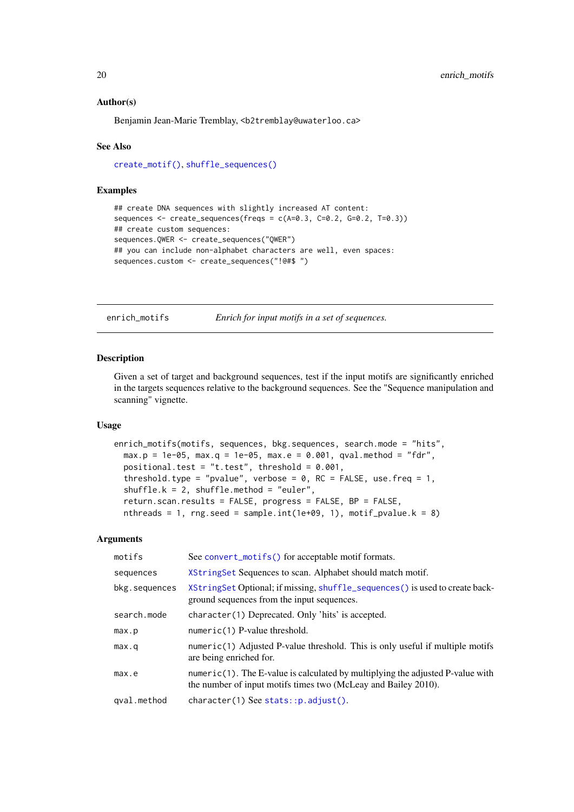#### Author(s)

Benjamin Jean-Marie Tremblay, <b2tremblay@uwaterloo.ca>

# See Also

[create\\_motif\(\)](#page-13-1), [shuffle\\_sequences\(\)](#page-49-2)

#### Examples

```
## create DNA sequences with slightly increased AT content:
sequences \leq create_sequences(freqs = c(A=0.3, C=0.2, G=0.2, T=0.3))
## create custom sequences:
sequences.QWER <- create_sequences("QWER")
## you can include non-alphabet characters are well, even spaces:
sequences.custom <- create_sequences("!@#$ ")
```
enrich\_motifs *Enrich for input motifs in a set of sequences.*

# Description

Given a set of target and background sequences, test if the input motifs are significantly enriched in the targets sequences relative to the background sequences. See the "Sequence manipulation and scanning" vignette.

#### Usage

```
enrich_motifs(motifs, sequences, bkg.sequences, search.mode = "hits",
 max.p = 1e-05, max.q = 1e-05, max.e = 0.001, qval.method = "fdr",positional.test = "t.test", threshold = 0.001,
  threshold.type = "pvalue", verbose = \theta, RC = FALSE, use.freq = 1,
  shuffle.k = 2, shuffle.method = "euler",
 return.scan.results = FALSE, progress = FALSE, BP = FALSE,
 nthreads = 1, rng.seed = sample.int(1e+09, 1), motif_pvalue.k = 8)
```

| motifs        | See convert_motifs() for acceptable motif formats.                                                                                               |
|---------------|--------------------------------------------------------------------------------------------------------------------------------------------------|
| sequences     | XString Set Sequences to scan. Alphabet should match motif.                                                                                      |
| bkg.sequences | XStringSet Optional; if missing, shuffle_sequences() is used to create back-<br>ground sequences from the input sequences.                       |
| search.mode   | character(1) Deprecated. Only 'hits' is accepted.                                                                                                |
| max.p         | $numeric(1)$ P-value threshold.                                                                                                                  |
| max.a         | numeric(1) Adjusted P-value threshold. This is only useful if multiple motifs<br>are being enriched for.                                         |
| max.e         | numeric(1). The E-value is calculated by multiplying the adjusted P-value with<br>the number of input motifs times two (McLeay and Bailey 2010). |
| qval.method   | $character(1)$ See stats::p.adjust().                                                                                                            |
|               |                                                                                                                                                  |

<span id="page-19-0"></span>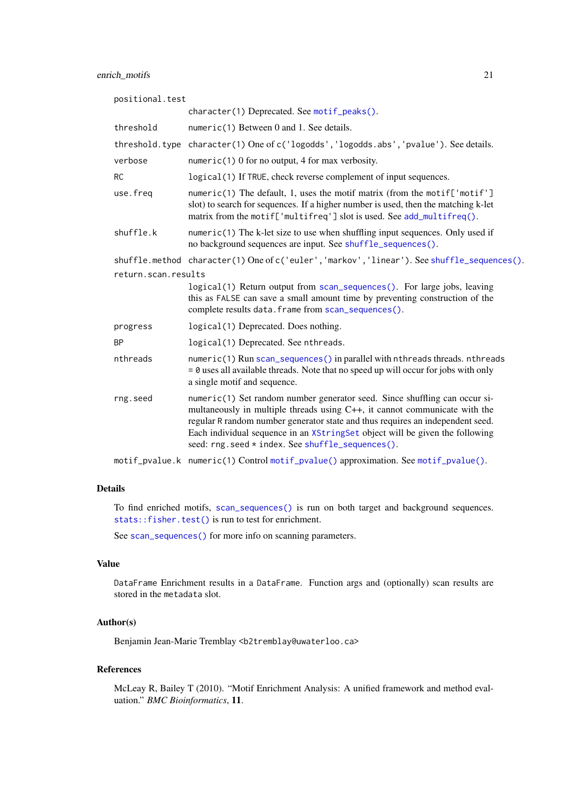# enrich\_motifs 21

| positional.test     |                                                                                                                                                                                                                                                                                                                                                                                |  |
|---------------------|--------------------------------------------------------------------------------------------------------------------------------------------------------------------------------------------------------------------------------------------------------------------------------------------------------------------------------------------------------------------------------|--|
|                     | character(1) Deprecated. See motif_peaks().                                                                                                                                                                                                                                                                                                                                    |  |
| threshold           | numeric(1) Between 0 and 1. See details.                                                                                                                                                                                                                                                                                                                                       |  |
|                     | threshold.type character(1) One of c('logodds', 'logodds.abs', 'pvalue'). See details.                                                                                                                                                                                                                                                                                         |  |
| verbose             | numeric(1) 0 for no output, 4 for max verbosity.                                                                                                                                                                                                                                                                                                                               |  |
| <b>RC</b>           | logical(1) If TRUE, check reverse complement of input sequences.                                                                                                                                                                                                                                                                                                               |  |
| use.freq            | numeric(1) The default, 1, uses the motif matrix (from the motif['motif']<br>slot) to search for sequences. If a higher number is used, then the matching k-let<br>matrix from the motif['multifreq'] slot is used. See add_multifreq().                                                                                                                                       |  |
| shuffle.k           | numeric(1) The k-let size to use when shuffling input sequences. Only used if<br>no background sequences are input. See shuffle_sequences().                                                                                                                                                                                                                                   |  |
|                     | shuffle.method character(1) One of c('euler', 'markov', 'linear'). See shuffle_sequences().                                                                                                                                                                                                                                                                                    |  |
| return.scan.results |                                                                                                                                                                                                                                                                                                                                                                                |  |
|                     | logical(1) Return output from scan_sequences(). For large jobs, leaving<br>this as FALSE can save a small amount time by preventing construction of the<br>complete results data. frame from scan_sequences().                                                                                                                                                                 |  |
| progress            | logical(1) Deprecated. Does nothing.                                                                                                                                                                                                                                                                                                                                           |  |
| <b>BP</b>           | logical(1) Deprecated. See nthreads.                                                                                                                                                                                                                                                                                                                                           |  |
| nthreads            | numeric(1) Run scan_sequences() in parallel with nthreads threads. nthreads<br>$= 0$ uses all available threads. Note that no speed up will occur for jobs with only<br>a single motif and sequence.                                                                                                                                                                           |  |
| rng.seed            | numeric(1) Set random number generator seed. Since shuffling can occur si-<br>multaneously in multiple threads using C++, it cannot communicate with the<br>regular R random number generator state and thus requires an independent seed.<br>Each individual sequence in an XStringSet object will be given the following<br>seed: rng.seed * index. See shuffle_sequences(). |  |
|                     |                                                                                                                                                                                                                                                                                                                                                                                |  |

motif\_pvalue.k numeric(1) Control [motif\\_pvalue\(\)](#page-30-1) approximation. See [motif\\_pvalue\(\)](#page-30-1).

# Details

To find enriched motifs, [scan\\_sequences\(\)](#page-47-1) is run on both target and background sequences. [stats::fisher.test\(\)](#page-0-0) is run to test for enrichment.

See [scan\\_sequences\(\)](#page-47-1) for more info on scanning parameters.

# Value

DataFrame Enrichment results in a DataFrame. Function args and (optionally) scan results are stored in the metadata slot.

# Author(s)

Benjamin Jean-Marie Tremblay <b2tremblay@uwaterloo.ca>

# References

McLeay R, Bailey T (2010). "Motif Enrichment Analysis: A unified framework and method evaluation." *BMC Bioinformatics*, 11.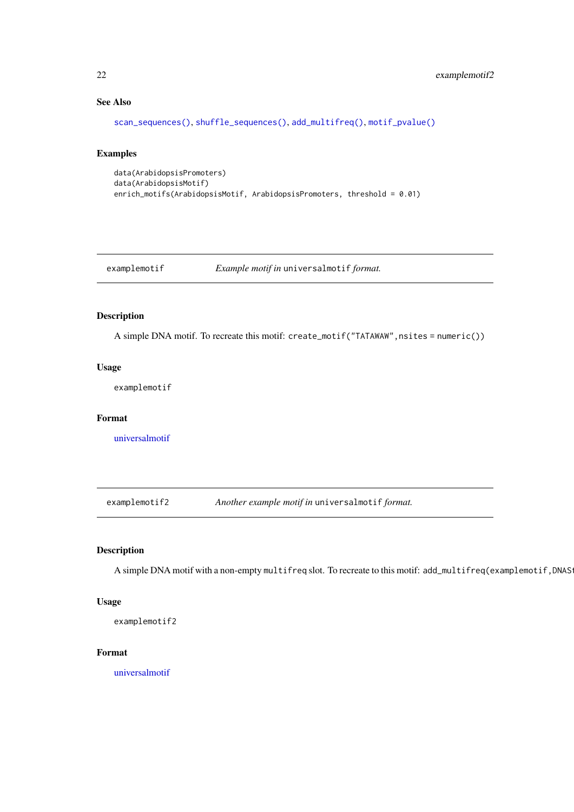# See Also

```
scan_sequences(), shuffle_sequences(), add_multifreq(), motif_pvalue()
```
## Examples

```
data(ArabidopsisPromoters)
data(ArabidopsisMotif)
enrich_motifs(ArabidopsisMotif, ArabidopsisPromoters, threshold = 0.01)
```
examplemotif *Example motif in* universalmotif *format.*

# Description

A simple DNA motif. To recreate this motif: create\_motif("TATAWAW", nsites = numeric())

# Usage

examplemotif

# Format

[universalmotif](#page-52-1)

examplemotif2 *Another example motif in* universalmotif *format.*

# Description

A simple DNA motif with a non-empty multifreq slot. To recreate to this motif: add\_multifreq(examplemotif,DNAS

# Usage

```
examplemotif2
```
#### Format

[universalmotif](#page-52-1)

<span id="page-21-0"></span>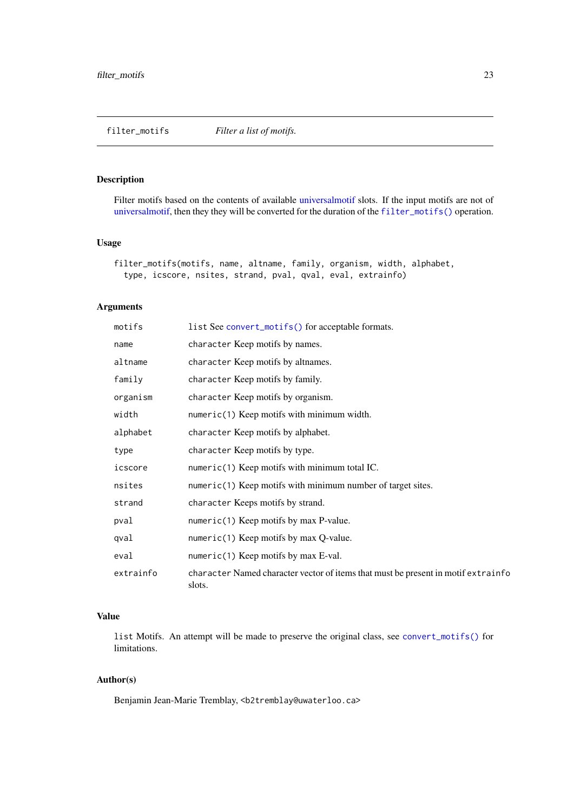<span id="page-22-1"></span><span id="page-22-0"></span>filter\_motifs *Filter a list of motifs.*

# Description

Filter motifs based on the contents of available [universalmotif](#page-52-1) slots. If the input motifs are not of [universalmotif,](#page-52-1) then they they will be converted for the duration of the [filter\\_motifs\(\)](#page-22-1) operation.

# Usage

```
filter_motifs(motifs, name, altname, family, organism, width, alphabet,
  type, icscore, nsites, strand, pval, qval, eval, extrainfo)
```
# Arguments

| motifs    | list See convert_motifs() for acceptable formats.                                           |
|-----------|---------------------------------------------------------------------------------------------|
| name      | character Keep motifs by names.                                                             |
| altname   | character Keep motifs by altnames.                                                          |
| family    | character Keep motifs by family.                                                            |
| organism  | character Keep motifs by organism.                                                          |
| width     | numeric(1) Keep motifs with minimum width.                                                  |
| alphabet  | character Keep motifs by alphabet.                                                          |
| type      | character Keep motifs by type.                                                              |
| icscore   | $numeric(1)$ Keep motifs with minimum total IC.                                             |
| nsites    | numeric(1) Keep motifs with minimum number of target sites.                                 |
| strand    | character Keeps motifs by strand.                                                           |
| pval      | numeric(1) Keep motifs by max P-value.                                                      |
| qval      | numeric(1) Keep motifs by max $Q$ -value.                                                   |
| eval      | numeric(1) Keep motifs by max $E$ -val.                                                     |
| extrainfo | character Named character vector of items that must be present in motif extrainfo<br>slots. |

# Value

list Motifs. An attempt will be made to preserve the original class, see [convert\\_motifs\(\)](#page-7-1) for limitations.

# Author(s)

Benjamin Jean-Marie Tremblay, <b2tremblay@uwaterloo.ca>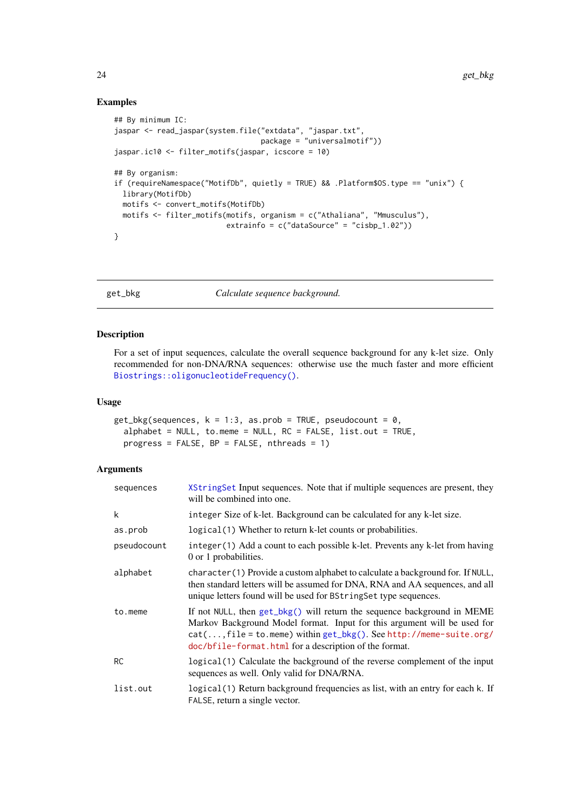# Examples

```
## By minimum IC:
jaspar <- read_jaspar(system.file("extdata", "jaspar.txt",
                                 package = "universalmotif"))
jaspar.ic10 <- filter_motifs(jaspar, icscore = 10)
## By organism:
if (requireNamespace("MotifDb", quietly = TRUE) && .Platform$OS.type == "unix") {
 library(MotifDb)
 motifs <- convert_motifs(MotifDb)
 motifs <- filter_motifs(motifs, organism = c("Athaliana", "Mmusculus"),
                         extrainfo = c("dataSource" = "cisbp_1.02"))
}
```
<span id="page-23-1"></span>get\_bkg *Calculate sequence background.*

# Description

For a set of input sequences, calculate the overall sequence background for any k-let size. Only recommended for non-DNA/RNA sequences: otherwise use the much faster and more efficient [Biostrings::oligonucleotideFrequency\(\)](#page-0-0).

#### Usage

```
get_bkg(sequences, k = 1:3, as.prob = TRUE, pseudocount = 0,
 alphabet = NULL, to.meme = NULL, RC = FALSE, list.out = TRUE,
 progress = FALSE, BP = FALSE, nthreads = 1)
```

| sequences   | XString Set Input sequences. Note that if multiple sequences are present, they<br>will be combined into one.                                                                                                                                                                              |
|-------------|-------------------------------------------------------------------------------------------------------------------------------------------------------------------------------------------------------------------------------------------------------------------------------------------|
| k           | integer Size of k-let. Background can be calculated for any k-let size.                                                                                                                                                                                                                   |
| as.prob     | logical (1) Whether to return k-let counts or probabilities.                                                                                                                                                                                                                              |
| pseudocount | integer (1) Add a count to each possible k-let. Prevents any k-let from having<br>0 or 1 probabilities.                                                                                                                                                                                   |
| alphabet    | character (1) Provide a custom alphabet to calculate a background for. If NULL,<br>then standard letters will be assumed for DNA, RNA and AA sequences, and all<br>unique letters found will be used for BString Set type sequences.                                                      |
| to.meme     | If not NULL, then get_bkg() will return the sequence background in MEME<br>Markov Background Model format. Input for this argument will be used for<br>$cat(, file = to.$ meme) within $get_bkg()$ . See http://meme-suite.org/<br>doc/bfile-format.html for a description of the format. |
| <b>RC</b>   | logical (1) Calculate the background of the reverse complement of the input<br>sequences as well. Only valid for DNA/RNA.                                                                                                                                                                 |
| list.out    | logical (1) Return background frequencies as list, with an entry for each k. If<br>FALSE, return a single vector.                                                                                                                                                                         |

<span id="page-23-0"></span>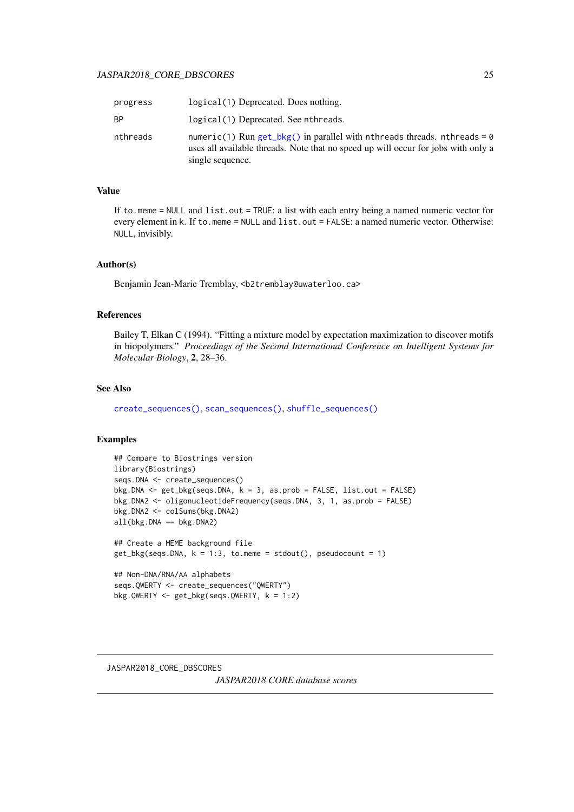# <span id="page-24-0"></span>JASPAR2018\_CORE\_DBSCORES 25

| progress  | logical(1) Deprecated. Does nothing.                                                                                                                                              |
|-----------|-----------------------------------------------------------------------------------------------------------------------------------------------------------------------------------|
| <b>BP</b> | logical(1) Deprecated. See nthreads.                                                                                                                                              |
| nthreads  | numeric(1) Run get_bkg() in parallel with nthreads threads. nthreads = 0<br>uses all available threads. Note that no speed up will occur for jobs with only a<br>single sequence. |

# Value

If to.meme = NULL and list.out = TRUE: a list with each entry being a named numeric vector for every element in k. If to.meme = NULL and list.out = FALSE: a named numeric vector. Otherwise: NULL, invisibly.

#### Author(s)

Benjamin Jean-Marie Tremblay, <b2tremblay@uwaterloo.ca>

# References

Bailey T, Elkan C (1994). "Fitting a mixture model by expectation maximization to discover motifs in biopolymers." *Proceedings of the Second International Conference on Intelligent Systems for Molecular Biology*, 2, 28–36.

# See Also

[create\\_sequences\(\)](#page-18-1), [scan\\_sequences\(\)](#page-47-1), [shuffle\\_sequences\(\)](#page-49-2)

# Examples

```
## Compare to Biostrings version
library(Biostrings)
seqs.DNA <- create_sequences()
bkg.DNA <- get_bkg(seqs.DNA, k = 3, as.prob = FALSE, list.out = FALSE)
bkg.DNA2 <- oligonucleotideFrequency(seqs.DNA, 3, 1, as.prob = FALSE)
bkg.DNA2 <- colSums(bkg.DNA2)
all(bkg.DNA == bkg.DNA2)## Create a MEME background file
get_bkg(seqs.DNA, k = 1:3, to.meme = stdout(), pseudocount = 1)
## Non-DNA/RNA/AA alphabets
seqs.QWERTY <- create_sequences("QWERTY")
bkg.QWERTY <- get_bkg(seqs.QWERTY, k = 1:2)
```
JASPAR2018\_CORE\_DBSCORES

*JASPAR2018 CORE database scores*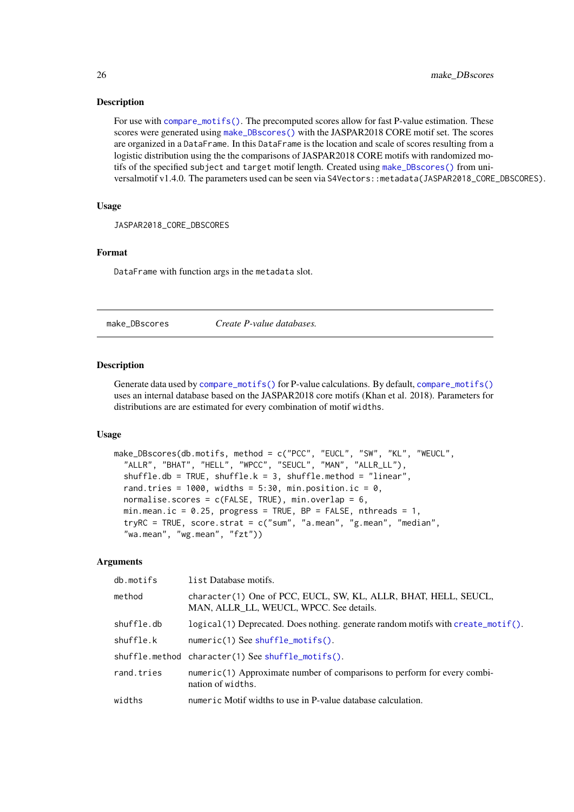# Description

For use with [compare\\_motifs\(\)](#page-4-2). The precomputed scores allow for fast P-value estimation. These scores were generated using [make\\_DBscores\(\)](#page-25-1) with the JASPAR2018 CORE motif set. The scores are organized in a DataFrame. In this DataFrame is the location and scale of scores resulting from a logistic distribution using the the comparisons of JASPAR2018 CORE motifs with randomized motifs of the specified subject and target motif length. Created using [make\\_DBscores\(\)](#page-25-1) from universalmotif v1.4.0. The parameters used can be seen via S4Vectors: : metadata(JASPAR2018\_CORE\_DBSCORES).

# Usage

JASPAR2018\_CORE\_DBSCORES

# Format

DataFrame with function args in the metadata slot.

<span id="page-25-1"></span>

make\_DBscores *Create P-value databases.*

#### **Description**

Generate data used by [compare\\_motifs\(\)](#page-4-2) for P-value calculations. By default, [compare\\_motifs\(\)](#page-4-2) uses an internal database based on the JASPAR2018 core motifs (Khan et al. 2018). Parameters for distributions are are estimated for every combination of motif widths.

#### Usage

```
make_DBscores(db.motifs, method = c("PCC", "EUCL", "SW", "KL", "WEUCL",
  "ALLR", "BHAT", "HELL", "WPCC", "SEUCL", "MAN", "ALLR_LL"),
  shuffle.db = TRUE, shuffle.k = 3, shuffle.method = "linear",rand.tries = 1000, widths = 5:30, min.position.ic = 0,
 normalise.scores = c(FALSE, TRUE), min.overlap = 6,
 min.mean.ic = 0.25, progress = TRUE, BP = FALSE, nthreads = 1,
  tryRC = TRUE, score.strat = c("sum", "a.mean", "g.mean", "median",
  "wa.mean", "wg.mean", "fzt"))
```

| db.motifs  | list Database motifs.                                                                                      |
|------------|------------------------------------------------------------------------------------------------------------|
| method     | character(1) One of PCC, EUCL, SW, KL, ALLR, BHAT, HELL, SEUCL,<br>MAN, ALLR LL, WEUCL, WPCC. See details. |
| shuffle.db | $logical(1)$ Deprecated. Does nothing, generate random motifs with create_motif().                         |
| shuffle.k  | numeric(1) See shuffle_motifs().                                                                           |
|            | shuffle.method character(1) See shuffle_motifs().                                                          |
| rand.tries | $numeric(1)$ Approximate number of comparisons to perform for every combi-<br>nation of widths.            |
| widths     | numeric Motif widths to use in P-value database calculation.                                               |

<span id="page-25-0"></span>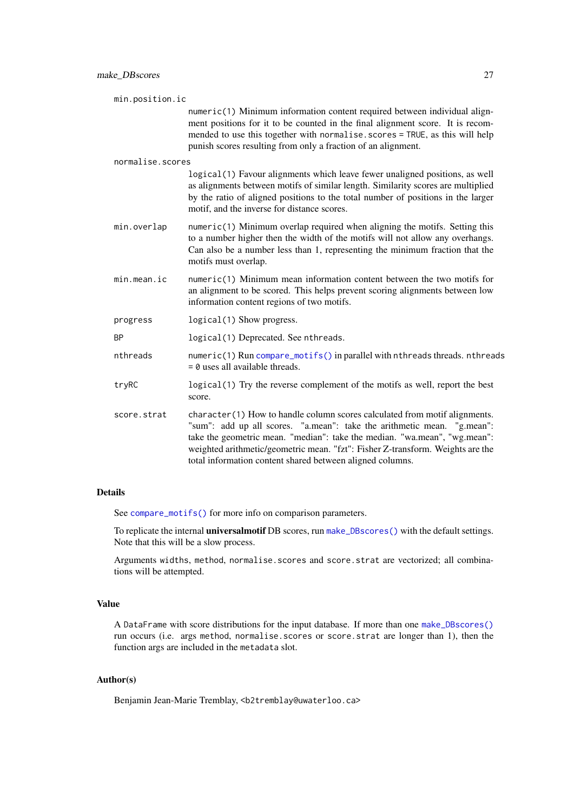| min.position.ic  |                                                                                                                                                                                                                                                                                                                                                                                   |
|------------------|-----------------------------------------------------------------------------------------------------------------------------------------------------------------------------------------------------------------------------------------------------------------------------------------------------------------------------------------------------------------------------------|
|                  | numeric(1) Minimum information content required between individual align-<br>ment positions for it to be counted in the final alignment score. It is recom-<br>mended to use this together with normalise.scores = TRUE, as this will help<br>punish scores resulting from only a fraction of an alignment.                                                                       |
| normalise.scores |                                                                                                                                                                                                                                                                                                                                                                                   |
|                  | logical(1) Favour alignments which leave fewer unaligned positions, as well<br>as alignments between motifs of similar length. Similarity scores are multiplied<br>by the ratio of aligned positions to the total number of positions in the larger<br>motif, and the inverse for distance scores.                                                                                |
| min.overlap      | $numeric(1)$ Minimum overlap required when aligning the motifs. Setting this<br>to a number higher then the width of the motifs will not allow any overhangs.<br>Can also be a number less than 1, representing the minimum fraction that the<br>motifs must overlap.                                                                                                             |
| min. mean.       | numeric(1) Minimum mean information content between the two motifs for<br>an alignment to be scored. This helps prevent scoring alignments between low<br>information content regions of two motifs.                                                                                                                                                                              |
| progress         | logical(1) Show progress.                                                                                                                                                                                                                                                                                                                                                         |
| <b>BP</b>        | logical(1) Deprecated. See nthreads.                                                                                                                                                                                                                                                                                                                                              |
| nthreads         | numeric(1) Run compare_motifs() in parallel with nthreads threads. nthreads<br>$= 0$ uses all available threads.                                                                                                                                                                                                                                                                  |
| tryRC            | logical (1) Try the reverse complement of the motifs as well, report the best<br>score.                                                                                                                                                                                                                                                                                           |
| score.strat      | character(1) How to handle column scores calculated from motif alignments.<br>"sum": add up all scores. "a.mean": take the arithmetic mean. "g.mean":<br>take the geometric mean. "median": take the median. "wa.mean", "wg.mean":<br>weighted arithmetic/geometric mean. "fzt": Fisher Z-transform. Weights are the<br>total information content shared between aligned columns. |

# Details

See [compare\\_motifs\(\)](#page-4-2) for more info on comparison parameters.

To replicate the internal universalmotif DB scores, run [make\\_DBscores\(\)](#page-25-1) with the default settings. Note that this will be a slow process.

Arguments widths, method, normalise.scores and score.strat are vectorized; all combinations will be attempted.

# Value

A DataFrame with score distributions for the input database. If more than one [make\\_DBscores\(\)](#page-25-1) run occurs (i.e. args method, normalise.scores or score.strat are longer than 1), then the function args are included in the metadata slot.

# Author(s)

Benjamin Jean-Marie Tremblay, <b2tremblay@uwaterloo.ca>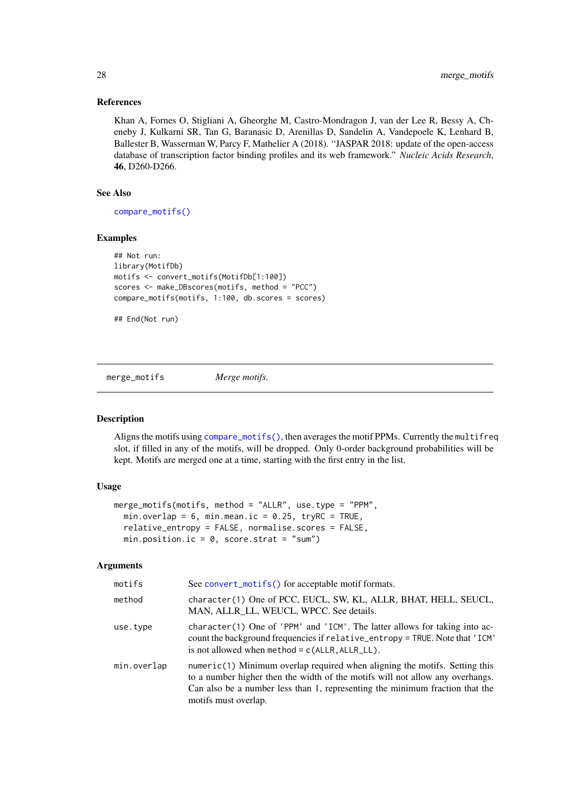#### References

Khan A, Fornes O, Stigliani A, Gheorghe M, Castro-Mondragon J, van der Lee R, Bessy A, Cheneby J, Kulkarni SR, Tan G, Baranasic D, Arenillas D, Sandelin A, Vandepoele K, Lenhard B, Ballester B, Wasserman W, Parcy F, Mathelier A (2018). "JASPAR 2018: update of the open-access database of transcription factor binding profiles and its web framework." *Nucleic Acids Research*, 46, D260-D266.

# See Also

[compare\\_motifs\(\)](#page-4-2)

# Examples

```
## Not run:
library(MotifDb)
motifs <- convert_motifs(MotifDb[1:100])
scores <- make_DBscores(motifs, method = "PCC")
compare_motifs(motifs, 1:100, db.scores = scores)
```

```
## End(Not run)
```
<span id="page-27-1"></span>merge\_motifs *Merge motifs.*

# Description

Aligns the motifs using [compare\\_motifs\(\)](#page-4-2), then averages the motif PPMs. Currently the multifreq slot, if filled in any of the motifs, will be dropped. Only 0-order background probabilities will be kept. Motifs are merged one at a time, starting with the first entry in the list.

# Usage

```
merge_motifs(motifs, method = "ALLR", use.type = "PPM",
 min.overlap = 6, min.mean.ic = 0.25, tryRC = TRUE,
  relative_entropy = FALSE, normalise.scores = FALSE,
 min.position.ic = 0, score.strat = "sum")
```

| motifs      | See convert_motifs() for acceptable motif formats.                                                                                                                                                                                                                    |
|-------------|-----------------------------------------------------------------------------------------------------------------------------------------------------------------------------------------------------------------------------------------------------------------------|
| method      | character(1) One of PCC, EUCL, SW, KL, ALLR, BHAT, HELL, SEUCL,<br>MAN, ALLR LL, WEUCL, WPCC. See details.                                                                                                                                                            |
| use.type    | $character(1)$ One of 'PPM' and 'ICM'. The latter allows for taking into ac-<br>count the background frequencies if relative_entropy = TRUE. Note that 'ICM'<br>is not allowed when method = $c(ALLR, ALLR_LL)$ .                                                     |
| min.overlap | $numeric(1)$ Minimum overlap required when aligning the motifs. Setting this<br>to a number higher then the width of the motifs will not allow any overhangs.<br>Can also be a number less than 1, representing the minimum fraction that the<br>motifs must overlap. |

<span id="page-27-0"></span>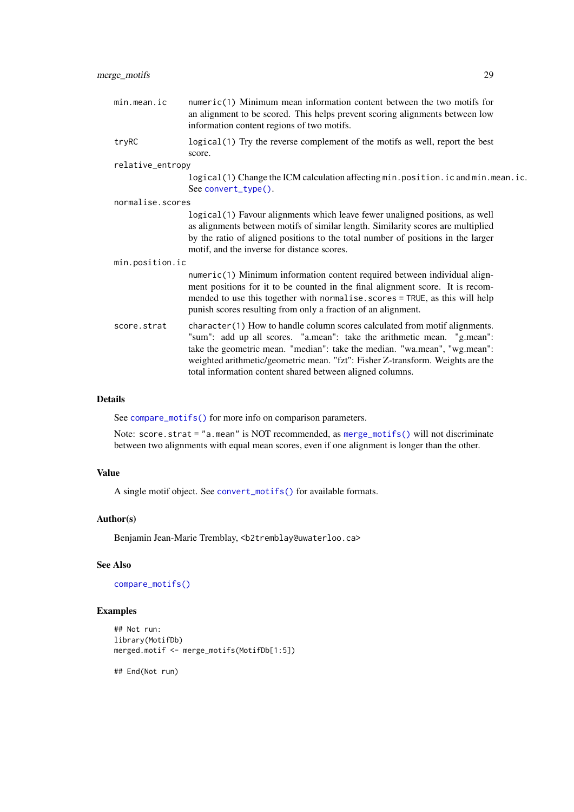| min.mean.ic      | $numeric(1)$ Minimum mean information content between the two motifs for<br>an alignment to be scored. This helps prevent scoring alignments between low<br>information content regions of two motifs.                                                                                                                                                                            |  |
|------------------|-----------------------------------------------------------------------------------------------------------------------------------------------------------------------------------------------------------------------------------------------------------------------------------------------------------------------------------------------------------------------------------|--|
| tryRC            | logical (1) Try the reverse complement of the motifs as well, report the best<br>score.                                                                                                                                                                                                                                                                                           |  |
| relative_entropy |                                                                                                                                                                                                                                                                                                                                                                                   |  |
|                  | logical(1) Change the ICM calculation affecting min.position.ic and min.mean.ic.<br>See convert_type().                                                                                                                                                                                                                                                                           |  |
| normalise.scores |                                                                                                                                                                                                                                                                                                                                                                                   |  |
|                  | logical (1) Favour alignments which leave fewer unaligned positions, as well<br>as alignments between motifs of similar length. Similarity scores are multiplied<br>by the ratio of aligned positions to the total number of positions in the larger<br>motif, and the inverse for distance scores.                                                                               |  |
| min.position.ic  |                                                                                                                                                                                                                                                                                                                                                                                   |  |
|                  | numeric(1) Minimum information content required between individual align-<br>ment positions for it to be counted in the final alignment score. It is recom-<br>mended to use this together with normalise.scores = TRUE, as this will help<br>punish scores resulting from only a fraction of an alignment.                                                                       |  |
| score.strat      | character(1) How to handle column scores calculated from motif alignments.<br>"sum": add up all scores. "a.mean": take the arithmetic mean. "g.mean":<br>take the geometric mean. "median": take the median. "wa.mean", "wg.mean":<br>weighted arithmetic/geometric mean. "fzt": Fisher Z-transform. Weights are the<br>total information content shared between aligned columns. |  |

# Details

See [compare\\_motifs\(\)](#page-4-2) for more info on comparison parameters.

Note: score.strat = "a.mean" is NOT recommended, as [merge\\_motifs\(\)](#page-27-1) will not discriminate between two alignments with equal mean scores, even if one alignment is longer than the other.

# Value

A single motif object. See [convert\\_motifs\(\)](#page-7-1) for available formats.

# Author(s)

Benjamin Jean-Marie Tremblay, <b2tremblay@uwaterloo.ca>

# See Also

[compare\\_motifs\(\)](#page-4-2)

# Examples

```
## Not run:
library(MotifDb)
merged.motif <- merge_motifs(MotifDb[1:5])
```
## End(Not run)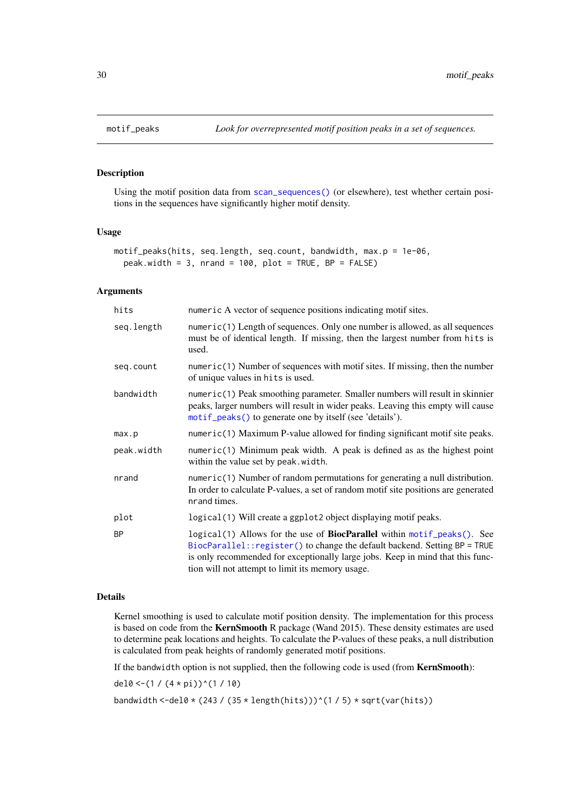# Description

Using the motif position data from [scan\\_sequences\(\)](#page-47-1) (or elsewhere), test whether certain positions in the sequences have significantly higher motif density.

#### Usage

```
motif_peaks(hits, seq.length, seq.count, bandwidth, max.p = 1e-06,
 peak.width = 3, nrand = 100, plot = TRUE, BP = FALSE)
```
# Arguments

| hits       | numeric A vector of sequence positions indicating motif sites.                                                                                                                                                                                                                                     |
|------------|----------------------------------------------------------------------------------------------------------------------------------------------------------------------------------------------------------------------------------------------------------------------------------------------------|
| seq.length | numeric(1) Length of sequences. Only one number is allowed, as all sequences<br>must be of identical length. If missing, then the largest number from hits is<br>used.                                                                                                                             |
| seq.count  | $numeric(1)$ Number of sequences with motif sites. If missing, then the number<br>of unique values in hits is used.                                                                                                                                                                                |
| bandwidth  | $numeric(1)$ Peak smoothing parameter. Smaller numbers will result in skinnier<br>peaks, larger numbers will result in wider peaks. Leaving this empty will cause<br>motif_peaks() to generate one by itself (see 'details').                                                                      |
| max.p      | numeric(1) Maximum P-value allowed for finding significant motif site peaks.                                                                                                                                                                                                                       |
| peak.width | numeric(1) Minimum peak width. A peak is defined as as the highest point<br>within the value set by peak.width.                                                                                                                                                                                    |
| nrand      | numeric(1) Number of random permutations for generating a null distribution.<br>In order to calculate P-values, a set of random motif site positions are generated<br>nrand times.                                                                                                                 |
| plot       | logical (1) Will create a ggplot2 object displaying motif peaks.                                                                                                                                                                                                                                   |
| <b>BP</b>  | logical(1) Allows for the use of <b>BiocParallel</b> within motif_peaks(). See<br>BiocParallel:: register() to change the default backend. Setting BP = TRUE<br>is only recommended for exceptionally large jobs. Keep in mind that this func-<br>tion will not attempt to limit its memory usage. |

# Details

Kernel smoothing is used to calculate motif position density. The implementation for this process is based on code from the KernSmooth R package (Wand 2015). These density estimates are used to determine peak locations and heights. To calculate the P-values of these peaks, a null distribution is calculated from peak heights of randomly generated motif positions.

If the bandwidth option is not supplied, then the following code is used (from KernSmooth):

del0 <-(1 /  $(4 * pi)$ )^(1 / 10)

bandwidth <-del0 \* (243 / (35 \* length(hits)))^(1 / 5) \* sqrt(var(hits))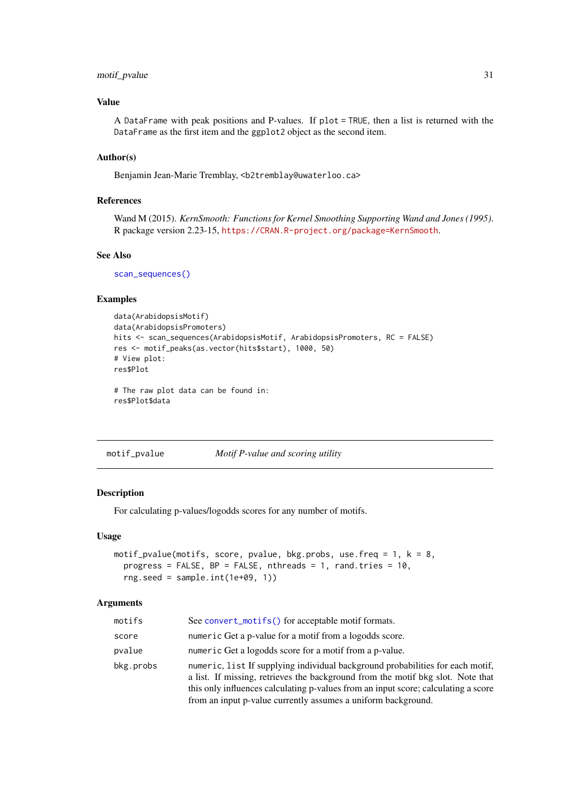#### <span id="page-30-0"></span>motif\_pvalue 31

# Value

A DataFrame with peak positions and P-values. If plot = TRUE, then a list is returned with the DataFrame as the first item and the ggplot2 object as the second item.

# Author(s)

Benjamin Jean-Marie Tremblay, <b2tremblay@uwaterloo.ca>

# References

Wand M (2015). *KernSmooth: Functions for Kernel Smoothing Supporting Wand and Jones (1995)*. R package version 2.23-15, <https://CRAN.R-project.org/package=KernSmooth>.

#### See Also

[scan\\_sequences\(\)](#page-47-1)

# Examples

```
data(ArabidopsisMotif)
data(ArabidopsisPromoters)
hits <- scan_sequences(ArabidopsisMotif, ArabidopsisPromoters, RC = FALSE)
res <- motif_peaks(as.vector(hits$start), 1000, 50)
# View plot:
res$Plot
```
# The raw plot data can be found in: res\$Plot\$data

<span id="page-30-1"></span>motif\_pvalue *Motif P-value and scoring utility*

#### Description

For calculating p-values/logodds scores for any number of motifs.

#### Usage

```
motif_pvalue(motifs, score, pvalue, bkg.probs, use.freq = 1, k = 8,
 progress = FALSE, BP = FALSE, nthreads = 1, rand.tries = 10,
 rng.seed = sample.int(1e+09, 1))
```

| motifs    | See convert_motifs() for acceptable motif formats.                                                                                                                                                                                                                                                                       |
|-----------|--------------------------------------------------------------------------------------------------------------------------------------------------------------------------------------------------------------------------------------------------------------------------------------------------------------------------|
| score     | numeric Get a p-value for a motif from a logodds score.                                                                                                                                                                                                                                                                  |
| pvalue    | numeric Get a logodds score for a motif from a p-value.                                                                                                                                                                                                                                                                  |
| bkg.probs | numeric, list If supplying individual background probabilities for each motif.<br>a list. If missing, retrieves the background from the motif bkg slot. Note that<br>this only influences calculating p-values from an input score; calculating a score<br>from an input p-value currently assumes a uniform background. |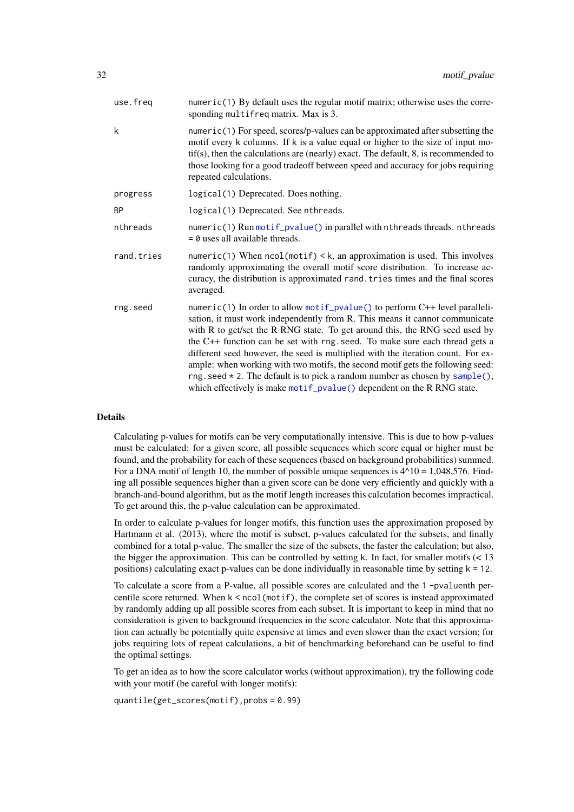| use.freq   | numeric(1) By default uses the regular motif matrix; otherwise uses the corre-<br>sponding multifreq matrix. Max is 3.                                                                                                                                                                                                                                                                                                                                                                                                                                                                                                                                     |
|------------|------------------------------------------------------------------------------------------------------------------------------------------------------------------------------------------------------------------------------------------------------------------------------------------------------------------------------------------------------------------------------------------------------------------------------------------------------------------------------------------------------------------------------------------------------------------------------------------------------------------------------------------------------------|
| k          | numeric(1) For speed, scores/p-values can be approximated after subsetting the<br>motif every k columns. If k is a value equal or higher to the size of input mo-<br>$tif(s)$ , then the calculations are (nearly) exact. The default, 8, is recommended to<br>those looking for a good tradeoff between speed and accuracy for jobs requiring<br>repeated calculations.                                                                                                                                                                                                                                                                                   |
| progress   | logical (1) Deprecated. Does nothing.                                                                                                                                                                                                                                                                                                                                                                                                                                                                                                                                                                                                                      |
| <b>BP</b>  | logical(1) Deprecated. See nthreads.                                                                                                                                                                                                                                                                                                                                                                                                                                                                                                                                                                                                                       |
| nthreads   | numeric(1) Run motif_pvalue() in parallel with nthreads threads. nthreads<br>$= 0$ uses all available threads.                                                                                                                                                                                                                                                                                                                                                                                                                                                                                                                                             |
| rand.tries | numeric(1) When $ncol(motif) < k$ , an approximation is used. This involves<br>randomly approximating the overall motif score distribution. To increase ac-<br>curacy, the distribution is approximated rand. tries times and the final scores<br>averaged.                                                                                                                                                                                                                                                                                                                                                                                                |
| rng.seed   | numeric(1) In order to allow motif_pvalue() to perform C++ level paralleli-<br>sation, it must work independently from R. This means it cannot communicate<br>with R to get/set the R RNG state. To get around this, the RNG seed used by<br>the C++ function can be set with rng. seed. To make sure each thread gets a<br>different seed however, the seed is multiplied with the iteration count. For ex-<br>ample: when working with two motifs, the second motif gets the following seed:<br>rng. seed $*$ 2. The default is to pick a random number as chosen by sample(),<br>which effectively is make motif_pvalue() dependent on the R RNG state. |

# Details

Calculating p-values for motifs can be very computationally intensive. This is due to how p-values must be calculated: for a given score, all possible sequences which score equal or higher must be found, and the probability for each of these sequences (based on background probabilities) summed. For a DNA motif of length 10, the number of possible unique sequences is  $4^{\wedge}10 = 1,048,576$ . Finding all possible sequences higher than a given score can be done very efficiently and quickly with a branch-and-bound algorithm, but as the motif length increases this calculation becomes impractical. To get around this, the p-value calculation can be approximated.

In order to calculate p-values for longer motifs, this function uses the approximation proposed by Hartmann et al. (2013), where the motif is subset, p-values calculated for the subsets, and finally combined for a total p-value. The smaller the size of the subsets, the faster the calculation; but also, the bigger the approximation. This can be controlled by setting k. In fact, for smaller motifs  $\leq 13$ positions) calculating exact p-values can be done individually in reasonable time by setting  $k = 12$ .

To calculate a score from a P-value, all possible scores are calculated and the 1 -pvaluenth percentile score returned. When  $k \leq \text{ncol(motif)}$ , the complete set of scores is instead approximated by randomly adding up all possible scores from each subset. It is important to keep in mind that no consideration is given to background frequencies in the score calculator. Note that this approximation can actually be potentially quite expensive at times and even slower than the exact version; for jobs requiring lots of repeat calculations, a bit of benchmarking beforehand can be useful to find the optimal settings.

To get an idea as to how the score calculator works (without approximation), try the following code with your motif (be careful with longer motifs):

quantile(get\_scores(motif),probs = 0.99)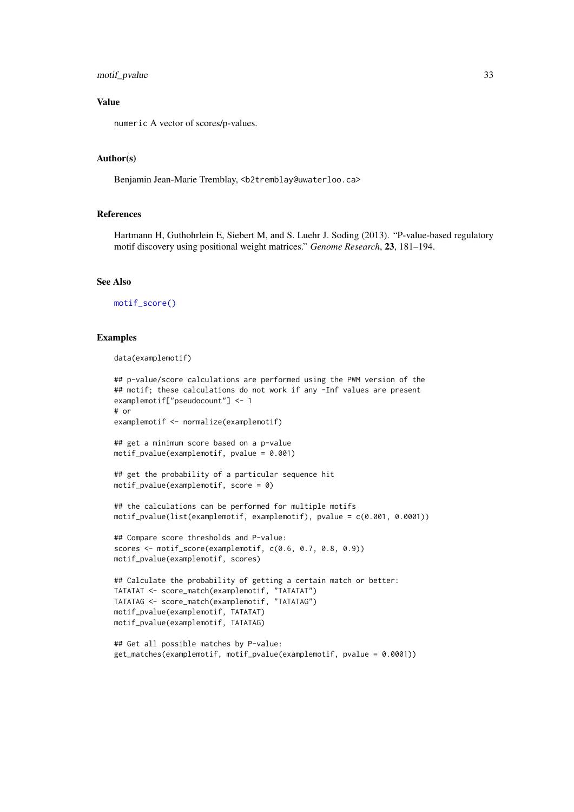#### motif\_pvalue 33

#### Value

numeric A vector of scores/p-values.

# Author(s)

Benjamin Jean-Marie Tremblay, <b2tremblay@uwaterloo.ca>

#### References

Hartmann H, Guthohrlein E, Siebert M, and S. Luehr J. Soding (2013). "P-value-based regulatory motif discovery using positional weight matrices." *Genome Research*, 23, 181–194.

# See Also

[motif\\_score\(\)](#page-57-1)

#### Examples

```
data(examplemotif)
```

```
## p-value/score calculations are performed using the PWM version of the
## motif; these calculations do not work if any -Inf values are present
examplemotif["pseudocount"] <- 1
# or
examplemotif <- normalize(examplemotif)
## get a minimum score based on a p-value
motif_pvalue(examplemotif, pvalue = 0.001)
## get the probability of a particular sequence hit
motif_pvalue(examplemotif, score = 0)
## the calculations can be performed for multiple motifs
motif_pvalue(list(examplemotif, examplemotif), pvalue = c(0.001, 0.0001))
## Compare score thresholds and P-value:
scores <- motif_score(examplemotif, c(0.6, 0.7, 0.8, 0.9))
motif_pvalue(examplemotif, scores)
## Calculate the probability of getting a certain match or better:
TATATAT <- score_match(examplemotif, "TATATAT")
TATATAG <- score_match(examplemotif, "TATATAG")
motif_pvalue(examplemotif, TATATAT)
motif_pvalue(examplemotif, TATATAG)
## Get all possible matches by P-value:
get_matches(examplemotif, motif_pvalue(examplemotif, pvalue = 0.0001))
```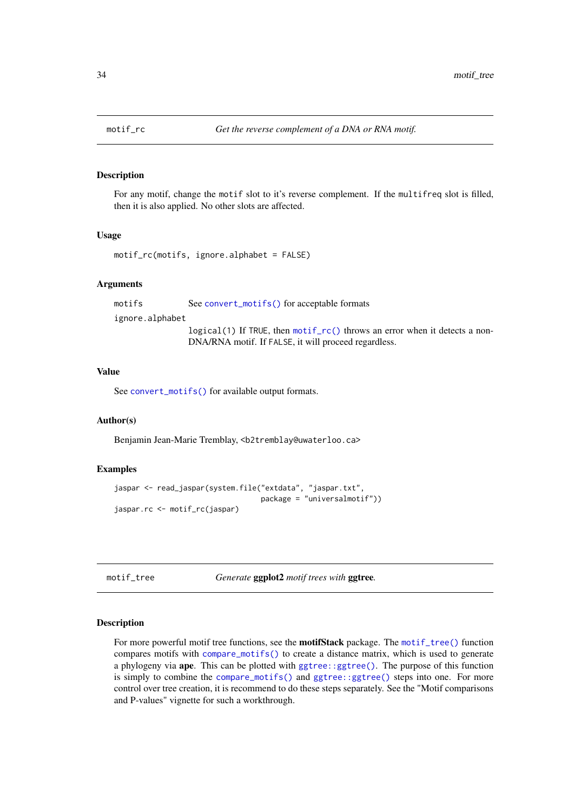<span id="page-33-2"></span><span id="page-33-0"></span>

#### Description

For any motif, change the motif slot to it's reverse complement. If the multifreq slot is filled, then it is also applied. No other slots are affected.

#### Usage

```
motif_rc(motifs, ignore.alphabet = FALSE)
```
#### Arguments

motifs See [convert\\_motifs\(\)](#page-7-1) for acceptable formats

ignore.alphabet

logical(1) If TRUE, then [motif\\_rc\(\)](#page-33-2) throws an error when it detects a non-DNA/RNA motif. If FALSE, it will proceed regardless.

# Value

See [convert\\_motifs\(\)](#page-7-1) for available output formats.

# Author(s)

Benjamin Jean-Marie Tremblay, <b2tremblay@uwaterloo.ca>

# Examples

```
jaspar <- read_jaspar(system.file("extdata", "jaspar.txt",
                                  package = "universalmotif"))
jaspar.rc <- motif_rc(jaspar)
```
<span id="page-33-1"></span>motif\_tree *Generate* ggplot2 *motif trees with* ggtree*.*

#### Description

For more powerful motif tree functions, see the motifStack package. The [motif\\_tree\(\)](#page-33-1) function compares motifs with [compare\\_motifs\(\)](#page-4-2) to create a distance matrix, which is used to generate a phylogeny via ape. This can be plotted with [ggtree::ggtree\(\)](#page-0-0). The purpose of this function is simply to combine the [compare\\_motifs\(\)](#page-4-2) and [ggtree::ggtree\(\)](#page-0-0) steps into one. For more control over tree creation, it is recommend to do these steps separately. See the "Motif comparisons and P-values" vignette for such a workthrough.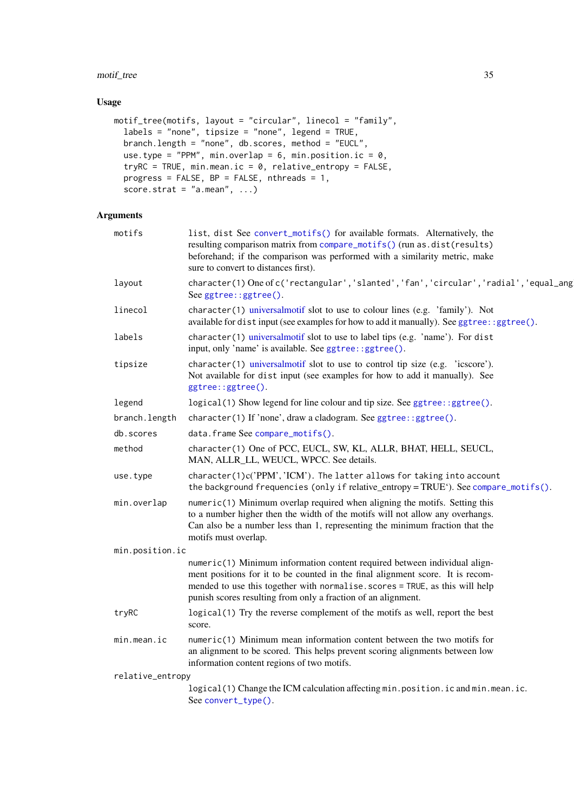# motif\_tree 35

# Usage

```
motif_tree(motifs, layout = "circular", linecol = "family",
  labels = "none", tipsize = "none", legend = TRUE,
  branch.length = "none", db.scores, method = "EUCL",
  use.type = "PPM", min.overlap = 6, min.position.ic = 0,
 tryRC = TRUE, min.mean.ic = 0, relative_entropy = FALSE,
  progress = FALSE, BP = FALSE, nthreads = 1,
  score.strat = "a.mean", ...)
```

| motifs           | list, dist See convert_motifs() for available formats. Alternatively, the<br>resulting comparison matrix from compare_motifs() (run as.dist(results)<br>beforehand; if the comparison was performed with a similarity metric, make<br>sure to convert to distances first).                                   |
|------------------|--------------------------------------------------------------------------------------------------------------------------------------------------------------------------------------------------------------------------------------------------------------------------------------------------------------|
| layout           | character(1) One of c('rectangular','slanted','fan','circular','radial','equal_ang<br>See ggtree::ggtree().                                                                                                                                                                                                  |
| linecol          | character(1) universalmotif slot to use to colour lines (e.g. 'family'). Not<br>available for distinput (see examples for how to add it manually). See ggtree: : ggtree().                                                                                                                                   |
| labels           | character(1) universalmotif slot to use to label tips (e.g. 'name'). For dist<br>input, only 'name' is available. See ggtree: : ggtree().                                                                                                                                                                    |
| tipsize          | character(1) universalmotif slot to use to control tip size (e.g. 'icscore').<br>Not available for dist input (see examples for how to add it manually). See<br>ggtree::ggtree().                                                                                                                            |
| legend           | logical(1) Show legend for line colour and tip size. See ggtree::ggtree().                                                                                                                                                                                                                                   |
| branch.length    | character(1) If 'none', draw a cladogram. See ggtree: : ggtree().                                                                                                                                                                                                                                            |
| db.scores        | data.frame See compare_motifs().                                                                                                                                                                                                                                                                             |
| method           | character(1) One of PCC, EUCL, SW, KL, ALLR, BHAT, HELL, SEUCL,<br>MAN, ALLR_LL, WEUCL, WPCC. See details.                                                                                                                                                                                                   |
| use.type         | character(1)c('PPM','ICM'). The latter allows for taking into account<br>the background frequencies (only if relative_entropy = TRUE'). See compare_motifs().                                                                                                                                                |
| min.overlap      | numeric(1) Minimum overlap required when aligning the motifs. Setting this<br>to a number higher then the width of the motifs will not allow any overhangs.<br>Can also be a number less than 1, representing the minimum fraction that the<br>motifs must overlap.                                          |
| min.position.ic  |                                                                                                                                                                                                                                                                                                              |
|                  | numeric(1) Minimum information content required between individual align-<br>ment positions for it to be counted in the final alignment score. It is recom-<br>mended to use this together with normalise. scores = TRUE, as this will help<br>punish scores resulting from only a fraction of an alignment. |
| tryRC            | logical (1) Try the reverse complement of the motifs as well, report the best<br>score.                                                                                                                                                                                                                      |
| min.mean.ic      | $numeric(1)$ Minimum mean information content between the two motifs for<br>an alignment to be scored. This helps prevent scoring alignments between low<br>information content regions of two motifs.                                                                                                       |
| relative_entropy |                                                                                                                                                                                                                                                                                                              |
|                  | logical(1) Change the ICM calculation affecting min.position.ic and min.mean.ic.<br>See convert_type().                                                                                                                                                                                                      |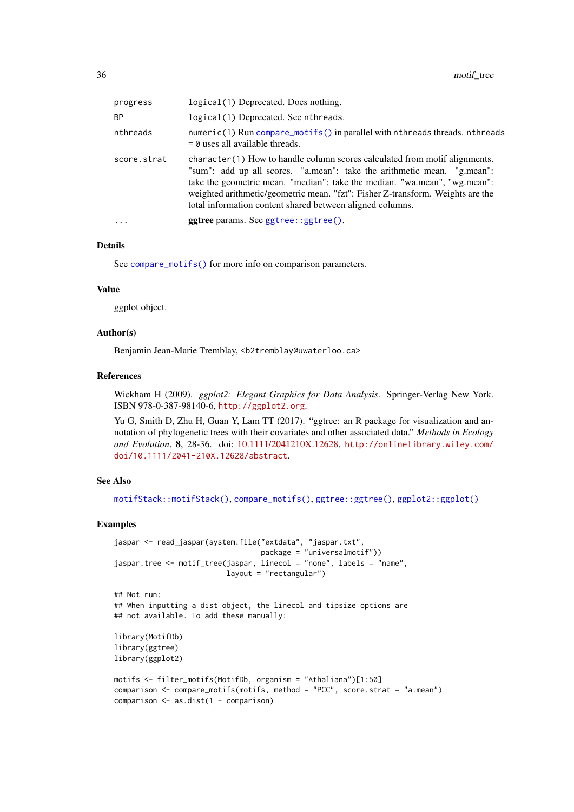| progress    | logical (1) Deprecated. Does nothing.                                                                                                                                                                                                                                                                                                                                             |
|-------------|-----------------------------------------------------------------------------------------------------------------------------------------------------------------------------------------------------------------------------------------------------------------------------------------------------------------------------------------------------------------------------------|
| ΒP          | logical(1) Deprecated. See nthreads.                                                                                                                                                                                                                                                                                                                                              |
| nthreads    | $numeric(1)$ Run compare_motifs() in parallel with nthreads threads. nthreads<br>$= 0$ uses all available threads.                                                                                                                                                                                                                                                                |
| score.strat | character(1) How to handle column scores calculated from motif alignments.<br>"sum": add up all scores. "a.mean": take the arithmetic mean. "g.mean":<br>take the geometric mean. "median": take the median. "wa.mean", "wg.mean":<br>weighted arithmetic/geometric mean. "fzt": Fisher Z-transform. Weights are the<br>total information content shared between aligned columns. |
| $\ddots$ .  | <b>ggtree</b> params. See ggtree::ggtree().                                                                                                                                                                                                                                                                                                                                       |
|             |                                                                                                                                                                                                                                                                                                                                                                                   |

#### Details

See [compare\\_motifs\(\)](#page-4-2) for more info on comparison parameters.

# Value

ggplot object.

# Author(s)

Benjamin Jean-Marie Tremblay, <b2tremblay@uwaterloo.ca>

## References

Wickham H (2009). *ggplot2: Elegant Graphics for Data Analysis*. Springer-Verlag New York. ISBN 978-0-387-98140-6, <http://ggplot2.org>.

Yu G, Smith D, Zhu H, Guan Y, Lam TT (2017). "ggtree: an R package for visualization and annotation of phylogenetic trees with their covariates and other associated data." *Methods in Ecology and Evolution*, 8, 28-36. doi: [10.1111/2041210X.12628,](https://doi.org/10.1111/2041-210X.12628) [http://onlinelibrary.wiley.com/](http://onlinelibrary.wiley.com/doi/10.1111/2041-210X.12628/abstract) [doi/10.1111/2041-210X.12628/abstract](http://onlinelibrary.wiley.com/doi/10.1111/2041-210X.12628/abstract).

# See Also

[motifStack::motifStack\(\)](#page-0-0), [compare\\_motifs\(\)](#page-4-2), [ggtree::ggtree\(\)](#page-0-0), [ggplot2::ggplot\(\)](#page-0-0)

#### Examples

```
jaspar <- read_jaspar(system.file("extdata", "jaspar.txt",
                                 package = "universalmotif"))
jaspar.tree <- motif_tree(jaspar, linecol = "none", labels = "name",
                          layout = "rectangular")
## Not run:
## When inputting a dist object, the linecol and tipsize options are
## not available. To add these manually:
library(MotifDb)
library(ggtree)
library(ggplot2)
motifs <- filter_motifs(MotifDb, organism = "Athaliana")[1:50]
comparison <- compare_motifs(motifs, method = "PCC", score.strat = "a.mean")
comparison <- as.dist(1 - comparison)
```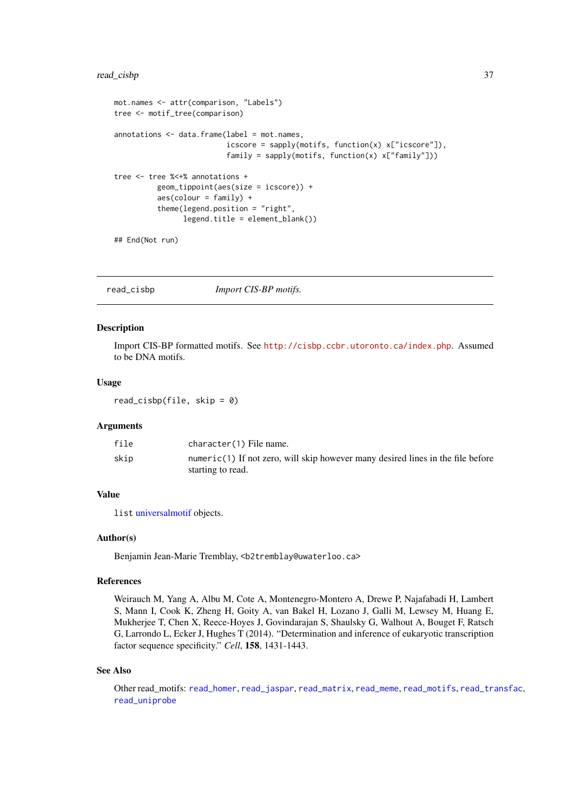## read\_cisbp 37

```
mot.names <- attr(comparison, "Labels")
tree <- motif_tree(comparison)
annotations <- data.frame(label = mot.names,
                           icscore = sapply(motifs, function(x) x["icscore"]),
                           family = sapply(motifs, function(x) x["family"]))
tree <- tree %<+% annotations +
          geom_tippoint(aes(size = icscore)) +
          \text{aes}(\text{colour} = \text{family}) +theme(legend.position = "right",
                 legend.title = element_blank())
## End(Not run)
```
<span id="page-36-0"></span>read\_cisbp *Import CIS-BP motifs.*

## Description

Import CIS-BP formatted motifs. See <http://cisbp.ccbr.utoronto.ca/index.php>. Assumed to be DNA motifs.

#### Usage

read\_cisbp(file, skip =  $0$ )

#### Arguments

| file | character(1) File name.                                                         |
|------|---------------------------------------------------------------------------------|
| skip | numeric(1) If not zero, will skip however many desired lines in the file before |
|      | starting to read.                                                               |

#### Value

list [universalmotif](#page-52-0) objects.

#### Author(s)

Benjamin Jean-Marie Tremblay, <b2tremblay@uwaterloo.ca>

#### References

Weirauch M, Yang A, Albu M, Cote A, Montenegro-Montero A, Drewe P, Najafabadi H, Lambert S, Mann I, Cook K, Zheng H, Goity A, van Bakel H, Lozano J, Galli M, Lewsey M, Huang E, Mukherjee T, Chen X, Reece-Hoyes J, Govindarajan S, Shaulsky G, Walhout A, Bouget F, Ratsch G, Larrondo L, Ecker J, Hughes T (2014). "Determination and inference of eukaryotic transcription factor sequence specificity." *Cell*, 158, 1431-1443.

#### See Also

Other read\_motifs: [read\\_homer](#page-37-0), [read\\_jaspar](#page-38-0), [read\\_matrix](#page-39-0), [read\\_meme](#page-40-0), [read\\_motifs](#page-41-0), [read\\_transfac](#page-42-0), [read\\_uniprobe](#page-43-0)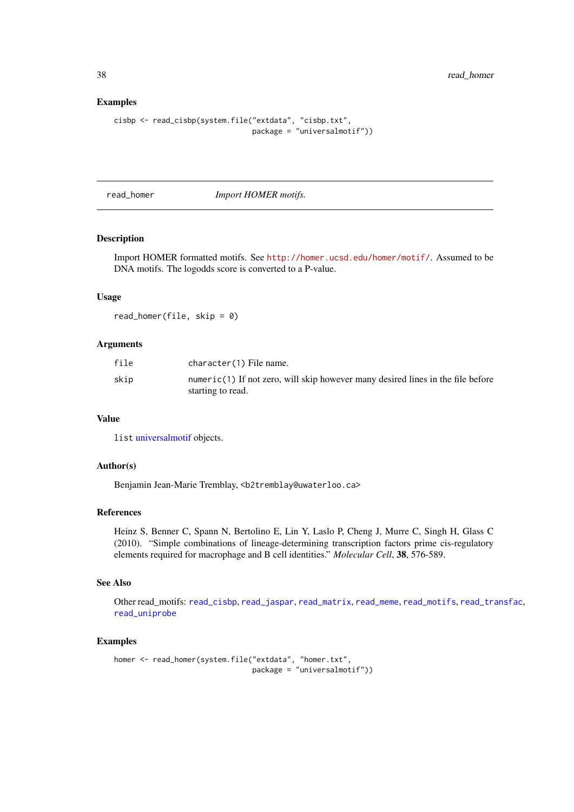38 read\_homer

# Examples

```
cisbp <- read_cisbp(system.file("extdata", "cisbp.txt",
                                package = "universalmotif"))
```
<span id="page-37-0"></span>read\_homer *Import HOMER motifs.*

# Description

Import HOMER formatted motifs. See <http://homer.ucsd.edu/homer/motif/>. Assumed to be DNA motifs. The logodds score is converted to a P-value.

#### Usage

read\_homer(file, skip =  $0$ )

# Arguments

| file | character(1) File name.                                                                                |
|------|--------------------------------------------------------------------------------------------------------|
| skip | $numeric(1)$ If not zero, will skip however many desired lines in the file before<br>starting to read. |

## Value

list [universalmotif](#page-52-0) objects.

#### Author(s)

Benjamin Jean-Marie Tremblay, <b2tremblay@uwaterloo.ca>

# References

Heinz S, Benner C, Spann N, Bertolino E, Lin Y, Laslo P, Cheng J, Murre C, Singh H, Glass C (2010). "Simple combinations of lineage-determining transcription factors prime cis-regulatory elements required for macrophage and B cell identities." *Molecular Cell*, 38, 576-589.

#### See Also

Other read\_motifs: [read\\_cisbp](#page-36-0), [read\\_jaspar](#page-38-0), [read\\_matrix](#page-39-0), [read\\_meme](#page-40-0), [read\\_motifs](#page-41-0), [read\\_transfac](#page-42-0), [read\\_uniprobe](#page-43-0)

```
homer <- read_homer(system.file("extdata", "homer.txt",
                               package = "universalmotif"))
```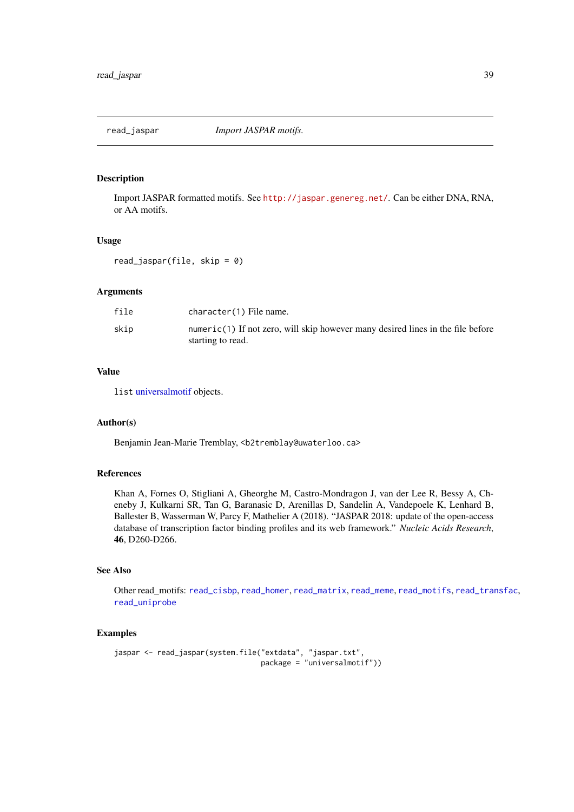<span id="page-38-0"></span>

Import JASPAR formatted motifs. See <http://jaspar.genereg.net/>. Can be either DNA, RNA, or AA motifs.

## Usage

read\_jaspar(file, skip = 0)

# Arguments

| file | character(1) File name.                                                                                |
|------|--------------------------------------------------------------------------------------------------------|
| skip | $numeric(1)$ If not zero, will skip however many desired lines in the file before<br>starting to read. |

# Value

list [universalmotif](#page-52-0) objects.

#### Author(s)

Benjamin Jean-Marie Tremblay, <b2tremblay@uwaterloo.ca>

#### References

Khan A, Fornes O, Stigliani A, Gheorghe M, Castro-Mondragon J, van der Lee R, Bessy A, Cheneby J, Kulkarni SR, Tan G, Baranasic D, Arenillas D, Sandelin A, Vandepoele K, Lenhard B, Ballester B, Wasserman W, Parcy F, Mathelier A (2018). "JASPAR 2018: update of the open-access database of transcription factor binding profiles and its web framework." *Nucleic Acids Research*, 46, D260-D266.

#### See Also

Other read\_motifs: [read\\_cisbp](#page-36-0), [read\\_homer](#page-37-0), [read\\_matrix](#page-39-0), [read\\_meme](#page-40-0), [read\\_motifs](#page-41-0), [read\\_transfac](#page-42-0), [read\\_uniprobe](#page-43-0)

```
jaspar <- read_jaspar(system.file("extdata", "jaspar.txt",
                                 package = "universalmotif"))
```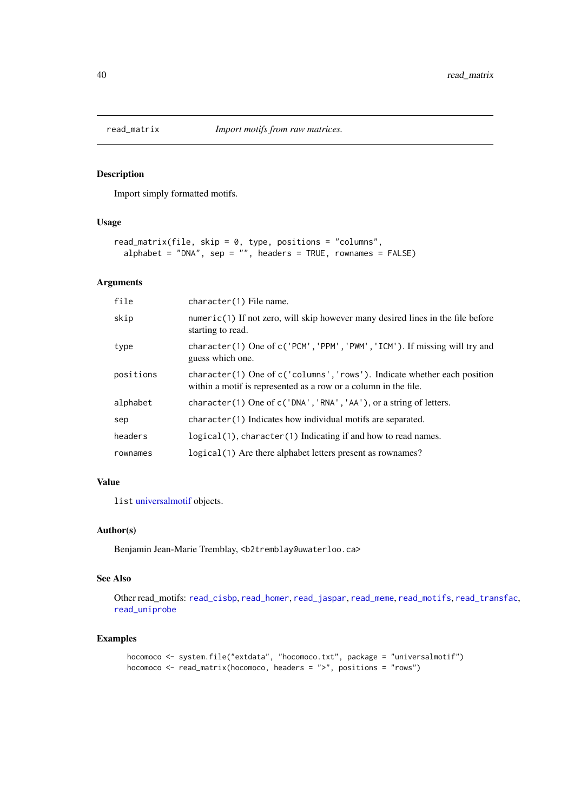<span id="page-39-0"></span>

Import simply formatted motifs.

# Usage

```
read_matrix(file, skip = 0, type, positions = "columns",
 alphabet = "DNA", sep = "", headers = TRUE, rownames = FALSE)
```
#### Arguments

| file      | character(1) File name.                                                                                                                        |
|-----------|------------------------------------------------------------------------------------------------------------------------------------------------|
| skip      | $numeric(1)$ If not zero, will skip however many desired lines in the file before<br>starting to read.                                         |
| type      | character(1) One of c('PCM', 'PPM', 'PWM', 'ICM'). If missing will try and<br>guess which one.                                                 |
| positions | character(1) One of $c$ ('columns', 'rows'). Indicate whether each position<br>within a motif is represented as a row or a column in the file. |
| alphabet  | character (1) One of c ('DNA', 'RNA', 'AA'), or a string of letters.                                                                           |
| sep       | character(1) Indicates how individual motifs are separated.                                                                                    |
| headers   | logical(1), character(1) Indicating if and how to read names.                                                                                  |
| rownames  | logical (1) Are there alphabet letters present as rownames?                                                                                    |

# Value

list [universalmotif](#page-52-0) objects.

#### Author(s)

Benjamin Jean-Marie Tremblay, <b2tremblay@uwaterloo.ca>

# See Also

Other read\_motifs: [read\\_cisbp](#page-36-0), [read\\_homer](#page-37-0), [read\\_jaspar](#page-38-0), [read\\_meme](#page-40-0), [read\\_motifs](#page-41-0), [read\\_transfac](#page-42-0), [read\\_uniprobe](#page-43-0)

```
hocomoco <- system.file("extdata", "hocomoco.txt", package = "universalmotif")
hocomoco <- read_matrix(hocomoco, headers = ">", positions = "rows")
```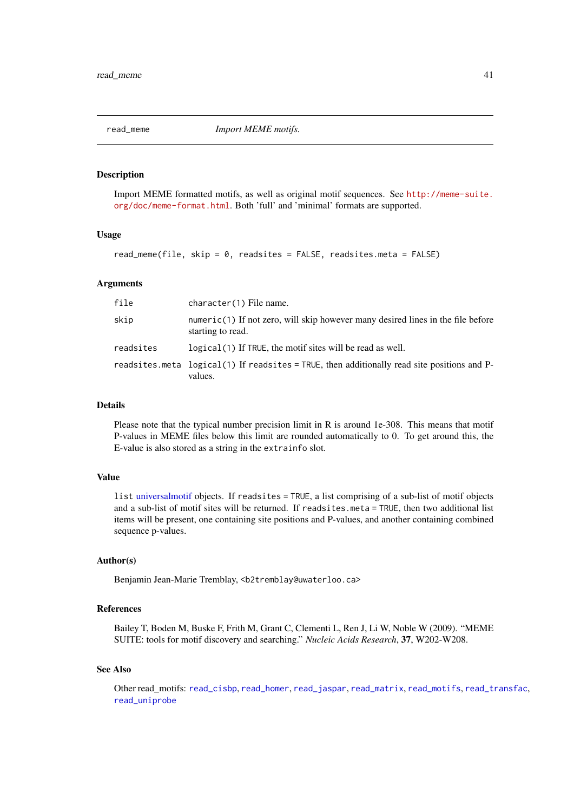<span id="page-40-0"></span>

Import MEME formatted motifs, as well as original motif sequences. See [http://meme-suite.](http://meme-suite.org/doc/meme-format.html) [org/doc/meme-format.html](http://meme-suite.org/doc/meme-format.html). Both 'full' and 'minimal' formats are supported.

#### Usage

read\_meme(file, skip =  $0$ , readsites = FALSE, readsites.meta = FALSE)

#### Arguments

| file      | character(1) File name.                                                                                  |
|-----------|----------------------------------------------------------------------------------------------------------|
| skip      | $numeric(1)$ If not zero, will skip however many desired lines in the file before<br>starting to read.   |
| readsites | logical (1) If TRUE, the motif sites will be read as well.                                               |
|           | readsites meta $logical(1)$ If readsites = TRUE, then additionally read site positions and P-<br>values. |

#### Details

Please note that the typical number precision limit in R is around 1e-308. This means that motif P-values in MEME files below this limit are rounded automatically to 0. To get around this, the E-value is also stored as a string in the extrainfo slot.

# Value

list [universalmotif](#page-52-0) objects. If readsites = TRUE, a list comprising of a sub-list of motif objects and a sub-list of motif sites will be returned. If readsites.meta = TRUE, then two additional list items will be present, one containing site positions and P-values, and another containing combined sequence p-values.

#### Author(s)

Benjamin Jean-Marie Tremblay, <b2tremblay@uwaterloo.ca>

# References

Bailey T, Boden M, Buske F, Frith M, Grant C, Clementi L, Ren J, Li W, Noble W (2009). "MEME SUITE: tools for motif discovery and searching." *Nucleic Acids Research*, 37, W202-W208.

# See Also

Other read\_motifs: [read\\_cisbp](#page-36-0), [read\\_homer](#page-37-0), [read\\_jaspar](#page-38-0), [read\\_matrix](#page-39-0), [read\\_motifs](#page-41-0), [read\\_transfac](#page-42-0), [read\\_uniprobe](#page-43-0)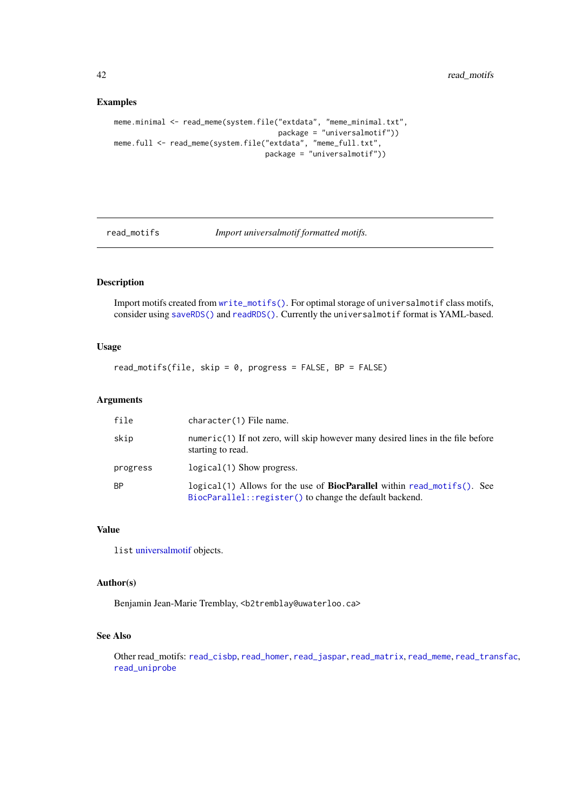<span id="page-41-1"></span>42 read\_motifs

# Examples

```
meme.minimal <- read_meme(system.file("extdata", "meme_minimal.txt",
                                      package = "universalmotif"))
meme.full <- read_meme(system.file("extdata", "meme_full.txt",
                                   package = "universalmotif"))
```
<span id="page-41-0"></span>

read\_motifs *Import universalmotif formatted motifs.*

# Description

Import motifs created from [write\\_motifs\(\)](#page-69-0). For optimal storage of universalmotif class motifs, consider using [saveRDS\(\)](#page-0-0) and [readRDS\(\)](#page-0-0). Currently the universalmotif format is YAML-based.

# Usage

read\_motifs(file, skip =  $0$ , progress = FALSE, BP = FALSE)

## Arguments

| file     | character(1) File name.                                                                                                                    |
|----------|--------------------------------------------------------------------------------------------------------------------------------------------|
| skip     | $numeric(1)$ If not zero, will skip however many desired lines in the file before<br>starting to read.                                     |
| progress | $logical(1)$ Show progress.                                                                                                                |
| ΒP       | logical(1) Allows for the use of <b>BiocParallel</b> within read_motifs(). See<br>BiocParallel:: register() to change the default backend. |

# Value

list [universalmotif](#page-52-0) objects.

#### Author(s)

Benjamin Jean-Marie Tremblay, <b2tremblay@uwaterloo.ca>

## See Also

Other read\_motifs: [read\\_cisbp](#page-36-0), [read\\_homer](#page-37-0), [read\\_jaspar](#page-38-0), [read\\_matrix](#page-39-0), [read\\_meme](#page-40-0), [read\\_transfac](#page-42-0), [read\\_uniprobe](#page-43-0)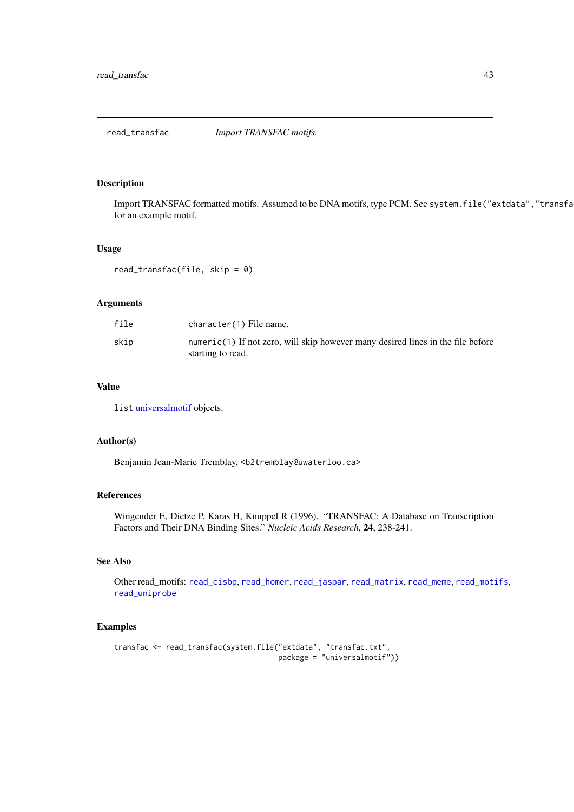<span id="page-42-0"></span>

Import TRANSFAC formatted motifs. Assumed to be DNA motifs, type PCM. See system. file("extdata", "transfa for an example motif.

# Usage

read\_transfac(file, skip =  $0$ )

## Arguments

| file | character(1) File name.                                                                                |
|------|--------------------------------------------------------------------------------------------------------|
| skip | $numeric(1)$ If not zero, will skip however many desired lines in the file before<br>starting to read. |

# Value

list [universalmotif](#page-52-0) objects.

#### Author(s)

Benjamin Jean-Marie Tremblay, <b2tremblay@uwaterloo.ca>

# References

Wingender E, Dietze P, Karas H, Knuppel R (1996). "TRANSFAC: A Database on Transcription Factors and Their DNA Binding Sites." *Nucleic Acids Research*, 24, 238-241.

#### See Also

Other read\_motifs: [read\\_cisbp](#page-36-0), [read\\_homer](#page-37-0), [read\\_jaspar](#page-38-0), [read\\_matrix](#page-39-0), [read\\_meme](#page-40-0), [read\\_motifs](#page-41-0), [read\\_uniprobe](#page-43-0)

```
transfac <- read_transfac(system.file("extdata", "transfac.txt",
                                     package = "universalmotif"))
```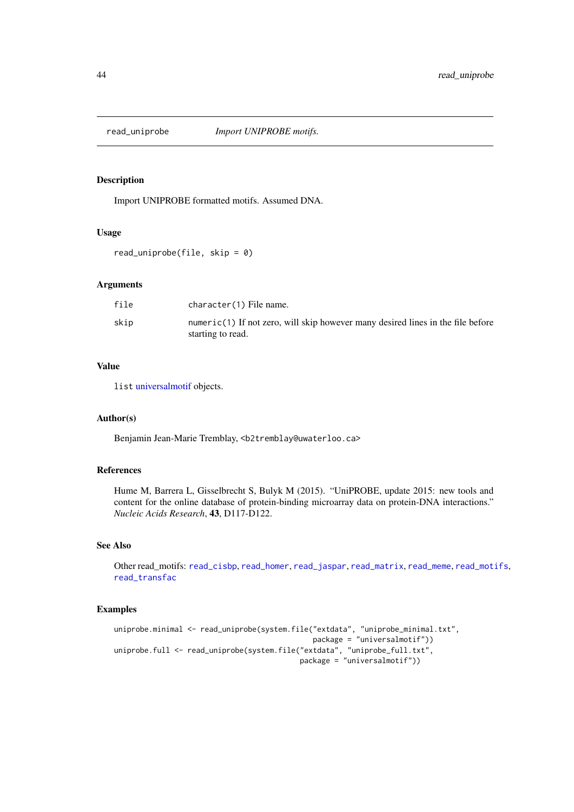<span id="page-43-0"></span>

Import UNIPROBE formatted motifs. Assumed DNA.

#### Usage

read\_uniprobe(file, skip = 0)

# Arguments

| file | character(1) File name.                                                                              |
|------|------------------------------------------------------------------------------------------------------|
| skip | numeric(1) If not zero, will skip however many desired lines in the file before<br>starting to read. |

# Value

list [universalmotif](#page-52-0) objects.

# Author(s)

Benjamin Jean-Marie Tremblay, <b2tremblay@uwaterloo.ca>

# References

Hume M, Barrera L, Gisselbrecht S, Bulyk M (2015). "UniPROBE, update 2015: new tools and content for the online database of protein-binding microarray data on protein-DNA interactions." *Nucleic Acids Research*, 43, D117-D122.

# See Also

Other read\_motifs: [read\\_cisbp](#page-36-0), [read\\_homer](#page-37-0), [read\\_jaspar](#page-38-0), [read\\_matrix](#page-39-0), [read\\_meme](#page-40-0), [read\\_motifs](#page-41-0), [read\\_transfac](#page-42-0)

```
uniprobe.minimal <- read_uniprobe(system.file("extdata", "uniprobe_minimal.txt",
                                              package = "universalmotif"))
uniprobe.full <- read_uniprobe(system.file("extdata", "uniprobe_full.txt",
                                           package = "universalmotif"))
```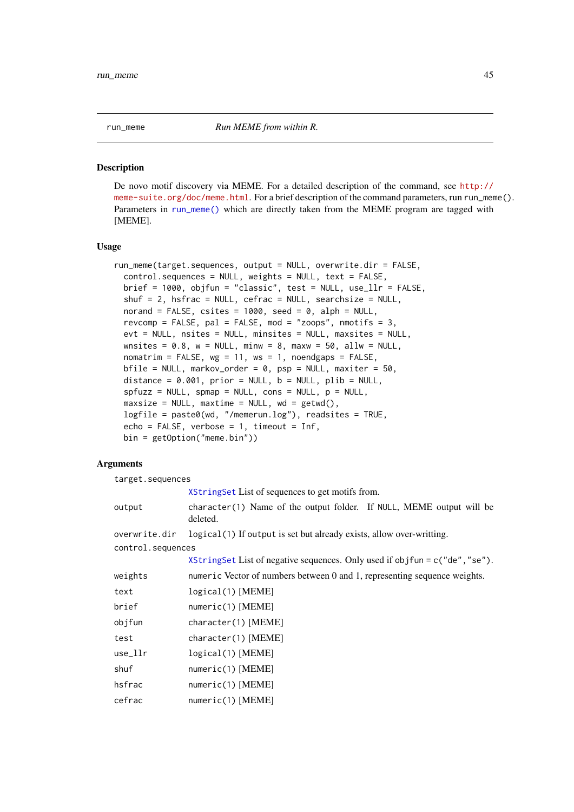<span id="page-44-0"></span>

De novo motif discovery via MEME. For a detailed description of the command, see [http://](http://meme-suite.org/doc/meme.html) [meme-suite.org/doc/meme.html](http://meme-suite.org/doc/meme.html). For a brief description of the command parameters, run run\_meme(). Parameters in [run\\_meme\(\)](#page-44-0) which are directly taken from the MEME program are tagged with [MEME].

#### Usage

```
run_meme(target.sequences, output = NULL, overwrite.dir = FALSE,
 control.sequences = NULL, weights = NULL, text = FALSE,
 brief = 1000, objfun = "classic", test = NULL, use_llr = FALSE,
 shuf = 2, hsfrac = NULL, cefrac = NULL, searchsize = NULL,
 norand = FALSE, csites = 1000, seed = 0, alph = NULL,
 revcomp = FALSE, pal = FALSE, mod = "zoops", nmotifs = 3,
 evt = NULL, nsites = NULL, minsites = NULL, maxsites = NULL,
 wnsites = 0.8, w = NULL, minw = 8, maxw = 50, allw = NULL,
 nomatrim = FALSE, wg = 11, ws = 1, noendgaps = FALSE,
 bfile = NULL, markov_order = 0, psp = NULL, maxiter = 50,
 distance = 0.001, prior = NULL, b = NULL, plib = NULL,
 spfuzz = NULL, spmap = NULL, cons = NULL, p = NULL,
 maxsize = NULL, maxtime = NULL, wd = getwd(),logfile = paste0(wd, "/memerun.log"), readsites = TRUE,
 echo = FALSE, verbose = 1, timeout = Inf,
 bin = getOption("meme.bin"))
```
## Arguments

target.sequences

[XStringSet](#page-0-0) List of sequences to get motifs from.

| output            | character(1) Name of the output folder. If NULL, MEME output will be<br>deleted. |
|-------------------|----------------------------------------------------------------------------------|
| overwrite.dir     | logical (1) If output is set but already exists, allow over-writting.            |
| control.sequences |                                                                                  |
|                   | XStringSet List of negative sequences. Only used if objfun = $c$ ("de", "se").   |
| weights           | numeric Vector of numbers between 0 and 1, representing sequence weights.        |
| text              | logical(1) [MEME]                                                                |
| brief             | numeric(1) [MEME]                                                                |
| objfun            | character(1) [MEME]                                                              |
| test              | character(1) [MEME]                                                              |
| use_llr           | logical(1) [MEME]                                                                |
| shuf              | $numeric(1)$ [MEME]                                                              |
| hsfrac            | numeric(1) [MEME]                                                                |
| cefrac            | $numeric(1)$ [MEME]                                                              |
|                   |                                                                                  |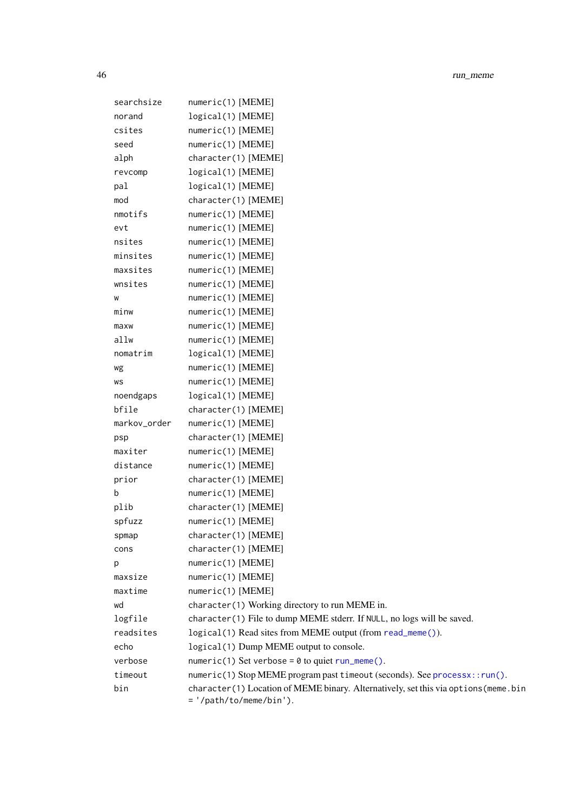| searchsize   | numeric(1) [MEME]                                                                                              |
|--------------|----------------------------------------------------------------------------------------------------------------|
| norand       | logical(1) [MEME]                                                                                              |
| csites       | $numeric(1)$ [MEME]                                                                                            |
| seed         | $numeric(1)$ [MEME]                                                                                            |
| alph         | character(1) [MEME]                                                                                            |
| revcomp      | logical(1) [MEME]                                                                                              |
| pal          | logical(1) [MEME]                                                                                              |
| mod          | character(1) [MEME]                                                                                            |
| nmotifs      | numeric(1) [MEME]                                                                                              |
| evt          | $numeric(1)$ [MEME]                                                                                            |
| nsites       | $numeric(1)$ [MEME]                                                                                            |
| minsites     | numeric(1) [MEME]                                                                                              |
| maxsites     | numeric(1) [MEME]                                                                                              |
| wnsites      | $numeric(1)$ [MEME]                                                                                            |
| W            | $numeric(1)$ [MEME]                                                                                            |
| minw         | $numeric(1)$ [MEME]                                                                                            |
| maxw         | numeric(1) [MEME]                                                                                              |
| allw         | $numeric(1)$ [MEME]                                                                                            |
| nomatrim     | logical(1) [MEME]                                                                                              |
| wg           | numeric(1) [MEME]                                                                                              |
| WS           | $numeric(1)$ [MEME]                                                                                            |
| noendgaps    | logical(1) [MEME]                                                                                              |
| bfile        | character(1) [MEME]                                                                                            |
| markov_order | numeric(1) [MEME]                                                                                              |
| psp          | character(1) [MEME]                                                                                            |
| maxiter      | $numeric(1)$ [MEME]                                                                                            |
| distance     | $numeric(1)$ [MEME]                                                                                            |
| prior        | character(1) [MEME]                                                                                            |
| b            | $numeric(1)$ [MEME]                                                                                            |
| plib         | character(1) [MEME]                                                                                            |
| spfuzz       | numeric(1) [MEME]                                                                                              |
| spmap        | character(1) [MEME]                                                                                            |
| cons         | character(1) [MEME]                                                                                            |
| p            | $numeric(1)$ [MEME]                                                                                            |
| maxsize      | $numeric(1)$ [MEME]                                                                                            |
| maxtime      | $numeric(1)$ [MEME]                                                                                            |
| wd           | character(1) Working directory to run MEME in.                                                                 |
| logfile      | character(1) File to dump MEME stderr. If NULL, no logs will be saved.                                         |
| readsites    | logical(1) Read sites from MEME output (from read_meme()).                                                     |
| echo         | logical(1) Dump MEME output to console.                                                                        |
| verbose      | numeric(1) Set verbose = $0$ to quiet run_meme().                                                              |
| timeout      | numeric(1) Stop MEME program past timeout (seconds). See processx::run().                                      |
| bin          | character(1) Location of MEME binary. Alternatively, set this via options (meme.bin<br>= '/path/to/meme/bin'). |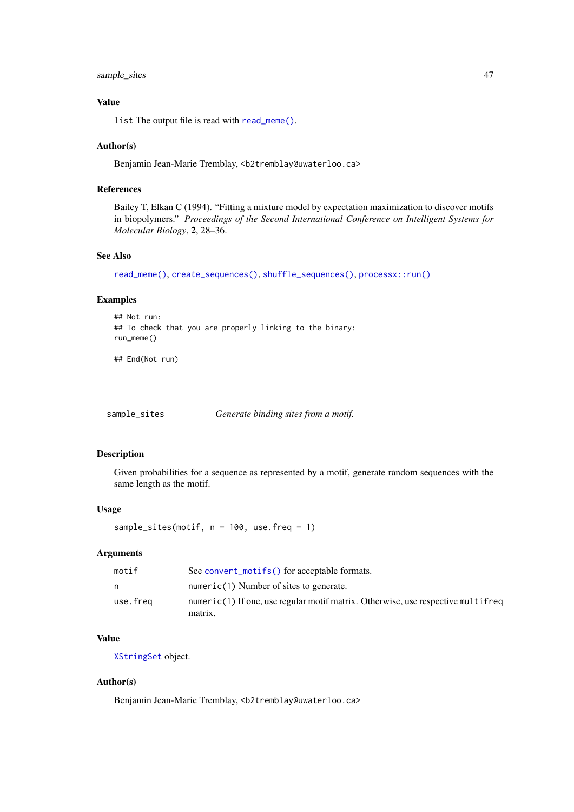#### <span id="page-46-0"></span>sample\_sites 47

# Value

list The output file is read with [read\\_meme\(\)](#page-40-0).

#### Author(s)

Benjamin Jean-Marie Tremblay, <b2tremblay@uwaterloo.ca>

#### References

Bailey T, Elkan C (1994). "Fitting a mixture model by expectation maximization to discover motifs in biopolymers." *Proceedings of the Second International Conference on Intelligent Systems for Molecular Biology*, 2, 28–36.

# See Also

```
read_meme(), create_sequences(), shuffle_sequences(), processx::run()
```
# Examples

```
## Not run:
## To check that you are properly linking to the binary:
run_meme()
```
## End(Not run)

sample\_sites *Generate binding sites from a motif.*

#### Description

Given probabilities for a sequence as represented by a motif, generate random sequences with the same length as the motif.

## Usage

sample\_sites(motif, n = 100, use.freq = 1)

# Arguments

| motif    | See convert_motifs() for acceptable formats.                                                |
|----------|---------------------------------------------------------------------------------------------|
| n        | numeric(1) Number of sites to generate.                                                     |
| use.freg | numeric(1) If one, use regular motif matrix. Otherwise, use respective multifreq<br>matrix. |

# Value

[XStringSet](#page-0-0) object.

# Author(s)

Benjamin Jean-Marie Tremblay, <b2tremblay@uwaterloo.ca>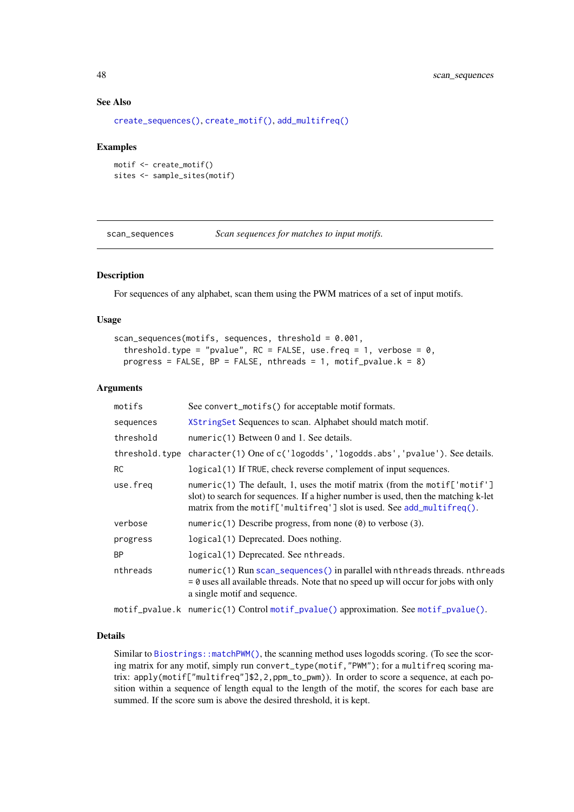# See Also

```
create_sequences(), create_motif(), add_multifreq()
```
#### Examples

```
motif <- create_motif()
sites <- sample_sites(motif)
```
<span id="page-47-0"></span>scan\_sequences *Scan sequences for matches to input motifs.*

#### Description

For sequences of any alphabet, scan them using the PWM matrices of a set of input motifs.

#### Usage

```
scan_sequences(motifs, sequences, threshold = 0.001,
 threshold.type = "pvalue", RC = FALSE, use.freq = 1, verbose = 0,
 progress = FALSE, BP = FALSE, nthreads = 1, motif_pvalue.k = 8)
```
# Arguments

| motifs    | See convert_motifs() for acceptable motif formats.                                                                                                                                                                                       |
|-----------|------------------------------------------------------------------------------------------------------------------------------------------------------------------------------------------------------------------------------------------|
| sequences | XStringSet Sequences to scan. Alphabet should match motif.                                                                                                                                                                               |
| threshold | numeric(1) Between $0$ and $1$ . See details.                                                                                                                                                                                            |
|           | threshold.type character(1) One of c('logodds', 'logodds.abs', 'pvalue'). See details.                                                                                                                                                   |
| <b>RC</b> | logical (1) If TRUE, check reverse complement of input sequences.                                                                                                                                                                        |
| use.freg  | numeric(1) The default, 1, uses the motif matrix (from the motif['motif']<br>slot) to search for sequences. If a higher number is used, then the matching k-let<br>matrix from the motif['multifreq'] slot is used. See add_multifreq(). |
| verbose   | numeric(1) Describe progress, from none $(\theta)$ to verbose (3).                                                                                                                                                                       |
| progress  | logical (1) Deprecated. Does nothing.                                                                                                                                                                                                    |
| <b>BP</b> | logical(1) Deprecated. See nthreads.                                                                                                                                                                                                     |
| nthreads  | $numeric(1)$ Run scan_sequences() in parallel with nthreads threads. nthreads<br>$= 0$ uses all available threads. Note that no speed up will occur for jobs with only<br>a single motif and sequence.                                   |
|           |                                                                                                                                                                                                                                          |

motif\_pvalue.k numeric(1) Control [motif\\_pvalue\(\)](#page-30-0) approximation. See [motif\\_pvalue\(\)](#page-30-0).

# Details

Similar to [Biostrings::matchPWM\(\)](#page-0-0), the scanning method uses logodds scoring. (To see the scoring matrix for any motif, simply run convert\_type(motif,"PWM"); for a multifreq scoring matrix: apply(motif["multifreq"]\$2,2,ppm\_to\_pwm)). In order to score a sequence, at each position within a sequence of length equal to the length of the motif, the scores for each base are summed. If the score sum is above the desired threshold, it is kept.

<span id="page-47-1"></span>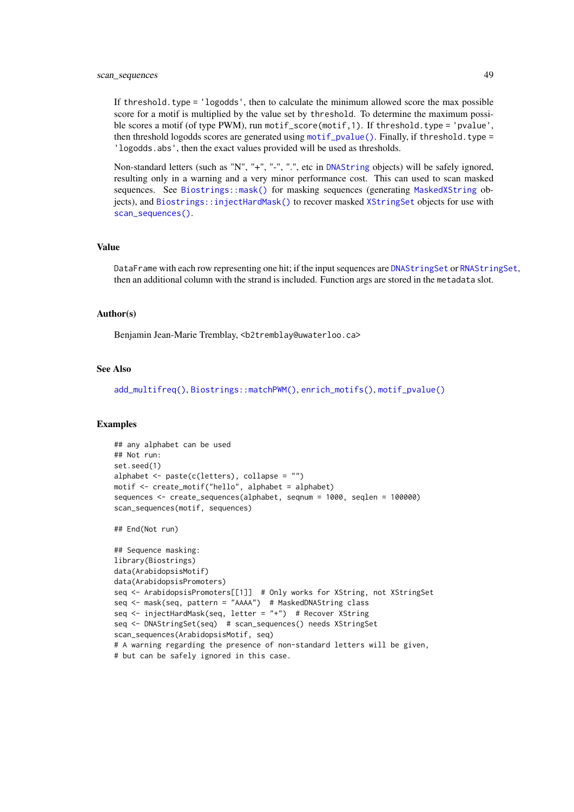#### <span id="page-48-0"></span>scan\_sequences 49

If threshold.type = 'logodds', then to calculate the minimum allowed score the max possible score for a motif is multiplied by the value set by threshold. To determine the maximum possible scores a motif (of type PWM), run motif\_score(motif,1). If threshold.type = 'pvalue', then threshold logodds scores are generated using [motif\\_pvalue\(\)](#page-30-0). Finally, if threshold.type = 'logodds.abs', then the exact values provided will be used as thresholds.

Non-standard letters (such as "N", "+", "-", ".", etc in [DNAString](#page-0-0) objects) will be safely ignored, resulting only in a warning and a very minor performance cost. This can used to scan masked sequences. See [Biostrings::mask\(\)](#page-0-0) for masking sequences (generating [MaskedXString](#page-0-0) objects), and [Biostrings::injectHardMask\(\)](#page-0-0) to recover masked [XStringSet](#page-0-0) objects for use with [scan\\_sequences\(\)](#page-47-0).

# Value

DataFrame with each row representing one hit; if the input sequences are [DNAStringSet](#page-0-0) or [RNAStringSet](#page-0-0), then an additional column with the strand is included. Function args are stored in the metadata slot.

#### Author(s)

Benjamin Jean-Marie Tremblay, <b2tremblay@uwaterloo.ca>

# See Also

[add\\_multifreq\(\)](#page-2-0), [Biostrings::matchPWM\(\)](#page-0-0), [enrich\\_motifs\(\)](#page-19-0), [motif\\_pvalue\(\)](#page-30-0)

#### Examples

```
## any alphabet can be used
## Not run:
set.seed(1)
alphabet \leq paste(c(letters), collapse = "")
motif <- create_motif("hello", alphabet = alphabet)
sequences <- create_sequences(alphabet, seqnum = 1000, seqlen = 100000)
scan_sequences(motif, sequences)
```
## End(Not run)

```
## Sequence masking:
library(Biostrings)
data(ArabidopsisMotif)
data(ArabidopsisPromoters)
seq <- ArabidopsisPromoters[[1]] # Only works for XString, not XStringSet
seq <- mask(seq, pattern = "AAAA") # MaskedDNAString class
seq <- injectHardMask(seq, letter = "+") # Recover XString
seq <- DNAStringSet(seq) # scan_sequences() needs XStringSet
scan_sequences(ArabidopsisMotif, seq)
# A warning regarding the presence of non-standard letters will be given,
# but can be safely ignored in this case.
```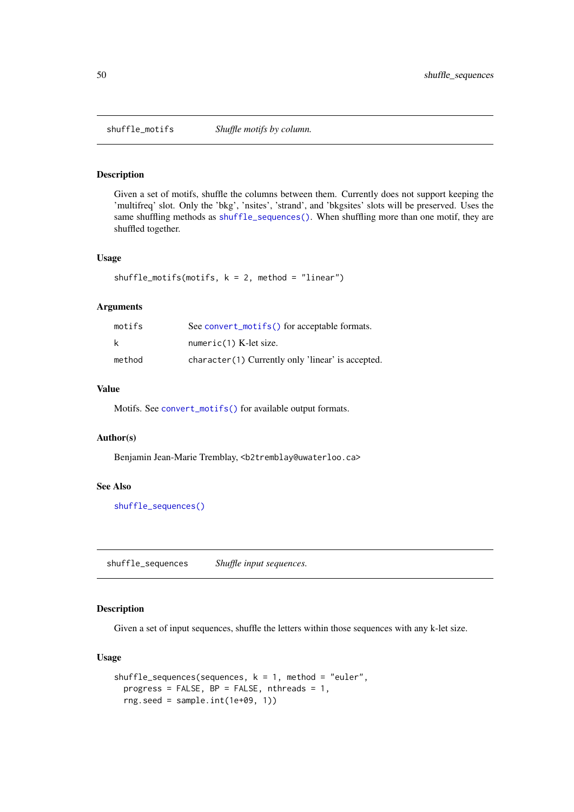<span id="page-49-2"></span><span id="page-49-1"></span>

Given a set of motifs, shuffle the columns between them. Currently does not support keeping the 'multifreq' slot. Only the 'bkg', 'nsites', 'strand', and 'bkgsites' slots will be preserved. Uses the same shuffling methods as [shuffle\\_sequences\(\)](#page-49-0). When shuffling more than one motif, they are shuffled together.

# Usage

```
shuffle_motifs(motifs, k = 2, method = "linear")
```
# Arguments

| motifs | See convert_motifs() for acceptable formats.      |
|--------|---------------------------------------------------|
| k      | $numeric(1)$ K-let size.                          |
| method | character(1) Currently only 'linear' is accepted. |

# Value

Motifs. See [convert\\_motifs\(\)](#page-7-0) for available output formats.

# Author(s)

Benjamin Jean-Marie Tremblay, <b2tremblay@uwaterloo.ca>

# See Also

[shuffle\\_sequences\(\)](#page-49-0)

<span id="page-49-0"></span>shuffle\_sequences *Shuffle input sequences.*

# Description

Given a set of input sequences, shuffle the letters within those sequences with any k-let size.

#### Usage

```
shuffle_sequences(sequences, k = 1, method = "euler",
 progress = FALSE, BP = FALSE, nthreads = 1,
 rng.seed = sample.int(1e+09, 1))
```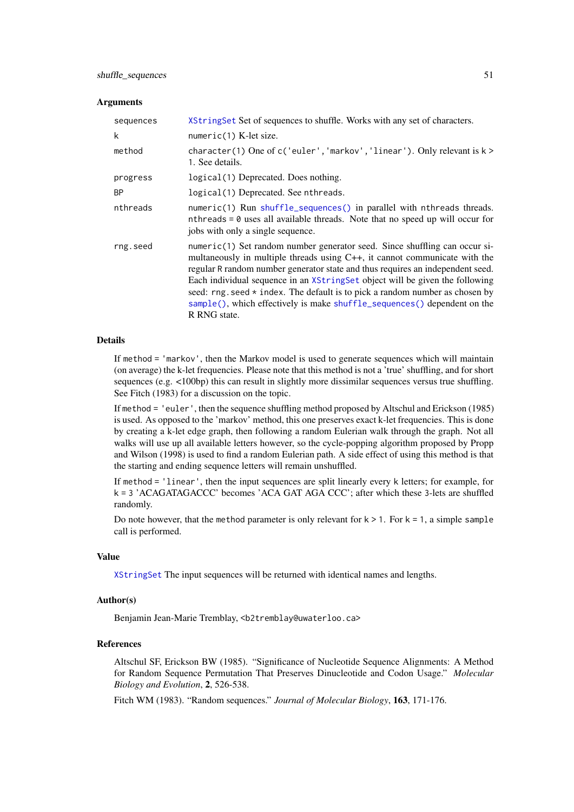#### Arguments

| sequences | XString Set Set of sequences to shuffle. Works with any set of characters.                                                                                                                                                                                                                                                                                                                                                                                                                                     |
|-----------|----------------------------------------------------------------------------------------------------------------------------------------------------------------------------------------------------------------------------------------------------------------------------------------------------------------------------------------------------------------------------------------------------------------------------------------------------------------------------------------------------------------|
| k         | $numeric(1)$ K-let size.                                                                                                                                                                                                                                                                                                                                                                                                                                                                                       |
| method    | character(1) One of $c$ ('euler', 'markov', 'linear'). Only relevant is $k >$<br>1. See details.                                                                                                                                                                                                                                                                                                                                                                                                               |
| progress  | logical (1) Deprecated. Does nothing.                                                                                                                                                                                                                                                                                                                                                                                                                                                                          |
| BP        | logical(1) Deprecated. See nthreads.                                                                                                                                                                                                                                                                                                                                                                                                                                                                           |
| nthreads  | numeric(1) Run shuffle_sequences() in parallel with nthreads threads.<br>nthreads $= 0$ uses all available threads. Note that no speed up will occur for<br>jobs with only a single sequence.                                                                                                                                                                                                                                                                                                                  |
| rng.seed  | numeric(1) Set random number generator seed. Since shuffling can occur si-<br>multaneously in multiple threads using $C_{++}$ , it cannot communicate with the<br>regular R random number generator state and thus requires an independent seed.<br>Each individual sequence in an XStringSet object will be given the following<br>seed: $rng. seed * index. The default is to pick a random number as chosen by$<br>sample(), which effectively is make shuffle_sequences() dependent on the<br>R RNG state. |

# Details

If method = 'markov', then the Markov model is used to generate sequences which will maintain (on average) the k-let frequencies. Please note that this method is not a 'true' shuffling, and for short sequences (e.g. <100bp) this can result in slightly more dissimilar sequences versus true shuffling. See Fitch (1983) for a discussion on the topic.

If method = 'euler', then the sequence shuffling method proposed by Altschul and Erickson (1985) is used. As opposed to the 'markov' method, this one preserves exact k-let frequencies. This is done by creating a k-let edge graph, then following a random Eulerian walk through the graph. Not all walks will use up all available letters however, so the cycle-popping algorithm proposed by Propp and Wilson (1998) is used to find a random Eulerian path. A side effect of using this method is that the starting and ending sequence letters will remain unshuffled.

If method = 'linear', then the input sequences are split linearly every k letters; for example, for k = 3 'ACAGATAGACCC' becomes 'ACA GAT AGA CCC'; after which these 3-lets are shuffled randomly.

Do note however, that the method parameter is only relevant for  $k > 1$ . For  $k = 1$ , a simple sample call is performed.

#### Value

[XStringSet](#page-0-0) The input sequences will be returned with identical names and lengths.

#### Author(s)

Benjamin Jean-Marie Tremblay, <b2tremblay@uwaterloo.ca>

## References

Altschul SF, Erickson BW (1985). "Significance of Nucleotide Sequence Alignments: A Method for Random Sequence Permutation That Preserves Dinucleotide and Codon Usage." *Molecular Biology and Evolution*, 2, 526-538.

Fitch WM (1983). "Random sequences." *Journal of Molecular Biology*, 163, 171-176.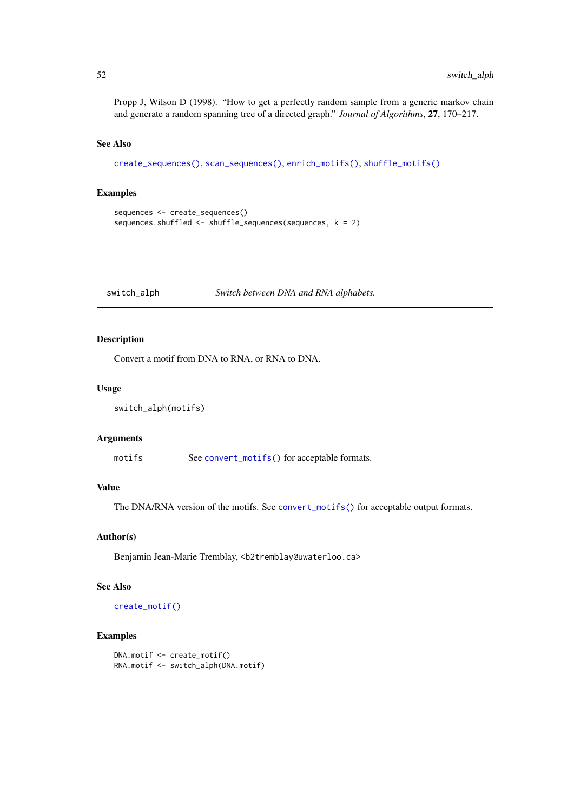Propp J, Wilson D (1998). "How to get a perfectly random sample from a generic markov chain and generate a random spanning tree of a directed graph." *Journal of Algorithms*, 27, 170–217.

## See Also

```
create_sequences(), scan_sequences(), enrich_motifs(), shuffle_motifs()
```
#### Examples

```
sequences <- create_sequences()
sequences.shuffled <- shuffle_sequences(sequences, k = 2)
```
switch\_alph *Switch between DNA and RNA alphabets.*

# Description

Convert a motif from DNA to RNA, or RNA to DNA.

# Usage

```
switch_alph(motifs)
```
# Arguments

motifs See [convert\\_motifs\(\)](#page-7-0) for acceptable formats.

# Value

The DNA/RNA version of the motifs. See [convert\\_motifs\(\)](#page-7-0) for acceptable output formats.

#### Author(s)

Benjamin Jean-Marie Tremblay, <b2tremblay@uwaterloo.ca>

# See Also

[create\\_motif\(\)](#page-13-0)

```
DNA.motif <- create_motif()
RNA.motif <- switch_alph(DNA.motif)
```
<span id="page-51-0"></span>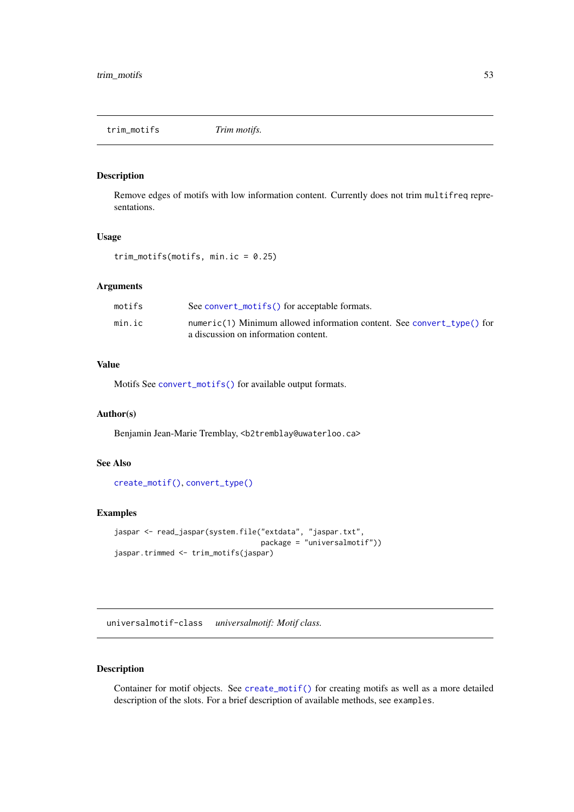<span id="page-52-1"></span>trim\_motifs *Trim motifs.*

# Description

Remove edges of motifs with low information content. Currently does not trim multifreq representations.

# Usage

trim\_motifs(motifs, min.ic = 0.25)

#### Arguments

| motifs | See convert_motifs() for acceptable formats.                           |
|--------|------------------------------------------------------------------------|
| min.ic | numeric(1) Minimum allowed information content. See convert_type() for |
|        | a discussion on information content.                                   |

# Value

Motifs See [convert\\_motifs\(\)](#page-7-0) for available output formats.

#### Author(s)

Benjamin Jean-Marie Tremblay, <b2tremblay@uwaterloo.ca>

# See Also

[create\\_motif\(\)](#page-13-0), [convert\\_type\(\)](#page-11-0)

# Examples

```
jaspar <- read_jaspar(system.file("extdata", "jaspar.txt",
                                  package = "universalmotif"))
jaspar.trimmed <- trim_motifs(jaspar)
```
<span id="page-52-0"></span>universalmotif-class *universalmotif: Motif class.*

# Description

Container for motif objects. See [create\\_motif\(\)](#page-13-0) for creating motifs as well as a more detailed description of the slots. For a brief description of available methods, see examples.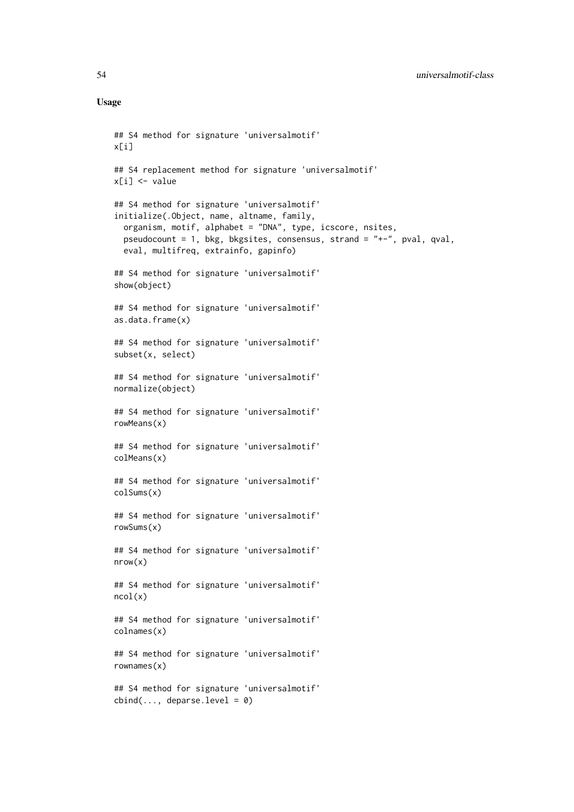## Usage

```
## S4 method for signature 'universalmotif'
x[i]
## S4 replacement method for signature 'universalmotif'
x[i] <- value
## S4 method for signature 'universalmotif'
initialize(.Object, name, altname, family,
 organism, motif, alphabet = "DNA", type, icscore, nsites,
 pseudocount = 1, bkg, bkgsites, consensus, strand = "+-", pval, qval,
 eval, multifreq, extrainfo, gapinfo)
## S4 method for signature 'universalmotif'
show(object)
## S4 method for signature 'universalmotif'
as.data.frame(x)
## S4 method for signature 'universalmotif'
subset(x, select)
## S4 method for signature 'universalmotif'
normalize(object)
## S4 method for signature 'universalmotif'
rowMeans(x)
## S4 method for signature 'universalmotif'
colMeans(x)
## S4 method for signature 'universalmotif'
colSums(x)
## S4 method for signature 'universalmotif'
rowSums(x)
## S4 method for signature 'universalmotif'
nrow(x)
## S4 method for signature 'universalmotif'
ncol(x)
## S4 method for signature 'universalmotif'
colnames(x)
## S4 method for signature 'universalmotif'
rownames(x)
## S4 method for signature 'universalmotif'
cbind(..., deparse.level = 0)
```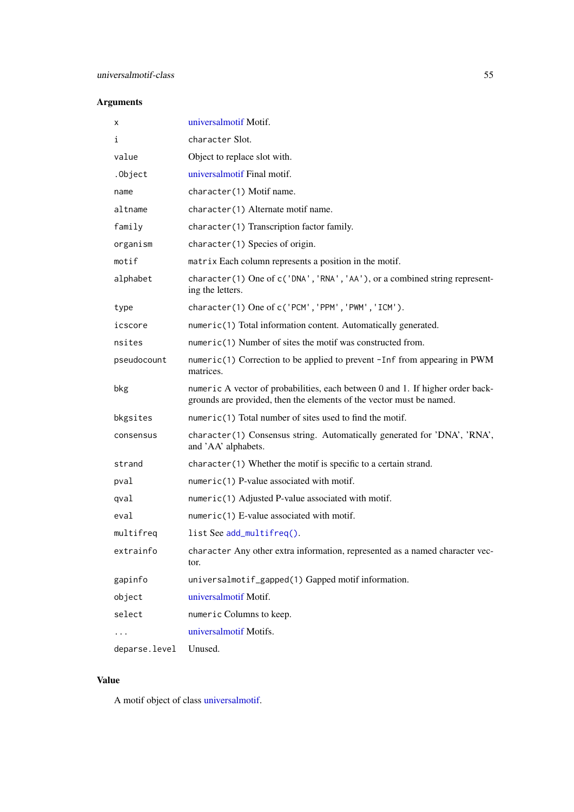# <span id="page-54-0"></span>Arguments

| x             | universalmotif Motif.                                                                                                                                  |
|---------------|--------------------------------------------------------------------------------------------------------------------------------------------------------|
| i             | character Slot.                                                                                                                                        |
| value         | Object to replace slot with.                                                                                                                           |
| .0bject       | universalmotif Final motif.                                                                                                                            |
| name          | character(1) Motif name.                                                                                                                               |
| altname       | character(1) Alternate motif name.                                                                                                                     |
| family        | character(1) Transcription factor family.                                                                                                              |
| organism      | character(1) Species of origin.                                                                                                                        |
| motif         | matrix Each column represents a position in the motif.                                                                                                 |
| alphabet      | character(1) One of c('DNA', 'RNA', 'AA'), or a combined string represent-<br>ing the letters.                                                         |
| type          | character(1) One of c('PCM', 'PPM', 'PWM', 'ICM').                                                                                                     |
| icscore       | numeric(1) Total information content. Automatically generated.                                                                                         |
| nsites        | numeric(1) Number of sites the motif was constructed from.                                                                                             |
| pseudocount   | numeric(1) Correction to be applied to prevent -Inf from appearing in PWM<br>matrices.                                                                 |
| bkg           | numeric A vector of probabilities, each between 0 and 1. If higher order back-<br>grounds are provided, then the elements of the vector must be named. |
| bkgsites      | numeric(1) Total number of sites used to find the motif.                                                                                               |
| consensus     | character(1) Consensus string. Automatically generated for 'DNA', 'RNA',<br>and 'AA' alphabets.                                                        |
| strand        | $character(1)$ Whether the motif is specific to a certain strand.                                                                                      |
| pval          | $numeric(1)$ P-value associated with motif.                                                                                                            |
| qval          | numeric(1) Adjusted P-value associated with motif.                                                                                                     |
| eval          | $numeric(1)$ E-value associated with motif.                                                                                                            |
| multifreq     | list See add_multifreq().                                                                                                                              |
| extrainfo     | character Any other extra information, represented as a named character vec-<br>tor.                                                                   |
| gapinfo       | universalmotif_gapped(1) Gapped motif information.                                                                                                     |
| object        | universalmotif Motif.                                                                                                                                  |
| select        | numeric Columns to keep.                                                                                                                               |
| .             | universalmotif Motifs.                                                                                                                                 |
| deparse.level | Unused.                                                                                                                                                |

# Value

A motif object of class [universalmotif.](#page-52-0)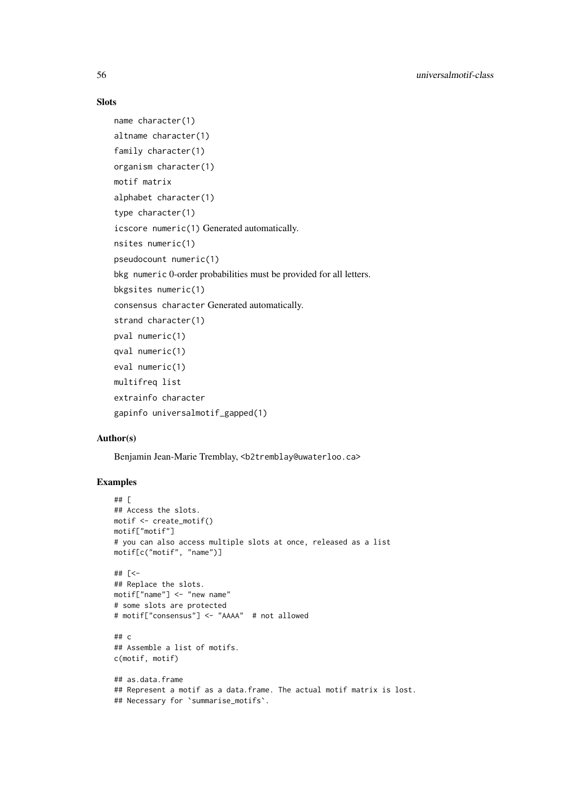# Slots

```
name character(1)
altname character(1)
family character(1)
organism character(1)
motif matrix
alphabet character(1)
type character(1)
icscore numeric(1) Generated automatically.
nsites numeric(1)
pseudocount numeric(1)
bkg numeric 0-order probabilities must be provided for all letters.
bkgsites numeric(1)
consensus character Generated automatically.
strand character(1)
pval numeric(1)
qval numeric(1)
eval numeric(1)
multifreq list
extrainfo character
gapinfo universalmotif_gapped(1)
```
# Author(s)

Benjamin Jean-Marie Tremblay, <b2tremblay@uwaterloo.ca>

```
## [
## Access the slots.
motif <- create_motif()
motif["motif"]
# you can also access multiple slots at once, released as a list
motif[c("motif", "name")]
## [<-
## Replace the slots.
motif["name"] <- "new name"
# some slots are protected
# motif["consensus"] <- "AAAA" # not allowed
## c
## Assemble a list of motifs.
c(motif, motif)
## as.data.frame
## Represent a motif as a data.frame. The actual motif matrix is lost.
## Necessary for `summarise_motifs`.
```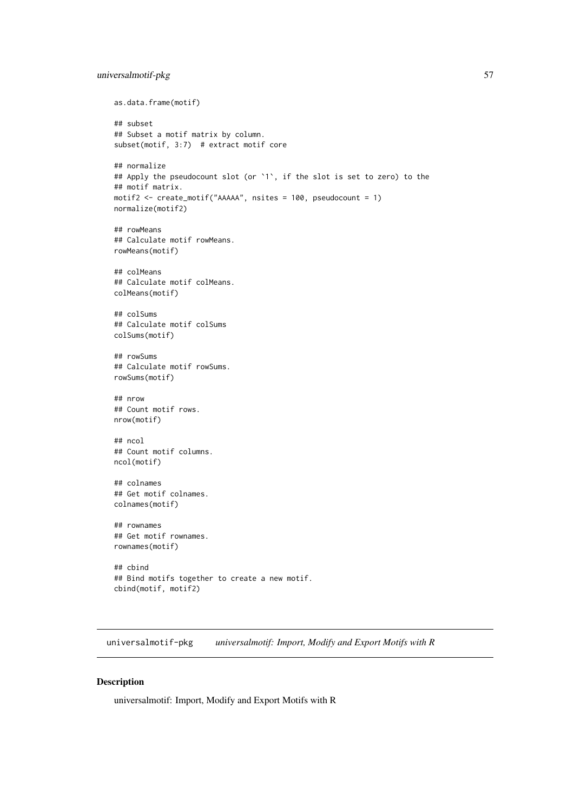#### universalmotif-pkg 57

```
as.data.frame(motif)
## subset
## Subset a motif matrix by column.
subset(motif, 3:7) # extract motif core
## normalize
## Apply the pseudocount slot (or `1`, if the slot is set to zero) to the
## motif matrix.
motif2 <- create_motif("AAAAA", nsites = 100, pseudocount = 1)
normalize(motif2)
## rowMeans
## Calculate motif rowMeans.
rowMeans(motif)
## colMeans
## Calculate motif colMeans.
colMeans(motif)
## colSums
## Calculate motif colSums
colSums(motif)
## rowSums
## Calculate motif rowSums.
rowSums(motif)
## nrow
## Count motif rows.
nrow(motif)
## ncol
## Count motif columns.
ncol(motif)
## colnames
## Get motif colnames.
colnames(motif)
## rownames
## Get motif rownames.
rownames(motif)
## cbind
## Bind motifs together to create a new motif.
cbind(motif, motif2)
```
universalmotif-pkg *universalmotif: Import, Modify and Export Motifs with R*

# Description

universalmotif: Import, Modify and Export Motifs with R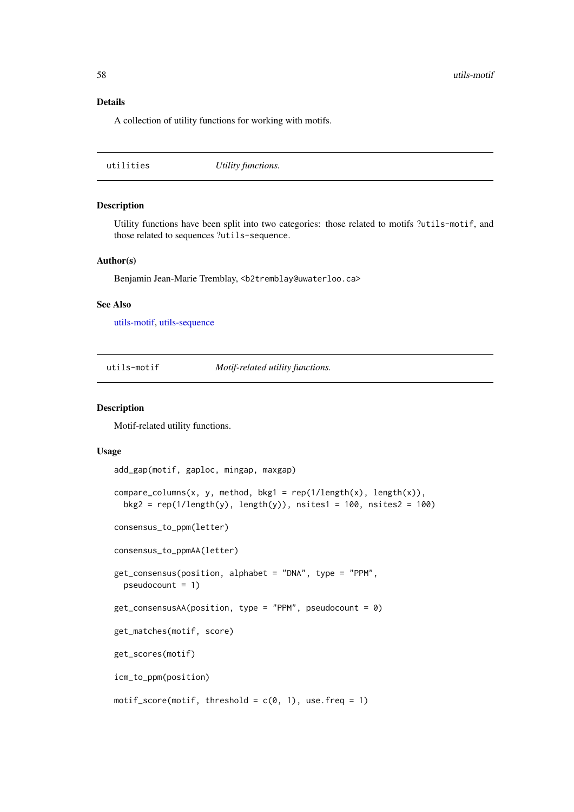#### Details

A collection of utility functions for working with motifs.

|  | Utility functions. | utilities |
|--|--------------------|-----------|
|--|--------------------|-----------|

# Description

Utility functions have been split into two categories: those related to motifs ?utils-motif, and those related to sequences ?utils-sequence.

# Author(s)

Benjamin Jean-Marie Tremblay, <b2tremblay@uwaterloo.ca>

# See Also

[utils-motif,](#page-57-0) [utils-sequence](#page-62-0)

<span id="page-57-0"></span>

utils-motif *Motif-related utility functions.*

# <span id="page-57-1"></span>Description

Motif-related utility functions.

#### Usage

```
add_gap(motif, gaploc, mingap, maxgap)
compare_columns(x, y, method, bkg1 = rep(1/length(x), length(x)),
 bkg2 = rep(1/length(y), length(y)), nsites1 = 100, nsites2 = 100)
consensus_to_ppm(letter)
consensus_to_ppmAA(letter)
get_consensus(position, alphabet = "DNA", type = "PPM",
 pseudocount = 1)get\_consensusAA(position, type = "PPM", pseudocount = 0)get_matches(motif, score)
get_scores(motif)
icm_to_ppm(position)
motif_score(motif, threshold = c(0, 1), use.freq = 1)
```
<span id="page-57-2"></span>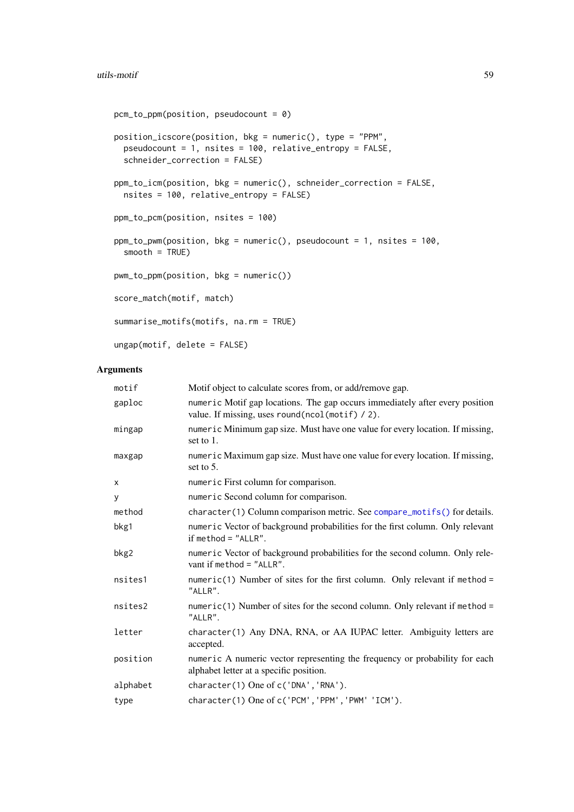#### <span id="page-58-0"></span>utils-motif 59

```
pcm_to_ppm(position, pseudocount = 0)
position_icscore(position, bkg = numeric(), type = "PPM",
  pseudocount = 1, nsites = 100, relative_entropy = FALSE,
  schneider_correction = FALSE)
ppm_to_icm(position, bkg = numeric(), schneider_correction = FALSE,
  nsites = 100, relative_entropy = FALSE)
ppm_to_pcm(position, nsites = 100)
ppm_to_pwm(position, bkg = numeric(), pseudocount = 1, nsites = 100,smooth = TRUE)
pwm_to_ppm(position, bkg = numeric())
score_match(motif, match)
summarise_motifs(motifs, na.rm = TRUE)
ungap(motif, delete = FALSE)
```
# Arguments

| motif    | Motif object to calculate scores from, or add/remove gap.                                                                       |
|----------|---------------------------------------------------------------------------------------------------------------------------------|
| gaploc   | numeric Motif gap locations. The gap occurs immediately after every position<br>value. If missing, uses round(ncol(motif) / 2). |
| mingap   | numeric Minimum gap size. Must have one value for every location. If missing,<br>set to 1.                                      |
| maxgap   | numeric Maximum gap size. Must have one value for every location. If missing,<br>set to 5.                                      |
| X        | numeric First column for comparison.                                                                                            |
| У        | numeric Second column for comparison.                                                                                           |
| method   | character(1) Column comparison metric. See compare_motifs() for details.                                                        |
| bkg1     | numeric Vector of background probabilities for the first column. Only relevant<br>if method $=$ "ALLR".                         |
| bkg2     | numeric Vector of background probabilities for the second column. Only rele-<br>vant if method = $"ALLR".$                      |
| nsites1  | $numeric(1)$ Number of sites for the first column. Only relevant if method =<br>"ALLR".                                         |
| nsites2  | $numeric(1)$ Number of sites for the second column. Only relevant if method =<br>"ALLR".                                        |
| letter   | character(1) Any DNA, RNA, or AA IUPAC letter. Ambiguity letters are<br>accepted.                                               |
| position | numeric A numeric vector representing the frequency or probability for each<br>alphabet letter at a specific position.          |
| alphabet | character(1) One of c('DNA', 'RNA').                                                                                            |
| type     | character(1) One of c('PCM', 'PPM', 'PWM' 'ICM').                                                                               |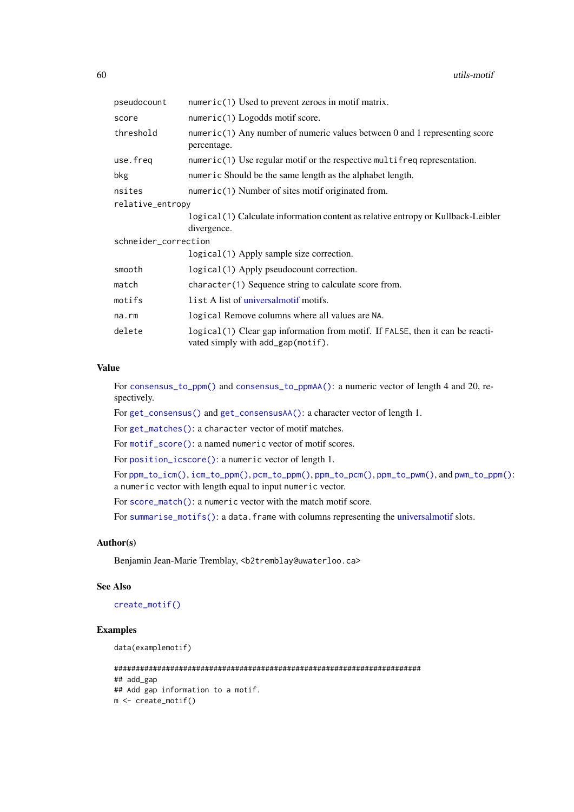<span id="page-59-0"></span>

| pseudocount          | numeric(1) Used to prevent zeroes in motif matrix.                                                                 |  |
|----------------------|--------------------------------------------------------------------------------------------------------------------|--|
| score                | $numeric(1)$ Logodds motif score.                                                                                  |  |
| threshold            | $numeric(1)$ Any number of numeric values between 0 and 1 representing score<br>percentage.                        |  |
| use.freq             | $numeric(1)$ Use regular motif or the respective multifreq representation.                                         |  |
| bkg                  | numeric Should be the same length as the alphabet length.                                                          |  |
| nsites               | numeric(1) Number of sites motif originated from.                                                                  |  |
| relative_entropy     |                                                                                                                    |  |
|                      | logical (1) Calculate information content as relative entropy or Kullback-Leibler<br>divergence.                   |  |
| schneider_correction |                                                                                                                    |  |
|                      | logical (1) Apply sample size correction.                                                                          |  |
| smooth               | logical(1) Apply pseudocount correction.                                                                           |  |
| match                | character(1) Sequence string to calculate score from.                                                              |  |
| motifs               | list A list of universalmotif motifs.                                                                              |  |
| na.rm                | logical Remove columns where all values are NA.                                                                    |  |
| delete               | logical(1) Clear gap information from motif. If FALSE, then it can be reacti-<br>vated simply with add_gap(motif). |  |

## Value

For [consensus\\_to\\_ppm\(\)](#page-57-1) and [consensus\\_to\\_ppmAA\(\)](#page-57-1): a numeric vector of length 4 and 20, respectively.

For [get\\_consensus\(\)](#page-57-1) and [get\\_consensusAA\(\)](#page-57-1): a character vector of length 1.

For [get\\_matches\(\)](#page-57-1): a character vector of motif matches.

For [motif\\_score\(\)](#page-57-1): a named numeric vector of motif scores.

For [position\\_icscore\(\)](#page-57-1): a numeric vector of length 1.

For [ppm\\_to\\_icm\(\)](#page-57-1), [icm\\_to\\_ppm\(\)](#page-57-1), [pcm\\_to\\_ppm\(\)](#page-57-1), [ppm\\_to\\_pcm\(\)](#page-57-1), [ppm\\_to\\_pwm\(\)](#page-57-1), and [pwm\\_to\\_ppm\(\)](#page-57-1): a numeric vector with length equal to input numeric vector.

For [score\\_match\(\)](#page-57-1): a numeric vector with the match motif score.

For [summarise\\_motifs\(\)](#page-57-1): a data.frame with columns representing the [universalmotif](#page-52-0) slots.

# Author(s)

Benjamin Jean-Marie Tremblay, <b2tremblay@uwaterloo.ca>

# See Also

[create\\_motif\(\)](#page-13-0)

# Examples

data(examplemotif)

```
#######################################################################
## add_gap
## Add gap information to a motif.
m <- create_motif()
```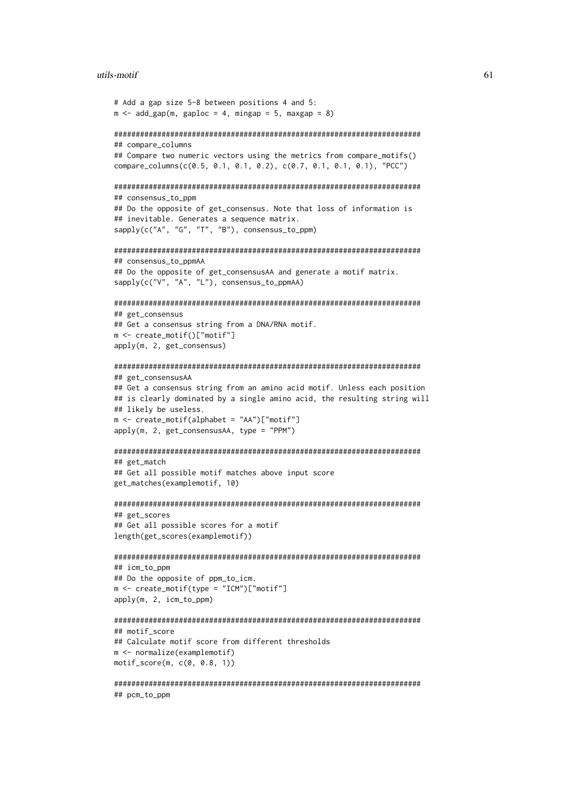#### utils-motif 61

```
# Add a gap size 5-8 between positions 4 and 5:
m \le - add gap(m, gaploc = 4, mingap = 5, maxgap = 8)
#######################################################################
## compare_columns
## Compare two numeric vectors using the metrics from compare_motifs()
compare_columns(c(0.5, 0.1, 0.1, 0.2), c(0.7, 0.1, 0.1, 0.1), "PCC")
#######################################################################
## consensus to ppm
## Do the opposite of get_consensus. Note that loss of information is
## inevitable. Generates a sequence matrix.
sapply(c("A", "G", "T", "B"), consensus_to_ppm)
#######################################################################
## consensus_to_ppmAA
## Do the opposite of get_consensusAA and generate a motif matrix.
sapply(c("V", "A", "L"), consensus_to_ppmAA)
#######################################################################
## get_consensus
## Get a consensus string from a DNA/RNA motif.
m <- create_motif()["motif"]
apply(m, 2, get_consensus)
#######################################################################
## get_consensusAA
## Get a consensus string from an amino acid motif. Unless each position
## is clearly dominated by a single amino acid, the resulting string will
## likely be useless.
m \leq create motif(alphabet = "AA")["motif"]
apply(m, 2, get\_consensusAA, type = "PPM")#######################################################################
## get_match
## Get all possible motif matches above input score
get_matches(examplemotif, 10)
#######################################################################
## get_scores
## Get all possible scores for a motif
length(get_scores(examplemotif))
#######################################################################
## icm_to_ppm
## Do the opposite of ppm_to_icm.
m <- create_motif(type = "ICM")["motif"]
apply(m, 2, icm_to_ppm)
#######################################################################
## motif score
## Calculate motif score from different thresholds
m <- normalize(examplemotif)
motif_score(m, c(0, 0.8, 1))
#######################################################################
## pcm_to_ppm
```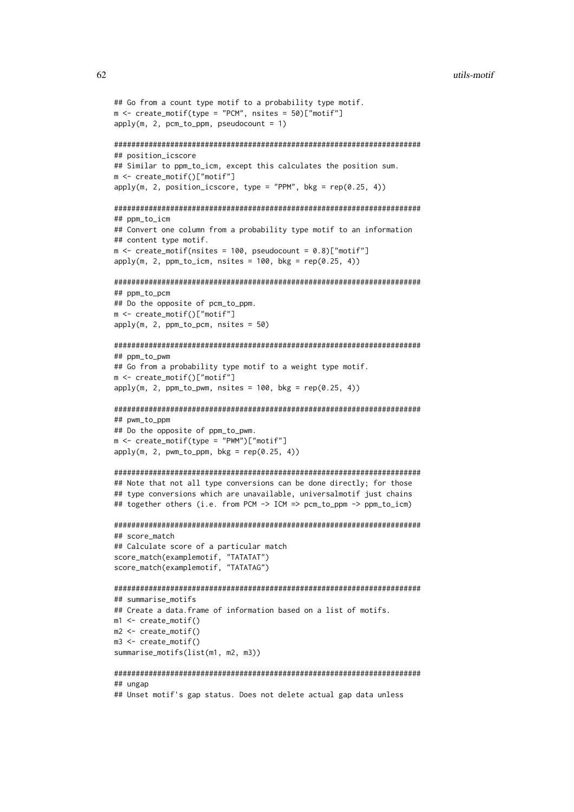```
## Go from a count type motif to a probability type motif.
m \le - create_motif(type = "PCM", nsites = 50)["motif"]
apply(m, 2, pcm_to_ppm, pseudocount = 1)#######################################################################
## position_icscore
## Similar to ppm_to_icm, except this calculates the position sum.
m <- create_motif()["motif"]
apply(m, 2, position\_iscore, type = "PPM", bkg = rep(0.25, 4))#######################################################################
## ppm_to_icm
## Convert one column from a probability type motif to an information
## content type motif.
m \le create_motif(nsites = 100, pseudocount = 0.8)["motif"]
apply(m, 2, ppm_to_icm, nsites = 100, bkg = rep(0.25, 4))#######################################################################
\# \# ppm \# pcm
## Do the opposite of pcm_to_ppm.
m <- create_motif()["motif"]
apply(m, 2, ppm_to_pcm, nsites = 50)#######################################################################
## ppm_to_pwm
## Go from a probability type motif to a weight type motif.
m <- create_motif()["motif"]
apply(m, 2, ppm_to_pwm, nsites = 100, bkg = rep(0.25, 4))#######################################################################
## pwm_to_ppm
## Do the opposite of ppm_to_pwm.
m \le create_motif(type = "PWM")["motif"]
apply(m, 2, pwm_to_ppm, bkg = rep(0.25, 4))#######################################################################
## Note that not all type conversions can be done directly; for those
## type conversions which are unavailable, universalmotif just chains
## together others (i.e. from PCM -> ICM => pcm_to_ppm -> ppm_to_icm)
#######################################################################
## score_match
## Calculate score of a particular match
score_match(examplemotif, "TATATAT")
score_match(examplemotif, "TATATAG")
#######################################################################
## summarise_motifs
## Create a data.frame of information based on a list of motifs.
m1 \leq create m \times i \in \capm2 \le - create motif()
m3 \le - create motif()summarise_motifs(list(m1, m2, m3))
#######################################################################
## ungap
```
## Unset motif's gap status. Does not delete actual gap data unless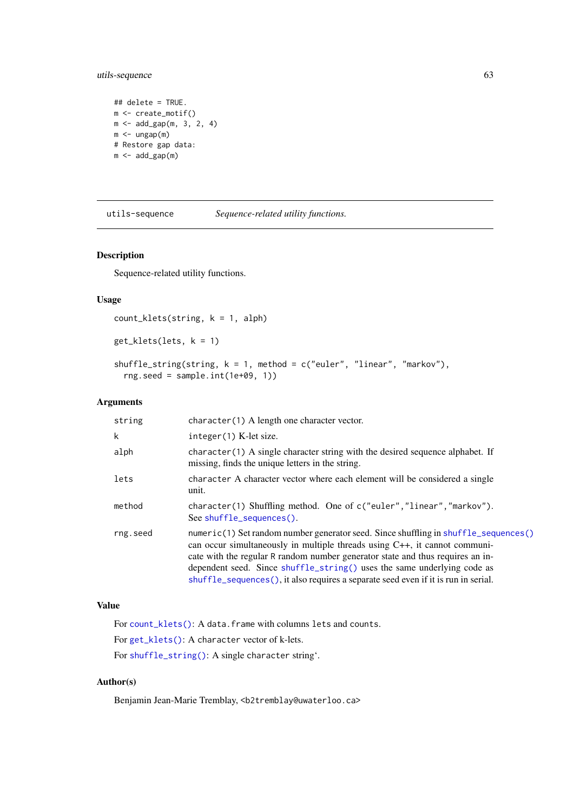#### <span id="page-62-2"></span>utils-sequence 63

```
## delete = TRUE.
m <- create_motif()
m \le - add_gap(m, 3, 2, 4)
m < - ungap(m)# Restore gap data:
m < -add_{gap(m)}
```
<span id="page-62-0"></span>utils-sequence *Sequence-related utility functions.*

# <span id="page-62-1"></span>Description

Sequence-related utility functions.

# Usage

```
count_klets(string, k = 1, alph)
get_klets(lets, k = 1)
shuffle_string(string, k = 1, method = c("euler", "linear", "markov"),
 rng.seed = sample.int(1e+09, 1))
```
# Arguments

| string   | character(1) A length one character vector.                                                                                                                                                                                                                                                                                                                                                                                |
|----------|----------------------------------------------------------------------------------------------------------------------------------------------------------------------------------------------------------------------------------------------------------------------------------------------------------------------------------------------------------------------------------------------------------------------------|
| k        | integer(1) K-let size.                                                                                                                                                                                                                                                                                                                                                                                                     |
| alph     | character (1) A single character string with the desired sequence alphabet. If<br>missing, finds the unique letters in the string.                                                                                                                                                                                                                                                                                         |
| lets     | character A character vector where each element will be considered a single<br>unit.                                                                                                                                                                                                                                                                                                                                       |
| method   | character(1) Shuffling method. One of c("euler", "linear", "markov").<br>See shuffle_sequences().                                                                                                                                                                                                                                                                                                                          |
| rng.seed | numeric(1) Set random number generator seed. Since shuffling in shuffle_sequences()<br>can occur simultaneously in multiple threads using $C_{++}$ , it cannot communi-<br>cate with the regular R random number generator state and thus requires an in-<br>dependent seed. Since shuffle_string() uses the same underlying code as<br>shuffle_sequences(), it also requires a separate seed even if it is run in serial. |

# Value

For [count\\_klets\(\)](#page-62-1): A data.frame with columns lets and counts. For [get\\_klets\(\)](#page-62-1): A character vector of k-lets. For [shuffle\\_string\(\)](#page-62-1): A single character string'.

# Author(s)

Benjamin Jean-Marie Tremblay, <b2tremblay@uwaterloo.ca>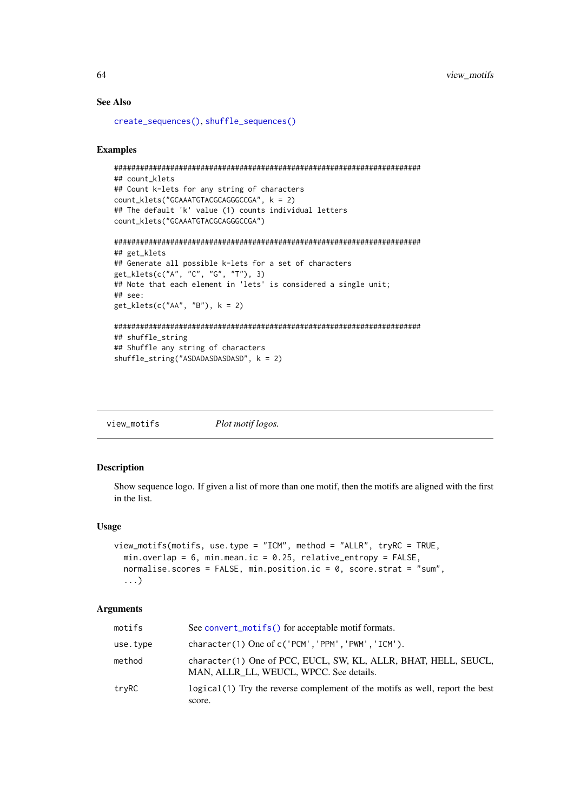#### See Also

[create\\_sequences\(\)](#page-18-0), [shuffle\\_sequences\(\)](#page-49-0)

#### Examples

```
#######################################################################
## count_klets
## Count k-lets for any string of characters
count_klets("GCAAATGTACGCAGGGCCGA", k = 2)
## The default 'k' value (1) counts individual letters
count_klets("GCAAATGTACGCAGGGCCGA")
#######################################################################
## get_klets
## Generate all possible k-lets for a set of characters
get_klets(c("A", "C", "G", "T"), 3)
## Note that each element in 'lets' is considered a single unit;
## see:
get_klets(c("AA", "B"), k = 2)#######################################################################
## shuffle_string
## Shuffle any string of characters
shuffle_string("ASDADASDASDASD", k = 2)
```
<span id="page-63-0"></span>view\_motifs *Plot motif logos.*

## Description

Show sequence logo. If given a list of more than one motif, then the motifs are aligned with the first in the list.

## Usage

```
view_motifs(motifs, use.type = "ICM", method = "ALLR", tryRC = TRUE,
 min.overlap = 6, min.mean.ic = 0.25, relative_entropy = FALSE,
 normalise.scores = FALSE, min.position.ic = 0, score.strat = "sum",
  ...)
```
## Arguments

| motifs   | See convert_motifs() for acceptable motif formats.                                                         |
|----------|------------------------------------------------------------------------------------------------------------|
| use.type | $character(1)$ One of $c('PCM', 'PPM', 'PWM', 'ICM').$                                                     |
| method   | character(1) One of PCC, EUCL, SW, KL, ALLR, BHAT, HELL, SEUCL,<br>MAN, ALLR LL, WEUCL, WPCC. See details. |
| tryRC    | logical (1) Try the reverse complement of the motifs as well, report the best<br>score.                    |

<span id="page-63-1"></span>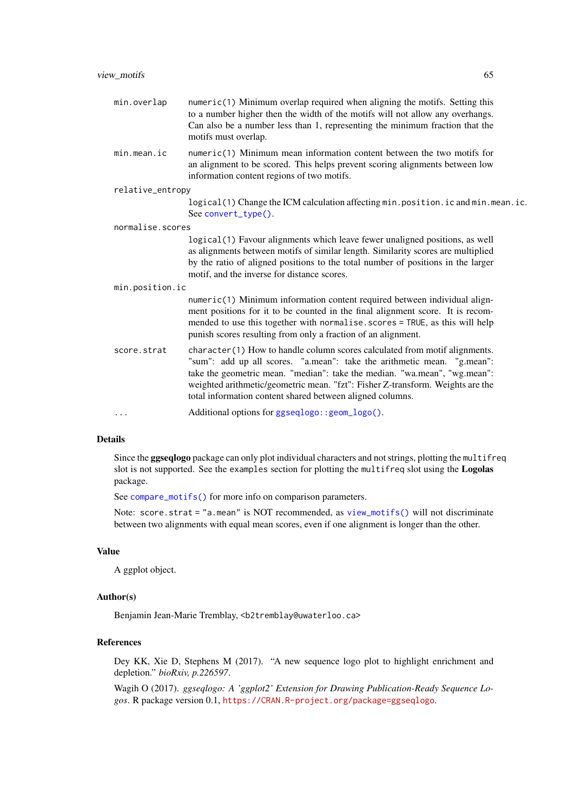<span id="page-64-0"></span>

| min.overlap      | numeric(1) Minimum overlap required when aligning the motifs. Setting this<br>to a number higher then the width of the motifs will not allow any overhangs.<br>Can also be a number less than 1, representing the minimum fraction that the<br>motifs must overlap.                                                                                                               |  |
|------------------|-----------------------------------------------------------------------------------------------------------------------------------------------------------------------------------------------------------------------------------------------------------------------------------------------------------------------------------------------------------------------------------|--|
| min. mean.       | numeric(1) Minimum mean information content between the two motifs for<br>an alignment to be scored. This helps prevent scoring alignments between low<br>information content regions of two motifs.                                                                                                                                                                              |  |
| relative_entropy |                                                                                                                                                                                                                                                                                                                                                                                   |  |
|                  | logical(1) Change the ICM calculation affecting min.position.ic and min.mean.ic.<br>See convert_type().                                                                                                                                                                                                                                                                           |  |
| normalise.scores |                                                                                                                                                                                                                                                                                                                                                                                   |  |
|                  | logical(1) Favour alignments which leave fewer unaligned positions, as well<br>as alignments between motifs of similar length. Similarity scores are multiplied<br>by the ratio of aligned positions to the total number of positions in the larger<br>motif, and the inverse for distance scores.                                                                                |  |
| min.position.ic  |                                                                                                                                                                                                                                                                                                                                                                                   |  |
|                  | numeric(1) Minimum information content required between individual align-<br>ment positions for it to be counted in the final alignment score. It is recom-<br>mended to use this together with normalise.scores = TRUE, as this will help<br>punish scores resulting from only a fraction of an alignment.                                                                       |  |
| score.strat      | character(1) How to handle column scores calculated from motif alignments.<br>"sum": add up all scores. "a.mean": take the arithmetic mean. "g.mean":<br>take the geometric mean. "median": take the median. "wa.mean", "wg.mean":<br>weighted arithmetic/geometric mean. "fzt": Fisher Z-transform. Weights are the<br>total information content shared between aligned columns. |  |
|                  | Additional options for ggseqlogo: : geom_logo().                                                                                                                                                                                                                                                                                                                                  |  |

# Details

Since the ggseqlogo package can only plot individual characters and not strings, plotting the multifreq slot is not supported. See the examples section for plotting the multifreq slot using the Logolas package.

See [compare\\_motifs\(\)](#page-4-0) for more info on comparison parameters.

Note: score.strat = "a.mean" is NOT recommended, as [view\\_motifs\(\)](#page-63-0) will not discriminate between two alignments with equal mean scores, even if one alignment is longer than the other.

## Value

A ggplot object.

# Author(s)

Benjamin Jean-Marie Tremblay, <b2tremblay@uwaterloo.ca>

# References

Dey KK, Xie D, Stephens M (2017). "A new sequence logo plot to highlight enrichment and depletion." *bioRxiv, p.226597*.

Wagih O (2017). *ggseqlogo: A 'ggplot2' Extension for Drawing Publication-Ready Sequence Logos*. R package version 0.1, <https://CRAN.R-project.org/package=ggseqlogo>.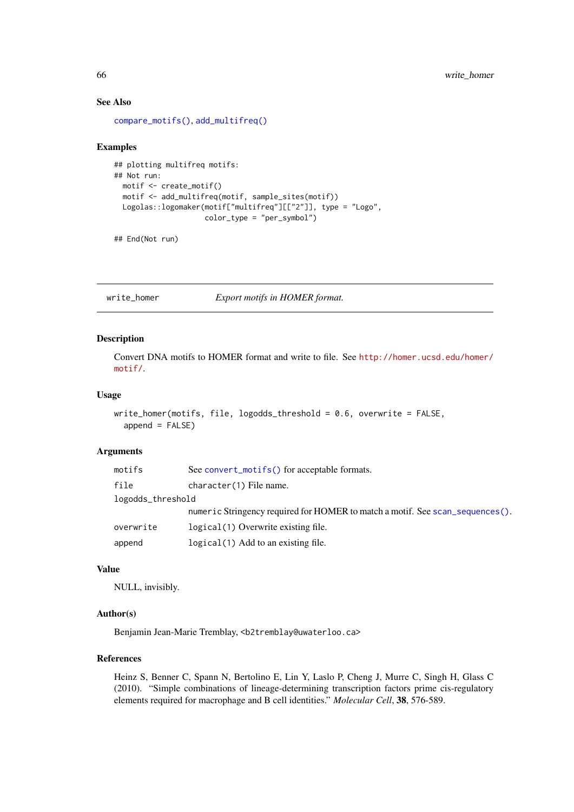#### See Also

[compare\\_motifs\(\)](#page-4-0), [add\\_multifreq\(\)](#page-2-0)

# Examples

```
## plotting multifreq motifs:
## Not run:
 motif <- create_motif()
 motif <- add_multifreq(motif, sample_sites(motif))
 Logolas::logomaker(motif["multifreq"][["2"]], type = "Logo",
                    color_type = "per_symbol")
```
## End(Not run)

<span id="page-65-0"></span>write\_homer *Export motifs in HOMER format.*

## Description

Convert DNA motifs to HOMER format and write to file. See [http://homer.ucsd.edu/homer/](http://homer.ucsd.edu/homer/motif/) [motif/](http://homer.ucsd.edu/homer/motif/).

# Usage

```
write_homer(motifs, file, logodds_threshold = 0.6, overwrite = FALSE,
  append = FALSE)
```
#### Arguments

| motifs            | See convert_motifs() for acceptable formats.                                  |  |
|-------------------|-------------------------------------------------------------------------------|--|
| file              | character(1) File name.                                                       |  |
| logodds_threshold |                                                                               |  |
|                   | numeric Stringency required for HOMER to match a motif. See scan_sequences(). |  |
| overwrite         | logical (1) Overwrite existing file.                                          |  |
| append            | logical(1) Add to an existing file.                                           |  |

#### Value

NULL, invisibly.

#### Author(s)

Benjamin Jean-Marie Tremblay, <b2tremblay@uwaterloo.ca>

# References

Heinz S, Benner C, Spann N, Bertolino E, Lin Y, Laslo P, Cheng J, Murre C, Singh H, Glass C (2010). "Simple combinations of lineage-determining transcription factors prime cis-regulatory elements required for macrophage and B cell identities." *Molecular Cell*, 38, 576-589.

<span id="page-65-1"></span>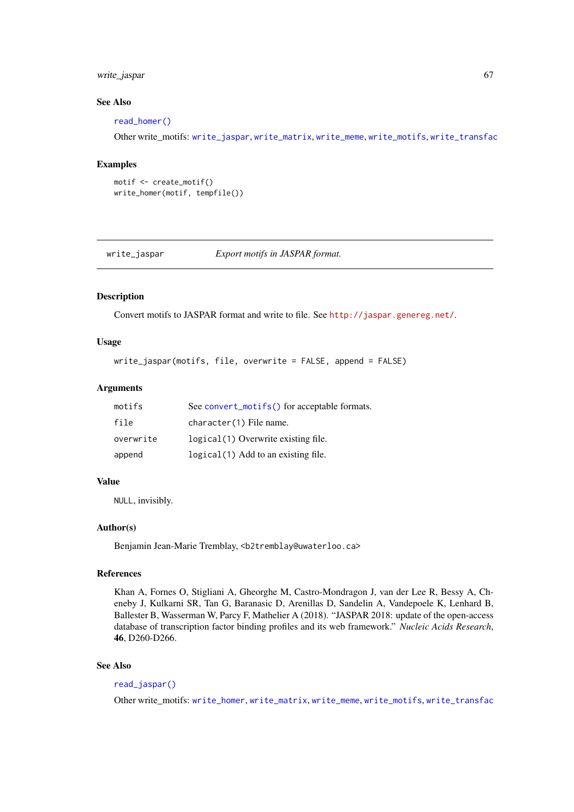#### write\_jaspar 67

#### See Also

[read\\_homer\(\)](#page-37-0)

Other write\_motifs: [write\\_jaspar](#page-66-0), [write\\_matrix](#page-67-0), [write\\_meme](#page-68-0), [write\\_motifs](#page-69-0), [write\\_transfac](#page-70-0)

# Examples

```
motif <- create_motif()
write_homer(motif, tempfile())
```
<span id="page-66-0"></span>write\_jaspar *Export motifs in JASPAR format.*

#### Description

Convert motifs to JASPAR format and write to file. See <http://jaspar.genereg.net/>.

# Usage

```
write_jaspar(motifs, file, overwrite = FALSE, append = FALSE)
```
# Arguments

| motifs    | See convert_motifs() for acceptable formats. |
|-----------|----------------------------------------------|
| file      | character(1) File name.                      |
| overwrite | logical (1) Overwrite existing file.         |
| append    | logical (1) Add to an existing file.         |

## Value

NULL, invisibly.

#### Author(s)

Benjamin Jean-Marie Tremblay, <b2tremblay@uwaterloo.ca>

# References

Khan A, Fornes O, Stigliani A, Gheorghe M, Castro-Mondragon J, van der Lee R, Bessy A, Cheneby J, Kulkarni SR, Tan G, Baranasic D, Arenillas D, Sandelin A, Vandepoele K, Lenhard B, Ballester B, Wasserman W, Parcy F, Mathelier A (2018). "JASPAR 2018: update of the open-access database of transcription factor binding profiles and its web framework." *Nucleic Acids Research*, 46, D260-D266.

#### See Also

[read\\_jaspar\(\)](#page-38-0)

Other write\_motifs: [write\\_homer](#page-65-0), [write\\_matrix](#page-67-0), [write\\_meme](#page-68-0), [write\\_motifs](#page-69-0), [write\\_transfac](#page-70-0)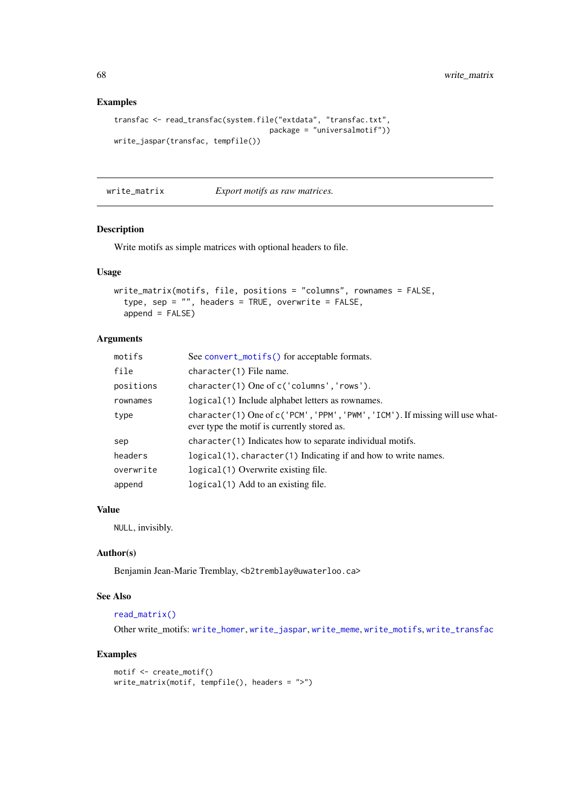# Examples

```
transfac <- read_transfac(system.file("extdata", "transfac.txt",
                                    package = "universalmotif"))
write_jaspar(transfac, tempfile())
```
<span id="page-67-0"></span>write\_matrix *Export motifs as raw matrices.*

# Description

Write motifs as simple matrices with optional headers to file.

# Usage

```
write_matrix(motifs, file, positions = "columns", rownames = FALSE,
  type, sep = "", headers = TRUE, overwrite = FALSE,
 append = FALSE)
```
# Arguments

| motifs    | See convert_motifs() for acceptable formats.                                                                                |
|-----------|-----------------------------------------------------------------------------------------------------------------------------|
| file      | character(1) File name.                                                                                                     |
| positions | character(1) One of c('columns', 'rows').                                                                                   |
| rownames  | logical (1) Include alphabet letters as rownames.                                                                           |
| type      | character(1) One of c('PCM', 'PPM', 'PWM', 'ICM'). If missing will use what-<br>ever type the motif is currently stored as. |
| sep       | character(1) Indicates how to separate individual motifs.                                                                   |
| headers   | logical(1), character(1) Indicating if and how to write names.                                                              |
| overwrite | logical(1) Overwrite existing file.                                                                                         |
| append    | logical (1) Add to an existing file.                                                                                        |

# Value

NULL, invisibly.

# Author(s)

Benjamin Jean-Marie Tremblay, <b2tremblay@uwaterloo.ca>

# See Also

#### [read\\_matrix\(\)](#page-39-0)

Other write\_motifs: [write\\_homer](#page-65-0), [write\\_jaspar](#page-66-0), [write\\_meme](#page-68-0), [write\\_motifs](#page-69-0), [write\\_transfac](#page-70-0)

```
motif <- create_motif()
write_matrix(motif, tempfile(), headers = ">")
```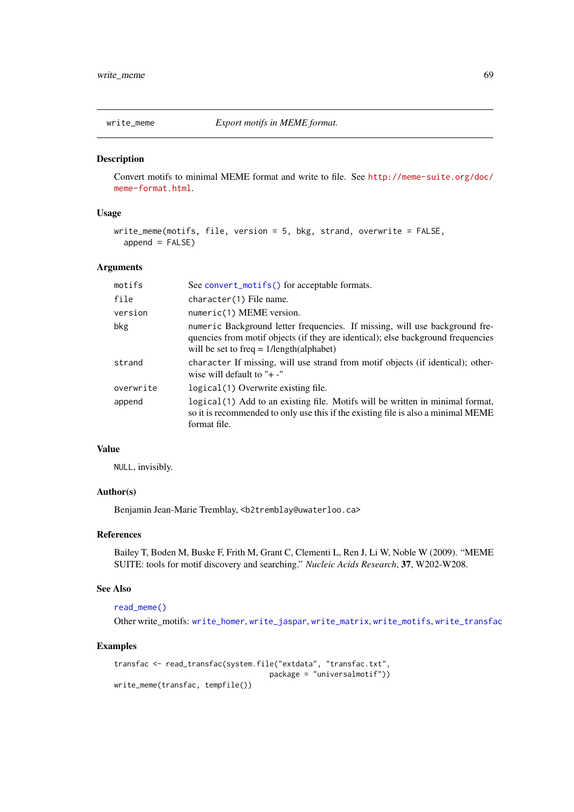<span id="page-68-0"></span>

Convert motifs to minimal MEME format and write to file. See [http://meme-suite.org/doc/](http://meme-suite.org/doc/meme-format.html) [meme-format.html](http://meme-suite.org/doc/meme-format.html).

#### Usage

```
write_meme(motifs, file, version = 5, bkg, strand, overwrite = FALSE,
  append = FALSE)
```
#### Arguments

| motifs    | See convert_motifs() for acceptable formats.                                                                                                                                                                  |
|-----------|---------------------------------------------------------------------------------------------------------------------------------------------------------------------------------------------------------------|
| file      | character(1) File name.                                                                                                                                                                                       |
| version   | numeric(1) MEME version.                                                                                                                                                                                      |
| bkg       | numeric Background letter frequencies. If missing, will use background fre-<br>quencies from motif objects (if they are identical); else background frequencies<br>will be set to freq $= 1/length(alphabet)$ |
| strand    | character If missing, will use strand from motif objects (if identical); other-<br>wise will default to " $+$ -"                                                                                              |
| overwrite | logical (1) Overwrite existing file.                                                                                                                                                                          |
| append    | logical (1) Add to an existing file. Motifs will be written in minimal format,<br>so it is recommended to only use this if the existing file is also a minimal MEME<br>format file.                           |

# Value

NULL, invisibly.

## Author(s)

Benjamin Jean-Marie Tremblay, <b2tremblay@uwaterloo.ca>

## References

Bailey T, Boden M, Buske F, Frith M, Grant C, Clementi L, Ren J, Li W, Noble W (2009). "MEME SUITE: tools for motif discovery and searching." *Nucleic Acids Research*, 37, W202-W208.

# See Also

[read\\_meme\(\)](#page-40-0)

Other write\_motifs: [write\\_homer](#page-65-0), [write\\_jaspar](#page-66-0), [write\\_matrix](#page-67-0), [write\\_motifs](#page-69-0), [write\\_transfac](#page-70-0)

```
transfac <- read_transfac(system.file("extdata", "transfac.txt",
                                   package = "universalmotif"))
write_meme(transfac, tempfile())
```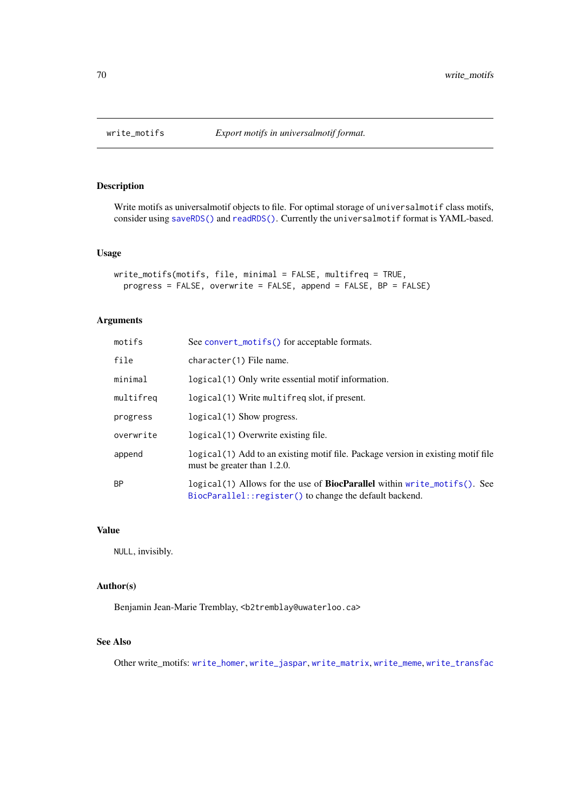<span id="page-69-1"></span><span id="page-69-0"></span>

Write motifs as universalmotif objects to file. For optimal storage of universalmotif class motifs, consider using [saveRDS\(\)](#page-0-0) and [readRDS\(\)](#page-0-0). Currently the universalmotif format is YAML-based.

# Usage

```
write_motifs(motifs, file, minimal = FALSE, multifreq = TRUE,
 progress = FALSE, overwrite = FALSE, append = FALSE, BP = FALSE)
```
# Arguments

| motifs    | See convert_motifs() for acceptable formats.                                                                                                |
|-----------|---------------------------------------------------------------------------------------------------------------------------------------------|
| file      | character(1) File name.                                                                                                                     |
| minimal   | logical (1) Only write essential motif information.                                                                                         |
| multifreg | logical(1) Write multifreg slot, if present.                                                                                                |
| progress  | $logical(1)$ Show progress.                                                                                                                 |
| overwrite | logical (1) Overwrite existing file.                                                                                                        |
| append    | logical (1) Add to an existing motif file. Package version in existing motif file<br>must be greater than 1.2.0.                            |
| <b>BP</b> | logical(1) Allows for the use of <b>BiocParallel</b> within write_motifs(). See<br>BiocParallel:: register() to change the default backend. |

#### Value

NULL, invisibly.

# Author(s)

Benjamin Jean-Marie Tremblay, <b2tremblay@uwaterloo.ca>

# See Also

Other write\_motifs: [write\\_homer](#page-65-0), [write\\_jaspar](#page-66-0), [write\\_matrix](#page-67-0), [write\\_meme](#page-68-0), [write\\_transfac](#page-70-0)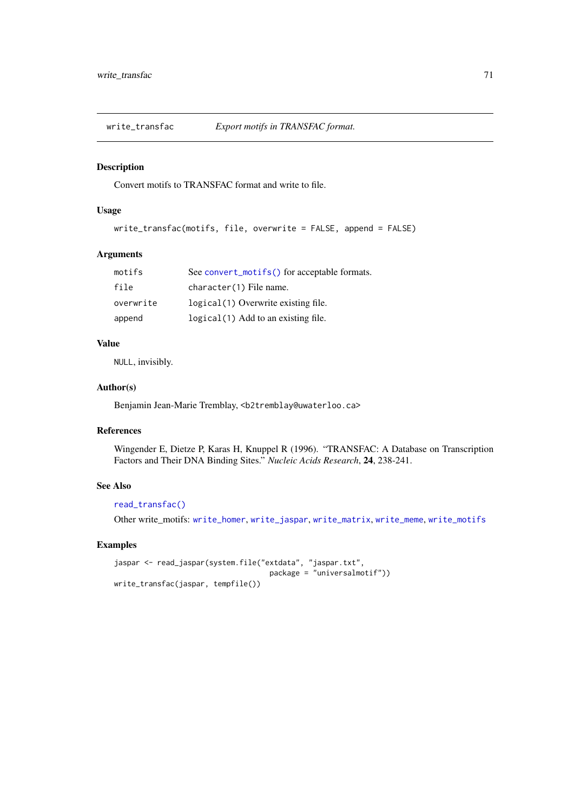<span id="page-70-1"></span><span id="page-70-0"></span>write\_transfac *Export motifs in TRANSFAC format.*

# Description

Convert motifs to TRANSFAC format and write to file.

# Usage

```
write_transfac(motifs, file, overwrite = FALSE, append = FALSE)
```
#### Arguments

| motifs    | See convert_motifs() for acceptable formats. |
|-----------|----------------------------------------------|
| file      | character(1) File name.                      |
| overwrite | logical (1) Overwrite existing file.         |
| append    | logical (1) Add to an existing file.         |

# Value

NULL, invisibly.

# Author(s)

Benjamin Jean-Marie Tremblay, <b2tremblay@uwaterloo.ca>

# References

Wingender E, Dietze P, Karas H, Knuppel R (1996). "TRANSFAC: A Database on Transcription Factors and Their DNA Binding Sites." *Nucleic Acids Research*, 24, 238-241.

# See Also

# [read\\_transfac\(\)](#page-42-0)

Other write\_motifs: [write\\_homer](#page-65-0), [write\\_jaspar](#page-66-0), [write\\_matrix](#page-67-0), [write\\_meme](#page-68-0), [write\\_motifs](#page-69-0)

```
jaspar <- read_jaspar(system.file("extdata", "jaspar.txt",
                                    package = "universalmotif"))
write_transfac(jaspar, tempfile())
```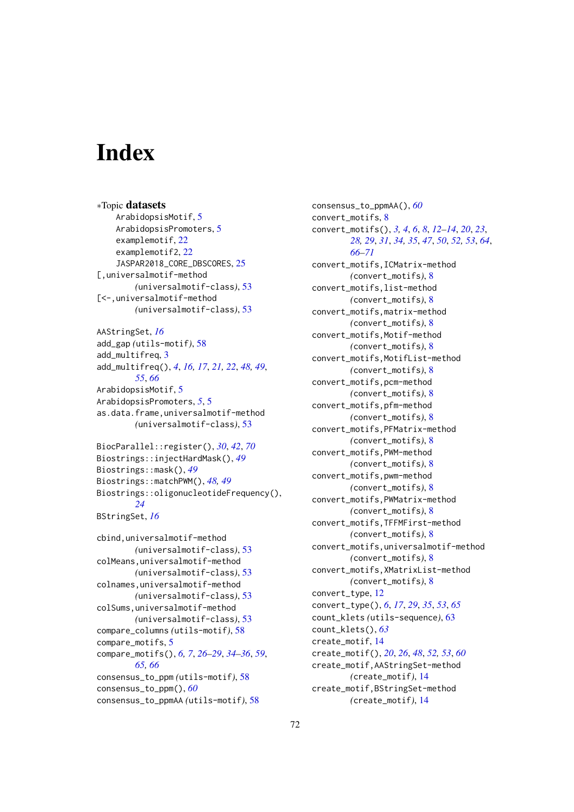# Index

∗Topic datasets ArabidopsisMotif, [5](#page-4-1) ArabidopsisPromoters, [5](#page-4-1) examplemotif, [22](#page-21-0) examplemotif2, [22](#page-21-0) JASPAR2018\_CORE\_DBSCORES, [25](#page-24-0) [,universalmotif-method *(*universalmotif-class*)*, [53](#page-52-1) [<-,universalmotif-method *(*universalmotif-class*)*, [53](#page-52-1) AAStringSet, *[16](#page-15-0)* add\_gap *(*utils-motif*)*, [58](#page-57-2) add\_multifreq, [3](#page-2-1) add\_multifreq(), *[4](#page-3-0)*, *[16,](#page-15-0) [17](#page-16-0)*, *[21,](#page-20-0) [22](#page-21-0)*, *[48,](#page-47-1) [49](#page-48-0)*, *[55](#page-54-0)*, *[66](#page-65-1)* ArabidopsisMotif, [5](#page-4-1) ArabidopsisPromoters, *[5](#page-4-1)*, [5](#page-4-1) as.data.frame,universalmotif-method *(*universalmotif-class*)*, [53](#page-52-1) BiocParallel::register(), *[30](#page-29-0)*, *[42](#page-41-1)*, *[70](#page-69-1)* Biostrings::injectHardMask(), *[49](#page-48-0)* Biostrings::mask(), *[49](#page-48-0)* Biostrings::matchPWM(), *[48,](#page-47-1) [49](#page-48-0)* Biostrings::oligonucleotideFrequency(), *[24](#page-23-0)* BStringSet, *[16](#page-15-0)* cbind,universalmotif-method *(*universalmotif-class*)*, [53](#page-52-1) colMeans,universalmotif-method *(*universalmotif-class*)*, [53](#page-52-1) colnames,universalmotif-method *(*universalmotif-class*)*, [53](#page-52-1) colSums,universalmotif-method *(*universalmotif-class*)*, [53](#page-52-1) compare\_columns *(*utils-motif*)*, [58](#page-57-2) compare\_motifs, [5](#page-4-1) compare\_motifs(), *[6,](#page-5-0) [7](#page-6-0)*, *[26–](#page-25-0)[29](#page-28-0)*, *[34–](#page-33-0)[36](#page-35-0)*, *[59](#page-58-0)*, *[65,](#page-64-0) [66](#page-65-1)* consensus\_to\_ppm *(*utils-motif*)*, [58](#page-57-2) consensus\_to\_ppm(), *[60](#page-59-0)* consensus\_to\_ppmAA *(*utils-motif*)*, [58](#page-57-2)

consensus\_to\_ppmAA(), *[60](#page-59-0)* convert\_motifs, [8](#page-7-1) convert\_motifs(), *[3,](#page-2-1) [4](#page-3-0)*, *[6](#page-5-0)*, *[8](#page-7-1)*, *[12](#page-11-1)[–14](#page-13-1)*, *[20](#page-19-1)*, *[23](#page-22-0)*, *[28,](#page-27-0) [29](#page-28-0)*, *[31](#page-30-1)*, *[34,](#page-33-0) [35](#page-34-0)*, *[47](#page-46-0)*, *[50](#page-49-2)*, *[52,](#page-51-0) [53](#page-52-1)*, *[64](#page-63-1)*, *[66](#page-65-1)[–71](#page-70-1)* convert\_motifs,ICMatrix-method *(*convert\_motifs*)*, [8](#page-7-1) convert\_motifs,list-method *(*convert\_motifs*)*, [8](#page-7-1) convert\_motifs,matrix-method *(*convert\_motifs*)*, [8](#page-7-1) convert\_motifs,Motif-method *(*convert\_motifs*)*, [8](#page-7-1) convert\_motifs,MotifList-method *(*convert\_motifs*)*, [8](#page-7-1) convert\_motifs,pcm-method *(*convert\_motifs*)*, [8](#page-7-1) convert\_motifs,pfm-method *(*convert\_motifs*)*, [8](#page-7-1) convert\_motifs,PFMatrix-method *(*convert\_motifs*)*, [8](#page-7-1) convert\_motifs,PWM-method *(*convert\_motifs*)*, [8](#page-7-1) convert\_motifs,pwm-method *(*convert\_motifs*)*, [8](#page-7-1) convert\_motifs,PWMatrix-method *(*convert\_motifs*)*, [8](#page-7-1) convert\_motifs,TFFMFirst-method *(*convert\_motifs*)*, [8](#page-7-1) convert\_motifs,universalmotif-method *(*convert\_motifs*)*, [8](#page-7-1) convert\_motifs,XMatrixList-method *(*convert\_motifs*)*, [8](#page-7-1) convert\_type, [12](#page-11-1) convert\_type(), *[6](#page-5-0)*, *[17](#page-16-0)*, *[29](#page-28-0)*, *[35](#page-34-0)*, *[53](#page-52-1)*, *[65](#page-64-0)* count\_klets *(*utils-sequence*)*, [63](#page-62-2) count\_klets(), *[63](#page-62-2)* create\_motif, [14](#page-13-1) create\_motif(), *[20](#page-19-1)*, *[26](#page-25-0)*, *[48](#page-47-1)*, *[52,](#page-51-0) [53](#page-52-1)*, *[60](#page-59-0)* create\_motif,AAStringSet-method *(*create\_motif*)*, [14](#page-13-1) create\_motif,BStringSet-method *(*create\_motif*)*, [14](#page-13-1)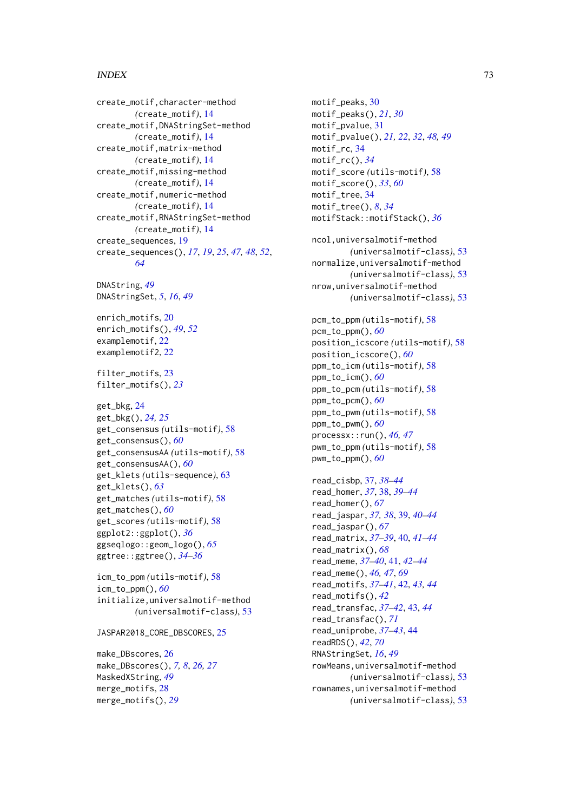## INDEX 23

```
create_motif,character-method
        (create_motif), 14
create_motif,DNAStringSet-method
        (create_motif), 14
create_motif,matrix-method
        (create_motif), 14
create_motif,missing-method
        (create_motif), 14
create_motif,numeric-method
        (create_motif), 14
create_motif,RNAStringSet-method
        (create_motif), 14
create_sequences, 19
create_sequences(), 17, 19, 25, 47, 48, 52,
        64
DNAString, 49
DNAStringSet, 5, 16, 49
enrich_motifs, 20
enrich_motifs(), 49, 52
examplemotif, 22
examplemotif2, 22
filter_motifs, 23
filter_motifs(), 23
get_bkg, 24
get_bkg(), 24, 25
get_consensus (utils-motif), 58
get_consensus(), 60
get_consensusAA (utils-motif), 58
get_consensusAA(), 60
get_klets (utils-sequence), 63
get_klets(), 63
get_matches (utils-motif), 58
get_matches(), 60
get_scores (utils-motif), 58
ggplot2::ggplot(), 36
ggseqlogo::geom_logo(), 65
ggtree::ggtree(), 34–36
icm_to_ppm (utils-motif), 58
icm_to_ppm(), 60
initialize,universalmotif-method
        (universalmotif-class), 53
JASPAR2018_CORE_DBSCORES, 25
```
make\_DBscores, [26](#page-25-0) make\_DBscores(), *[7,](#page-6-0) [8](#page-7-0)*, *[26,](#page-25-0) [27](#page-26-0)* MaskedXString, *[49](#page-48-0)* merge\_motifs, [28](#page-27-0) merge\_motifs(), *[29](#page-28-0)*

motif\_peaks, [30](#page-29-0) motif\_peaks(), *[21](#page-20-0)*, *[30](#page-29-0)* motif\_pvalue, [31](#page-30-0) motif\_pvalue(), *[21,](#page-20-0) [22](#page-21-0)*, *[32](#page-31-0)*, *[48,](#page-47-0) [49](#page-48-0)* motif\_rc, [34](#page-33-0) motif\_rc(), *[34](#page-33-0)* motif\_score *(*utils-motif*)*, [58](#page-57-0) motif\_score(), *[33](#page-32-0)*, *[60](#page-59-0)* motif\_tree, [34](#page-33-0) motif\_tree(), *[8](#page-7-0)*, *[34](#page-33-0)* motifStack::motifStack(), *[36](#page-35-0)* ncol,universalmotif-method *(*universalmotif-class*)*, [53](#page-52-0) normalize,universalmotif-method *(*universalmotif-class*)*, [53](#page-52-0) nrow,universalmotif-method *(*universalmotif-class*)*, [53](#page-52-0) pcm\_to\_ppm *(*utils-motif*)*, [58](#page-57-0) pcm\_to\_ppm(), *[60](#page-59-0)* position\_icscore *(*utils-motif*)*, [58](#page-57-0) position\_icscore(), *[60](#page-59-0)* ppm\_to\_icm *(*utils-motif*)*, [58](#page-57-0) ppm\_to\_icm(), *[60](#page-59-0)* ppm\_to\_pcm *(*utils-motif*)*, [58](#page-57-0) ppm\_to\_pcm(), *[60](#page-59-0)* ppm\_to\_pwm *(*utils-motif*)*, [58](#page-57-0) ppm\_to\_pwm(), *[60](#page-59-0)* processx::run(), *[46,](#page-45-0) [47](#page-46-0)* pwm\_to\_ppm *(*utils-motif*)*, [58](#page-57-0) pwm\_to\_ppm(), *[60](#page-59-0)* read\_cisbp, [37,](#page-36-0) *[38](#page-37-0)[–44](#page-43-0)* read\_homer, *[37](#page-36-0)*, [38,](#page-37-0) *[39](#page-38-0)[–44](#page-43-0)* read\_homer(), *[67](#page-66-0)*

read\_jaspar, *[37,](#page-36-0) [38](#page-37-0)*, [39,](#page-38-0) *[40](#page-39-0)[–44](#page-43-0)* read\_jaspar(), *[67](#page-66-0)* read\_matrix, *[37](#page-36-0)[–39](#page-38-0)*, [40,](#page-39-0) *[41](#page-40-0)[–44](#page-43-0)* read\_matrix(), *[68](#page-67-0)* read\_meme, *[37](#page-36-0)[–40](#page-39-0)*, [41,](#page-40-0) *[42](#page-41-0)[–44](#page-43-0)* read\_meme(), *[46,](#page-45-0) [47](#page-46-0)*, *[69](#page-68-0)* read\_motifs, *[37](#page-36-0)[–41](#page-40-0)*, [42,](#page-41-0) *[43,](#page-42-0) [44](#page-43-0)* read\_motifs(), *[42](#page-41-0)* read\_transfac, *[37](#page-36-0)[–42](#page-41-0)*, [43,](#page-42-0) *[44](#page-43-0)* read\_transfac(), *[71](#page-70-0)* read\_uniprobe, *[37](#page-36-0)[–43](#page-42-0)*, [44](#page-43-0) readRDS(), *[42](#page-41-0)*, *[70](#page-69-0)* RNAStringSet, *[16](#page-15-0)*, *[49](#page-48-0)* rowMeans,universalmotif-method *(*universalmotif-class*)*, [53](#page-52-0) rownames,universalmotif-method *(*universalmotif-class*)*, [53](#page-52-0)